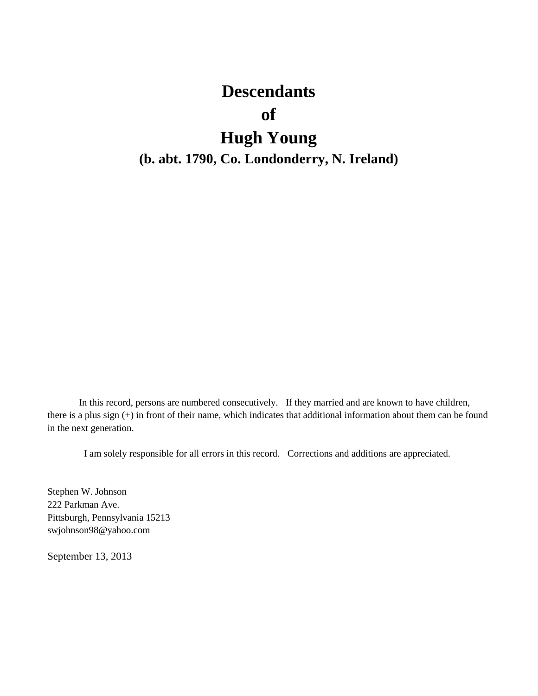# **Descendants**

# **of**

# **Hugh Young**

## **(b. abt. 1790, Co. Londonderry, N. Ireland)**

In this record, persons are numbered consecutively. If they married and are known to have children, there is a plus sign (+) in front of their name, which indicates that additional information about them can be found in the next generation.

I am solely responsible for all errors in this record. Corrections and additions are appreciated.

Stephen W. Johnson 222 Parkman Ave. Pittsburgh, Pennsylvania 15213 swjohnson98@yahoo.com

September 13, 2013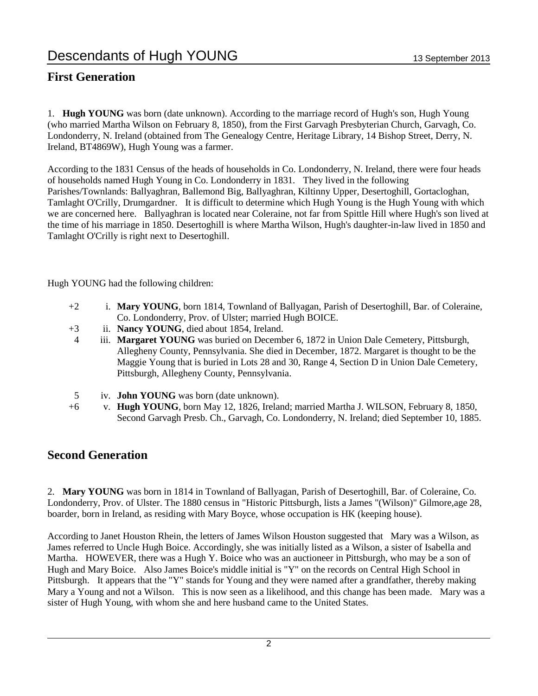### **First Generation**

1. **Hugh YOUNG** was born (date unknown). According to the marriage record of Hugh's son, Hugh Young (who married Martha Wilson on February 8, 1850), from the First Garvagh Presbyterian Church, Garvagh, Co. Londonderry, N. Ireland (obtained from The Genealogy Centre, Heritage Library, 14 Bishop Street, Derry, N. Ireland, BT4869W), Hugh Young was a farmer.

According to the 1831 Census of the heads of households in Co. Londonderry, N. Ireland, there were four heads of households named Hugh Young in Co. Londonderry in 1831. They lived in the following Parishes/Townlands: Ballyaghran, Ballemond Big, Ballyaghran, Kiltinny Upper, Desertoghill, Gortacloghan, Tamlaght O'Crilly, Drumgardner. It is difficult to determine which Hugh Young is the Hugh Young with which we are concerned here. Ballyaghran is located near Coleraine, not far from Spittle Hill where Hugh's son lived at the time of his marriage in 1850. Desertoghill is where Martha Wilson, Hugh's daughter-in-law lived in 1850 and Tamlaght O'Crilly is right next to Desertoghill.

Hugh YOUNG had the following children:

- +2 i. **Mary YOUNG**, born 1814, Townland of Ballyagan, Parish of Desertoghill, Bar. of Coleraine, Co. Londonderry, Prov. of Ulster; married Hugh BOICE.
- +3 ii. **Nancy YOUNG**, died about 1854, Ireland.
- 4 iii. **Margaret YOUNG** was buried on December 6, 1872 in Union Dale Cemetery, Pittsburgh, Allegheny County, Pennsylvania. She died in December, 1872. Margaret is thought to be the Maggie Young that is buried in Lots 28 and 30, Range 4, Section D in Union Dale Cemetery, Pittsburgh, Allegheny County, Pennsylvania.
- 5 iv. **John YOUNG** was born (date unknown).
- +6 v. **Hugh YOUNG**, born May 12, 1826, Ireland; married Martha J. WILSON, February 8, 1850, Second Garvagh Presb. Ch., Garvagh, Co. Londonderry, N. Ireland; died September 10, 1885.

### **Second Generation**

2. **Mary YOUNG** was born in 1814 in Townland of Ballyagan, Parish of Desertoghill, Bar. of Coleraine, Co. Londonderry, Prov. of Ulster. The 1880 census in "Historic Pittsburgh, lists a James "(Wilson)" Gilmore,age 28, boarder, born in Ireland, as residing with Mary Boyce, whose occupation is HK (keeping house).

According to Janet Houston Rhein, the letters of James Wilson Houston suggested that Mary was a Wilson, as James referred to Uncle Hugh Boice. Accordingly, she was initially listed as a Wilson, a sister of Isabella and Martha. HOWEVER, there was a Hugh Y. Boice who was an auctioneer in Pittsburgh, who may be a son of Hugh and Mary Boice. Also James Boice's middle initial is "Y" on the records on Central High School in Pittsburgh. It appears that the "Y" stands for Young and they were named after a grandfather, thereby making Mary a Young and not a Wilson. This is now seen as a likelihood, and this change has been made. Mary was a sister of Hugh Young, with whom she and here husband came to the United States.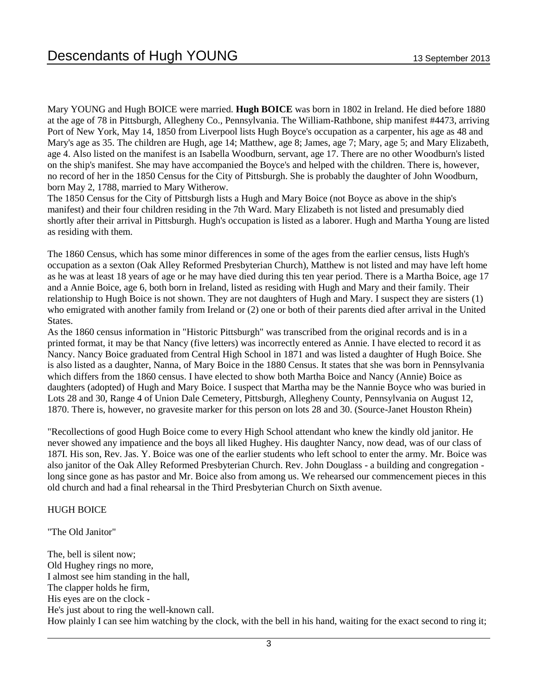Mary YOUNG and Hugh BOICE were married. **Hugh BOICE** was born in 1802 in Ireland. He died before 1880 at the age of 78 in Pittsburgh, Allegheny Co., Pennsylvania. The William-Rathbone, ship manifest #4473, arriving Port of New York, May 14, 1850 from Liverpool lists Hugh Boyce's occupation as a carpenter, his age as 48 and Mary's age as 35. The children are Hugh, age 14; Matthew, age 8; James, age 7; Mary, age 5; and Mary Elizabeth, age 4. Also listed on the manifest is an Isabella Woodburn, servant, age 17. There are no other Woodburn's listed on the ship's manifest. She may have accompanied the Boyce's and helped with the children. There is, however, no record of her in the 1850 Census for the City of Pittsburgh. She is probably the daughter of John Woodburn, born May 2, 1788, married to Mary Witherow.

The 1850 Census for the City of Pittsburgh lists a Hugh and Mary Boice (not Boyce as above in the ship's manifest) and their four children residing in the 7th Ward. Mary Elizabeth is not listed and presumably died shortly after their arrival in Pittsburgh. Hugh's occupation is listed as a laborer. Hugh and Martha Young are listed as residing with them.

The 1860 Census, which has some minor differences in some of the ages from the earlier census, lists Hugh's occupation as a sexton (Oak Alley Reformed Presbyterian Church), Matthew is not listed and may have left home as he was at least 18 years of age or he may have died during this ten year period. There is a Martha Boice, age 17 and a Annie Boice, age 6, both born in Ireland, listed as residing with Hugh and Mary and their family. Their relationship to Hugh Boice is not shown. They are not daughters of Hugh and Mary. I suspect they are sisters (1) who emigrated with another family from Ireland or (2) one or both of their parents died after arrival in the United States.

As the 1860 census information in "Historic Pittsburgh" was transcribed from the original records and is in a printed format, it may be that Nancy (five letters) was incorrectly entered as Annie. I have elected to record it as Nancy. Nancy Boice graduated from Central High School in 1871 and was listed a daughter of Hugh Boice. She is also listed as a daughter, Nanna, of Mary Boice in the 1880 Census. It states that she was born in Pennsylvania which differs from the 1860 census. I have elected to show both Martha Boice and Nancy (Annie) Boice as daughters (adopted) of Hugh and Mary Boice. I suspect that Martha may be the Nannie Boyce who was buried in Lots 28 and 30, Range 4 of Union Dale Cemetery, Pittsburgh, Allegheny County, Pennsylvania on August 12, 1870. There is, however, no gravesite marker for this person on lots 28 and 30. (Source-Janet Houston Rhein)

"Recollections of good Hugh Boice come to every High School attendant who knew the kindly old janitor. He never showed any impatience and the boys all liked Hughey. His daughter Nancy, now dead, was of our class of 187I. His son, Rev. Jas. Y. Boice was one of the earlier students who left school to enter the army. Mr. Boice was also janitor of the Oak Alley Reformed Presbyterian Church. Rev. John Douglass - a building and congregation long since gone as has pastor and Mr. Boice also from among us. We rehearsed our commencement pieces in this old church and had a final rehearsal in the Third Presbyterian Church on Sixth avenue.

#### HUGH BOICE

"The Old Janitor"

The, bell is silent now; Old Hughey rings no more, I almost see him standing in the hall, The clapper holds he firm, His eyes are on the clock - He's just about to ring the well-known call. How plainly I can see him watching by the clock, with the bell in his hand, waiting for the exact second to ring it;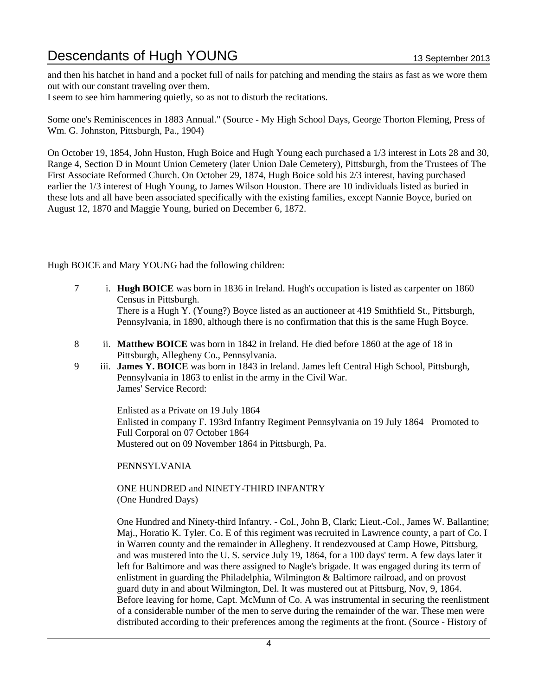and then his hatchet in hand and a pocket full of nails for patching and mending the stairs as fast as we wore them out with our constant traveling over them.

I seem to see him hammering quietly, so as not to disturb the recitations.

Some one's Reminiscences in 1883 Annual." (Source - My High School Days, George Thorton Fleming, Press of Wm. G. Johnston, Pittsburgh, Pa., 1904)

On October 19, 1854, John Huston, Hugh Boice and Hugh Young each purchased a 1/3 interest in Lots 28 and 30, Range 4, Section D in Mount Union Cemetery (later Union Dale Cemetery), Pittsburgh, from the Trustees of The First Associate Reformed Church. On October 29, 1874, Hugh Boice sold his 2/3 interest, having purchased earlier the 1/3 interest of Hugh Young, to James Wilson Houston. There are 10 individuals listed as buried in these lots and all have been associated specifically with the existing families, except Nannie Boyce, buried on August 12, 1870 and Maggie Young, buried on December 6, 1872.

Hugh BOICE and Mary YOUNG had the following children:

- 7 i. **Hugh BOICE** was born in 1836 in Ireland. Hugh's occupation is listed as carpenter on 1860 Census in Pittsburgh. There is a Hugh Y. (Young?) Boyce listed as an auctioneer at 419 Smithfield St., Pittsburgh, Pennsylvania, in 1890, although there is no confirmation that this is the same Hugh Boyce.
- 8 ii. **Matthew BOICE** was born in 1842 in Ireland. He died before 1860 at the age of 18 in Pittsburgh, Allegheny Co., Pennsylvania.
- 9 iii. **James Y. BOICE** was born in 1843 in Ireland. James left Central High School, Pittsburgh, Pennsylvania in 1863 to enlist in the army in the Civil War. James' Service Record:

Enlisted as a Private on 19 July 1864 Enlisted in company F. 193rd Infantry Regiment Pennsylvania on 19 July 1864 Promoted to Full Corporal on 07 October 1864 Mustered out on 09 November 1864 in Pittsburgh, Pa.

PENNSYLVANIA

ONE HUNDRED and NINETY-THIRD INFANTRY (One Hundred Days)

One Hundred and Ninety-third Infantry. - Col., John B, Clark; Lieut.-Col., James W. Ballantine; Maj., Horatio K. Tyler. Co. E of this regiment was recruited in Lawrence county, a part of Co. I in Warren county and the remainder in Allegheny. It rendezvoused at Camp Howe, Pittsburg, and was mustered into the U. S. service July 19, 1864, for a 100 days' term. A few days later it left for Baltimore and was there assigned to Nagle's brigade. It was engaged during its term of enlistment in guarding the Philadelphia, Wilmington & Baltimore railroad, and on provost guard duty in and about Wilmington, Del. It was mustered out at Pittsburg, Nov, 9, 1864. Before leaving for home, Capt. McMunn of Co. A was instrumental in securing the reenlistment of a considerable number of the men to serve during the remainder of the war. These men were distributed according to their preferences among the regiments at the front. (Source - History of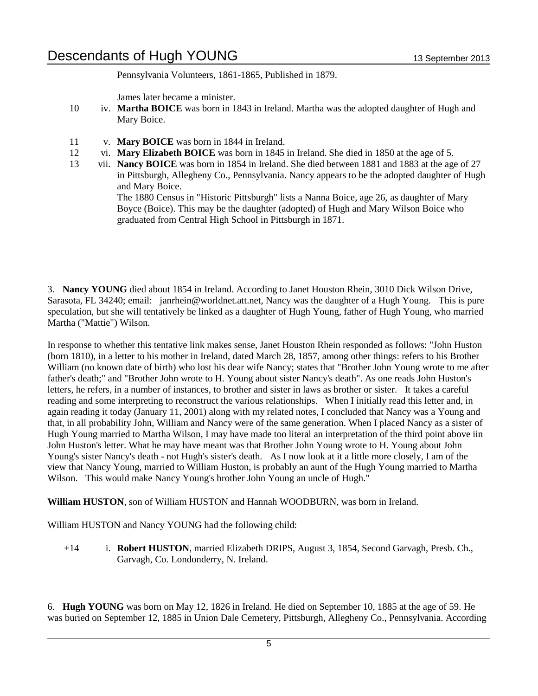Pennsylvania Volunteers, 1861-1865, Published in 1879.

James later became a minister.

- 10 iv. **Martha BOICE** was born in 1843 in Ireland. Martha was the adopted daughter of Hugh and Mary Boice.
- 11 v. **Mary BOICE** was born in 1844 in Ireland.
- 12 vi. **Mary Elizabeth BOICE** was born in 1845 in Ireland. She died in 1850 at the age of 5.
- 13 vii. **Nancy BOICE** was born in 1854 in Ireland. She died between 1881 and 1883 at the age of 27 in Pittsburgh, Allegheny Co., Pennsylvania. Nancy appears to be the adopted daughter of Hugh and Mary Boice.

The 1880 Census in "Historic Pittsburgh" lists a Nanna Boice, age 26, as daughter of Mary Boyce (Boice). This may be the daughter (adopted) of Hugh and Mary Wilson Boice who graduated from Central High School in Pittsburgh in 1871.

3. **Nancy YOUNG** died about 1854 in Ireland. According to Janet Houston Rhein, 3010 Dick Wilson Drive, Sarasota, FL 34240; email: janrhein@worldnet.att.net, Nancy was the daughter of a Hugh Young. This is pure speculation, but she will tentatively be linked as a daughter of Hugh Young, father of Hugh Young, who married Martha ("Mattie") Wilson.

In response to whether this tentative link makes sense, Janet Houston Rhein responded as follows: "John Huston (born 1810), in a letter to his mother in Ireland, dated March 28, 1857, among other things: refers to his Brother William (no known date of birth) who lost his dear wife Nancy; states that "Brother John Young wrote to me after father's death;" and "Brother John wrote to H. Young about sister Nancy's death". As one reads John Huston's letters, he refers, in a number of instances, to brother and sister in laws as brother or sister. It takes a careful reading and some interpreting to reconstruct the various relationships. When I initially read this letter and, in again reading it today (January 11, 2001) along with my related notes, I concluded that Nancy was a Young and that, in all probability John, William and Nancy were of the same generation. When I placed Nancy as a sister of Hugh Young married to Martha Wilson, I may have made too literal an interpretation of the third point above iin John Huston's letter. What he may have meant was that Brother John Young wrote to H. Young about John Young's sister Nancy's death - not Hugh's sister's death. As I now look at it a little more closely, I am of the view that Nancy Young, married to William Huston, is probably an aunt of the Hugh Young married to Martha Wilson. This would make Nancy Young's brother John Young an uncle of Hugh."

**William HUSTON**, son of William HUSTON and Hannah WOODBURN, was born in Ireland.

William HUSTON and Nancy YOUNG had the following child:

+14 i. **Robert HUSTON**, married Elizabeth DRIPS, August 3, 1854, Second Garvagh, Presb. Ch., Garvagh, Co. Londonderry, N. Ireland.

6. **Hugh YOUNG** was born on May 12, 1826 in Ireland. He died on September 10, 1885 at the age of 59. He was buried on September 12, 1885 in Union Dale Cemetery, Pittsburgh, Allegheny Co., Pennsylvania. According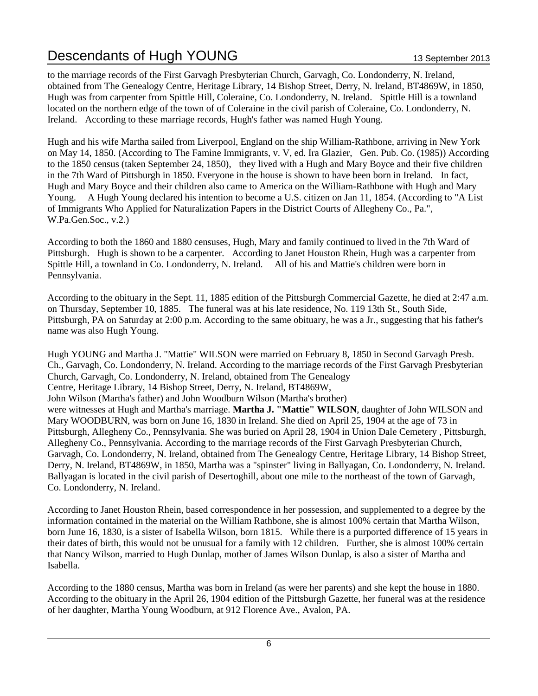to the marriage records of the First Garvagh Presbyterian Church, Garvagh, Co. Londonderry, N. Ireland, obtained from The Genealogy Centre, Heritage Library, 14 Bishop Street, Derry, N. Ireland, BT4869W, in 1850, Hugh was from carpenter from Spittle Hill, Coleraine, Co. Londonderry, N. Ireland. Spittle Hill is a townland located on the northern edge of the town of of Coleraine in the civil parish of Coleraine, Co. Londonderry, N. Ireland. According to these marriage records, Hugh's father was named Hugh Young.

Hugh and his wife Martha sailed from Liverpool, England on the ship William-Rathbone, arriving in New York on May 14, 1850. (According to The Famine Immigrants, v. V, ed. Ira Glazier, Gen. Pub. Co. (1985)) According to the 1850 census (taken September 24, 1850), they lived with a Hugh and Mary Boyce and their five children in the 7th Ward of Pittsburgh in 1850. Everyone in the house is shown to have been born in Ireland. In fact, Hugh and Mary Boyce and their children also came to America on the William-Rathbone with Hugh and Mary Young. A Hugh Young declared his intention to become a U.S. citizen on Jan 11, 1854. (According to "A List of Immigrants Who Applied for Naturalization Papers in the District Courts of Allegheny Co., Pa.", W.Pa.Gen.Soc., v.2.)

According to both the 1860 and 1880 censuses, Hugh, Mary and family continued to lived in the 7th Ward of Pittsburgh. Hugh is shown to be a carpenter. According to Janet Houston Rhein, Hugh was a carpenter from Spittle Hill, a townland in Co. Londonderry, N. Ireland. All of his and Mattie's children were born in Pennsylvania.

According to the obituary in the Sept. 11, 1885 edition of the Pittsburgh Commercial Gazette, he died at 2:47 a.m. on Thursday, September 10, 1885. The funeral was at his late residence, No. 119 13th St., South Side, Pittsburgh, PA on Saturday at 2:00 p.m. According to the same obituary, he was a Jr., suggesting that his father's name was also Hugh Young.

Hugh YOUNG and Martha J. "Mattie" WILSON were married on February 8, 1850 in Second Garvagh Presb. Ch., Garvagh, Co. Londonderry, N. Ireland. According to the marriage records of the First Garvagh Presbyterian Church, Garvagh, Co. Londonderry, N. Ireland, obtained from The Genealogy Centre, Heritage Library, 14 Bishop Street, Derry, N. Ireland, BT4869W, John Wilson (Martha's father) and John Woodburn Wilson (Martha's brother) were witnesses at Hugh and Martha's marriage. **Martha J. "Mattie" WILSON**, daughter of John WILSON and Mary WOODBURN, was born on June 16, 1830 in Ireland. She died on April 25, 1904 at the age of 73 in Pittsburgh, Allegheny Co., Pennsylvania. She was buried on April 28, 1904 in Union Dale Cemetery , Pittsburgh, Allegheny Co., Pennsylvania. According to the marriage records of the First Garvagh Presbyterian Church, Garvagh, Co. Londonderry, N. Ireland, obtained from The Genealogy Centre, Heritage Library, 14 Bishop Street, Derry, N. Ireland, BT4869W, in 1850, Martha was a "spinster" living in Ballyagan, Co. Londonderry, N. Ireland. Ballyagan is located in the civil parish of Desertoghill, about one mile to the northeast of the town of Garvagh, Co. Londonderry, N. Ireland.

According to Janet Houston Rhein, based correspondence in her possession, and supplemented to a degree by the information contained in the material on the William Rathbone, she is almost 100% certain that Martha Wilson, born June 16, 1830, is a sister of Isabella Wilson, born 1815. While there is a purported difference of 15 years in their dates of birth, this would not be unusual for a family with 12 children. Further, she is almost 100% certain that Nancy Wilson, married to Hugh Dunlap, mother of James Wilson Dunlap, is also a sister of Martha and Isabella.

According to the 1880 census, Martha was born in Ireland (as were her parents) and she kept the house in 1880. According to the obituary in the April 26, 1904 edition of the Pittsburgh Gazette, her funeral was at the residence of her daughter, Martha Young Woodburn, at 912 Florence Ave., Avalon, PA.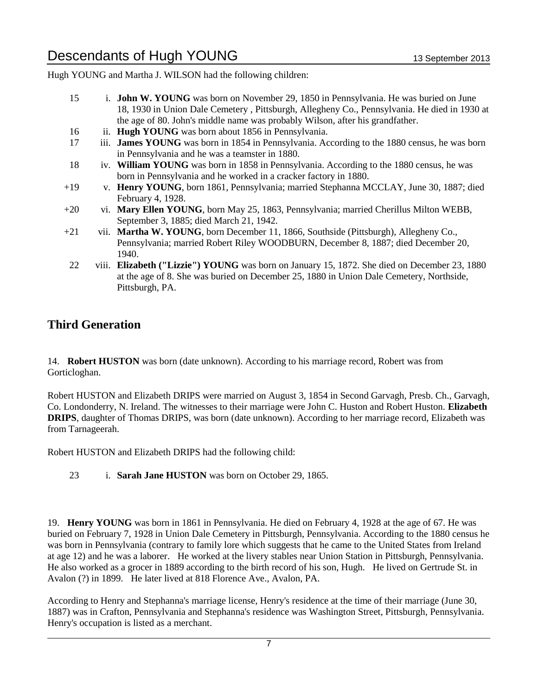Hugh YOUNG and Martha J. WILSON had the following children:

- 15 i. **John W. YOUNG** was born on November 29, 1850 in Pennsylvania. He was buried on June 18, 1930 in Union Dale Cemetery , Pittsburgh, Allegheny Co., Pennsylvania. He died in 1930 at the age of 80. John's middle name was probably Wilson, after his grandfather. 16 ii. **Hugh YOUNG** was born about 1856 in Pennsylvania. 17 iii. **James YOUNG** was born in 1854 in Pennsylvania. According to the 1880 census, he was born in Pennsylvania and he was a teamster in 1880. 18 iv. **William YOUNG** was born in 1858 in Pennsylvania. According to the 1880 census, he was born in Pennsylvania and he worked in a cracker factory in 1880. +19 v. **Henry YOUNG**, born 1861, Pennsylvania; married Stephanna MCCLAY, June 30, 1887; died February 4, 1928. +20 vi. **Mary Ellen YOUNG**, born May 25, 1863, Pennsylvania; married Cherillus Milton WEBB, September 3, 1885; died March 21, 1942. +21 vii. **Martha W. YOUNG**, born December 11, 1866, Southside (Pittsburgh), Allegheny Co., Pennsylvania; married Robert Riley WOODBURN, December 8, 1887; died December 20, 1940.
- 22 viii. **Elizabeth ("Lizzie") YOUNG** was born on January 15, 1872. She died on December 23, 1880 at the age of 8. She was buried on December 25, 1880 in Union Dale Cemetery, Northside, Pittsburgh, PA.

### **Third Generation**

14. **Robert HUSTON** was born (date unknown). According to his marriage record, Robert was from Gorticloghan.

Robert HUSTON and Elizabeth DRIPS were married on August 3, 1854 in Second Garvagh, Presb. Ch., Garvagh, Co. Londonderry, N. Ireland. The witnesses to their marriage were John C. Huston and Robert Huston. **Elizabeth DRIPS**, daughter of Thomas DRIPS, was born (date unknown). According to her marriage record, Elizabeth was from Tarnageerah.

Robert HUSTON and Elizabeth DRIPS had the following child:

23 i. **Sarah Jane HUSTON** was born on October 29, 1865.

19. **Henry YOUNG** was born in 1861 in Pennsylvania. He died on February 4, 1928 at the age of 67. He was buried on February 7, 1928 in Union Dale Cemetery in Pittsburgh, Pennsylvania. According to the 1880 census he was born in Pennsylvania (contrary to family lore which suggests that he came to the United States from Ireland at age 12) and he was a laborer. He worked at the livery stables near Union Station in Pittsburgh, Pennsylvania. He also worked as a grocer in 1889 according to the birth record of his son, Hugh. He lived on Gertrude St. in Avalon (?) in 1899. He later lived at 818 Florence Ave., Avalon, PA.

According to Henry and Stephanna's marriage license, Henry's residence at the time of their marriage (June 30, 1887) was in Crafton, Pennsylvania and Stephanna's residence was Washington Street, Pittsburgh, Pennsylvania. Henry's occupation is listed as a merchant.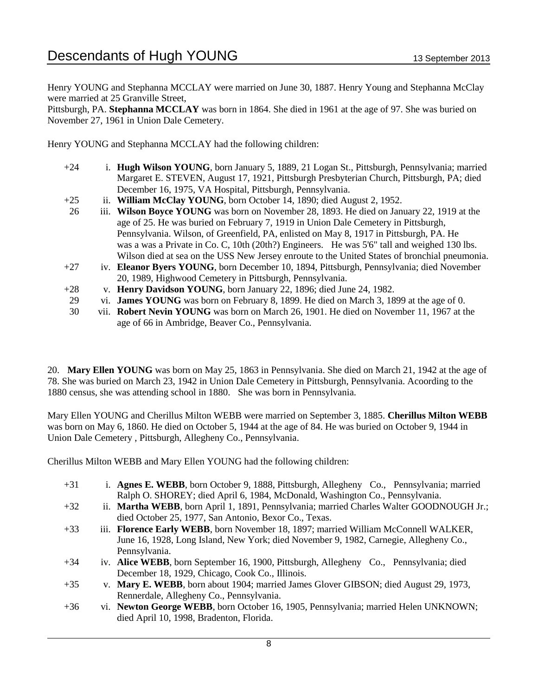Henry YOUNG and Stephanna MCCLAY were married on June 30, 1887. Henry Young and Stephanna McClay were married at 25 Granville Street,

Pittsburgh, PA. **Stephanna MCCLAY** was born in 1864. She died in 1961 at the age of 97. She was buried on November 27, 1961 in Union Dale Cemetery.

Henry YOUNG and Stephanna MCCLAY had the following children:

- +24 i. **Hugh Wilson YOUNG**, born January 5, 1889, 21 Logan St., Pittsburgh, Pennsylvania; married Margaret E. STEVEN, August 17, 1921, Pittsburgh Presbyterian Church, Pittsburgh, PA; died December 16, 1975, VA Hospital, Pittsburgh, Pennsylvania.
- +25 ii. **William McClay YOUNG**, born October 14, 1890; died August 2, 1952.
- 26 iii. **Wilson Boyce YOUNG** was born on November 28, 1893. He died on January 22, 1919 at the age of 25. He was buried on February 7, 1919 in Union Dale Cemetery in Pittsburgh, Pennsylvania. Wilson, of Greenfield, PA, enlisted on May 8, 1917 in Pittsburgh, PA. He was a was a Private in Co. C, 10th (20th?) Engineers. He was 5'6" tall and weighed 130 lbs. Wilson died at sea on the USS New Jersey enroute to the United States of bronchial pneumonia.
- +27 iv. **Eleanor Byers YOUNG**, born December 10, 1894, Pittsburgh, Pennsylvania; died November 20, 1989, Highwood Cemetery in Pittsburgh, Pennsylvania.
- +28 v. **Henry Davidson YOUNG**, born January 22, 1896; died June 24, 1982.
- 29 vi. **James YOUNG** was born on February 8, 1899. He died on March 3, 1899 at the age of 0.
- 30 vii. **Robert Nevin YOUNG** was born on March 26, 1901. He died on November 11, 1967 at the age of 66 in Ambridge, Beaver Co., Pennsylvania.

20. **Mary Ellen YOUNG** was born on May 25, 1863 in Pennsylvania. She died on March 21, 1942 at the age of 78. She was buried on March 23, 1942 in Union Dale Cemetery in Pittsburgh, Pennsylvania. Acoording to the 1880 census, she was attending school in 1880. She was born in Pennsylvania.

Mary Ellen YOUNG and Cherillus Milton WEBB were married on September 3, 1885. **Cherillus Milton WEBB** was born on May 6, 1860. He died on October 5, 1944 at the age of 84. He was buried on October 9, 1944 in Union Dale Cemetery , Pittsburgh, Allegheny Co., Pennsylvania.

Cherillus Milton WEBB and Mary Ellen YOUNG had the following children:

- +31 i. **Agnes E. WEBB**, born October 9, 1888, Pittsburgh, Allegheny Co., Pennsylvania; married Ralph O. SHOREY; died April 6, 1984, McDonald, Washington Co., Pennsylvania.
- +32 ii. **Martha WEBB**, born April 1, 1891, Pennsylvania; married Charles Walter GOODNOUGH Jr.; died October 25, 1977, San Antonio, Bexor Co., Texas.
- +33 iii. **Florence Early WEBB**, born November 18, 1897; married William McConnell WALKER, June 16, 1928, Long Island, New York; died November 9, 1982, Carnegie, Allegheny Co., Pennsylvania.
- +34 iv. **Alice WEBB**, born September 16, 1900, Pittsburgh, Allegheny Co., Pennsylvania; died December 18, 1929, Chicago, Cook Co., Illinois.
- +35 v. **Mary E. WEBB**, born about 1904; married James Glover GIBSON; died August 29, 1973, Rennerdale, Allegheny Co., Pennsylvania.
- +36 vi. **Newton George WEBB**, born October 16, 1905, Pennsylvania; married Helen UNKNOWN; died April 10, 1998, Bradenton, Florida.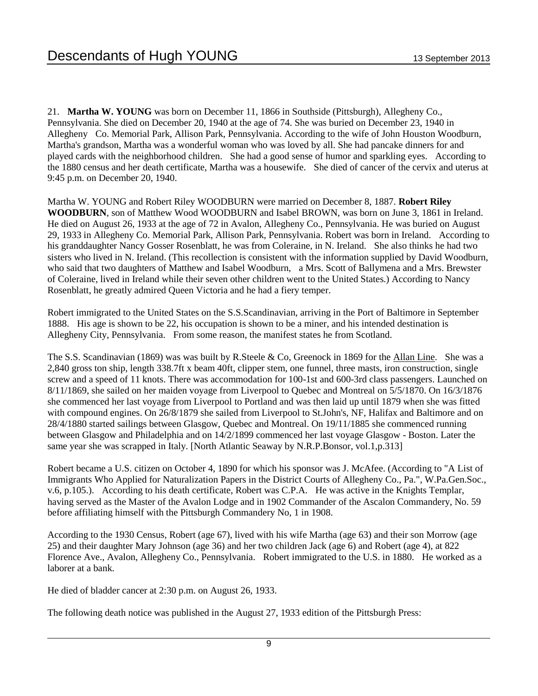21. **Martha W. YOUNG** was born on December 11, 1866 in Southside (Pittsburgh), Allegheny Co., Pennsylvania. She died on December 20, 1940 at the age of 74. She was buried on December 23, 1940 in Allegheny Co. Memorial Park, Allison Park, Pennsylvania. According to the wife of John Houston Woodburn, Martha's grandson, Martha was a wonderful woman who was loved by all. She had pancake dinners for and played cards with the neighborhood children. She had a good sense of humor and sparkling eyes. According to the 1880 census and her death certificate, Martha was a housewife. She died of cancer of the cervix and uterus at 9:45 p.m. on December 20, 1940.

Martha W. YOUNG and Robert Riley WOODBURN were married on December 8, 1887. **Robert Riley WOODBURN**, son of Matthew Wood WOODBURN and Isabel BROWN, was born on June 3, 1861 in Ireland. He died on August 26, 1933 at the age of 72 in Avalon, Allegheny Co., Pennsylvania. He was buried on August 29, 1933 in Allegheny Co. Memorial Park, Allison Park, Pennsylvania. Robert was born in Ireland. According to his granddaughter Nancy Gosser Rosenblatt, he was from Coleraine, in N. Ireland. She also thinks he had two sisters who lived in N. Ireland. (This recollection is consistent with the information supplied by David Woodburn, who said that two daughters of Matthew and Isabel Woodburn, a Mrs. Scott of Ballymena and a Mrs. Brewster of Coleraine, lived in Ireland while their seven other children went to the United States.) According to Nancy Rosenblatt, he greatly admired Queen Victoria and he had a fiery temper.

Robert immigrated to the United States on the S.S.Scandinavian, arriving in the Port of Baltimore in September 1888. His age is shown to be 22, his occupation is shown to be a miner, and his intended destination is Allegheny City, Pennsylvania. From some reason, the manifest states he from Scotland.

The S.S. Scandinavian (1869) was was built by R.Steele & Co, Greenock in 1869 for the Allan Line. She was a 2,840 gross ton ship, length 338.7ft x beam 40ft, clipper stem, one funnel, three masts, iron construction, single screw and a speed of 11 knots. There was accommodation for 100-1st and 600-3rd class passengers. Launched on 8/11/1869, she sailed on her maiden voyage from Liverpool to Quebec and Montreal on 5/5/1870. On 16/3/1876 she commenced her last voyage from Liverpool to Portland and was then laid up until 1879 when she was fitted with compound engines. On 26/8/1879 she sailed from Liverpool to St.John's, NF, Halifax and Baltimore and on 28/4/1880 started sailings between Glasgow, Quebec and Montreal. On 19/11/1885 she commenced running between Glasgow and Philadelphia and on 14/2/1899 commenced her last voyage Glasgow - Boston. Later the same year she was scrapped in Italy. [North Atlantic Seaway by N.R.P.Bonsor, vol.1,p.313]

Robert became a U.S. citizen on October 4, 1890 for which his sponsor was J. McAfee. (According to "A List of Immigrants Who Applied for Naturalization Papers in the District Courts of Allegheny Co., Pa.", W.Pa.Gen.Soc., v.6, p.105.). According to his death certificate, Robert was C.P.A. He was active in the Knights Templar, having served as the Master of the Avalon Lodge and in 1902 Commander of the Ascalon Commandery, No. 59 before affiliating himself with the Pittsburgh Commandery No, 1 in 1908.

According to the 1930 Census, Robert (age 67), lived with his wife Martha (age 63) and their son Morrow (age 25) and their daughter Mary Johnson (age 36) and her two children Jack (age 6) and Robert (age 4), at 822 Florence Ave., Avalon, Allegheny Co., Pennsylvania. Robert immigrated to the U.S. in 1880. He worked as a laborer at a bank.

He died of bladder cancer at 2:30 p.m. on August 26, 1933.

The following death notice was published in the August 27, 1933 edition of the Pittsburgh Press: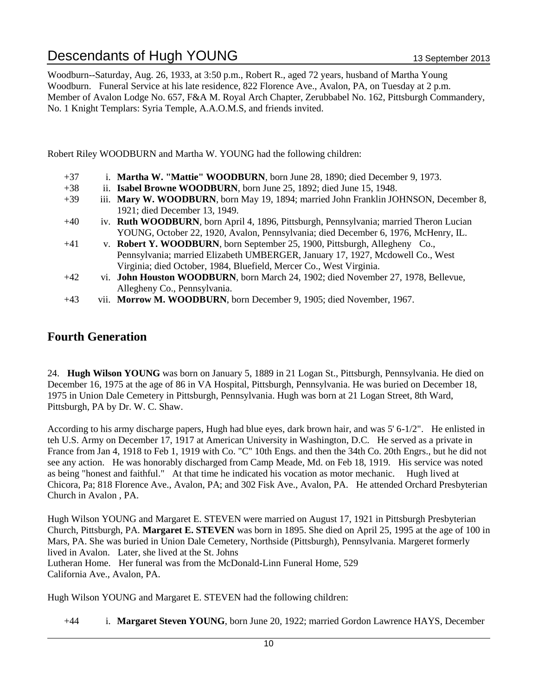Woodburn--Saturday, Aug. 26, 1933, at 3:50 p.m., Robert R., aged 72 years, husband of Martha Young Woodburn. Funeral Service at his late residence, 822 Florence Ave., Avalon, PA, on Tuesday at 2 p.m. Member of Avalon Lodge No. 657, F&A M. Royal Arch Chapter, Zerubbabel No. 162, Pittsburgh Commandery, No. 1 Knight Templars: Syria Temple, A.A.O.M.S, and friends invited.

Robert Riley WOODBURN and Martha W. YOUNG had the following children:

- +37 i. **Martha W. "Mattie" WOODBURN**, born June 28, 1890; died December 9, 1973.
- +38 ii. **Isabel Browne WOODBURN**, born June 25, 1892; died June 15, 1948.
- +39 iii. **Mary W. WOODBURN**, born May 19, 1894; married John Franklin JOHNSON, December 8, 1921; died December 13, 1949.
- +40 iv. **Ruth WOODBURN**, born April 4, 1896, Pittsburgh, Pennsylvania; married Theron Lucian YOUNG, October 22, 1920, Avalon, Pennsylvania; died December 6, 1976, McHenry, IL.
- +41 v. **Robert Y. WOODBURN**, born September 25, 1900, Pittsburgh, Allegheny Co., Pennsylvania; married Elizabeth UMBERGER, January 17, 1927, Mcdowell Co., West Virginia; died October, 1984, Bluefield, Mercer Co., West Virginia.
- +42 vi. **John Houston WOODBURN**, born March 24, 1902; died November 27, 1978, Bellevue, Allegheny Co., Pennsylvania.
- +43 vii. **Morrow M. WOODBURN**, born December 9, 1905; died November, 1967.

### **Fourth Generation**

24. **Hugh Wilson YOUNG** was born on January 5, 1889 in 21 Logan St., Pittsburgh, Pennsylvania. He died on December 16, 1975 at the age of 86 in VA Hospital, Pittsburgh, Pennsylvania. He was buried on December 18, 1975 in Union Dale Cemetery in Pittsburgh, Pennsylvania. Hugh was born at 21 Logan Street, 8th Ward, Pittsburgh, PA by Dr. W. C. Shaw.

According to his army discharge papers, Hugh had blue eyes, dark brown hair, and was 5' 6-1/2". He enlisted in teh U.S. Army on December 17, 1917 at American University in Washington, D.C. He served as a private in France from Jan 4, 1918 to Feb 1, 1919 with Co. "C" 10th Engs. and then the 34th Co. 20th Engrs., but he did not see any action. He was honorably discharged from Camp Meade, Md. on Feb 18, 1919. His service was noted as being "honest and faithful." At that time he indicated his vocation as motor mechanic. Hugh lived at Chicora, Pa; 818 Florence Ave., Avalon, PA; and 302 Fisk Ave., Avalon, PA. He attended Orchard Presbyterian Church in Avalon , PA.

Hugh Wilson YOUNG and Margaret E. STEVEN were married on August 17, 1921 in Pittsburgh Presbyterian Church, Pittsburgh, PA. **Margaret E. STEVEN** was born in 1895. She died on April 25, 1995 at the age of 100 in Mars, PA. She was buried in Union Dale Cemetery, Northside (Pittsburgh), Pennsylvania. Margeret formerly lived in Avalon. Later, she lived at the St. Johns Lutheran Home. Her funeral was from the McDonald-Linn Funeral Home, 529 California Ave., Avalon, PA.

Hugh Wilson YOUNG and Margaret E. STEVEN had the following children:

+44 i. **Margaret Steven YOUNG**, born June 20, 1922; married Gordon Lawrence HAYS, December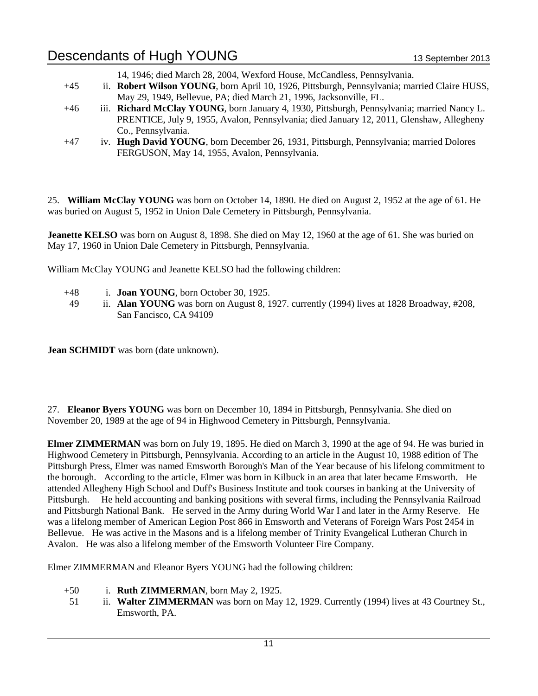- 14, 1946; died March 28, 2004, Wexford House, McCandless, Pennsylvania.
- +45 ii. **Robert Wilson YOUNG**, born April 10, 1926, Pittsburgh, Pennsylvania; married Claire HUSS, May 29, 1949, Bellevue, PA; died March 21, 1996, Jacksonville, FL.
- +46 iii. **Richard McClay YOUNG**, born January 4, 1930, Pittsburgh, Pennsylvania; married Nancy L. PRENTICE, July 9, 1955, Avalon, Pennsylvania; died January 12, 2011, Glenshaw, Allegheny Co., Pennsylvania.
- +47 iv. **Hugh David YOUNG**, born December 26, 1931, Pittsburgh, Pennsylvania; married Dolores FERGUSON, May 14, 1955, Avalon, Pennsylvania.

25. **William McClay YOUNG** was born on October 14, 1890. He died on August 2, 1952 at the age of 61. He was buried on August 5, 1952 in Union Dale Cemetery in Pittsburgh, Pennsylvania.

**Jeanette KELSO** was born on August 8, 1898. She died on May 12, 1960 at the age of 61. She was buried on May 17, 1960 in Union Dale Cemetery in Pittsburgh, Pennsylvania.

William McClay YOUNG and Jeanette KELSO had the following children:

- +48 i. **Joan YOUNG**, born October 30, 1925.
- 49 ii. **Alan YOUNG** was born on August 8, 1927. currently (1994) lives at 1828 Broadway, #208, San Fancisco, CA 94109

**Jean SCHMIDT** was born (date unknown).

27. **Eleanor Byers YOUNG** was born on December 10, 1894 in Pittsburgh, Pennsylvania. She died on November 20, 1989 at the age of 94 in Highwood Cemetery in Pittsburgh, Pennsylvania.

**Elmer ZIMMERMAN** was born on July 19, 1895. He died on March 3, 1990 at the age of 94. He was buried in Highwood Cemetery in Pittsburgh, Pennsylvania. According to an article in the August 10, 1988 edition of The Pittsburgh Press, Elmer was named Emsworth Borough's Man of the Year because of his lifelong commitment to the borough. According to the article, Elmer was born in Kilbuck in an area that later became Emsworth. He attended Allegheny High School and Duff's Business Institute and took courses in banking at the University of Pittsburgh. He held accounting and banking positions with several firms, including the Pennsylvania Railroad and Pittsburgh National Bank. He served in the Army during World War I and later in the Army Reserve. He was a lifelong member of American Legion Post 866 in Emsworth and Veterans of Foreign Wars Post 2454 in Bellevue. He was active in the Masons and is a lifelong member of Trinity Evangelical Lutheran Church in Avalon. He was also a lifelong member of the Emsworth Volunteer Fire Company.

Elmer ZIMMERMAN and Eleanor Byers YOUNG had the following children:

- +50 i. **Ruth ZIMMERMAN**, born May 2, 1925.
- 51 ii. **Walter ZIMMERMAN** was born on May 12, 1929. Currently (1994) lives at 43 Courtney St., Emsworth, PA.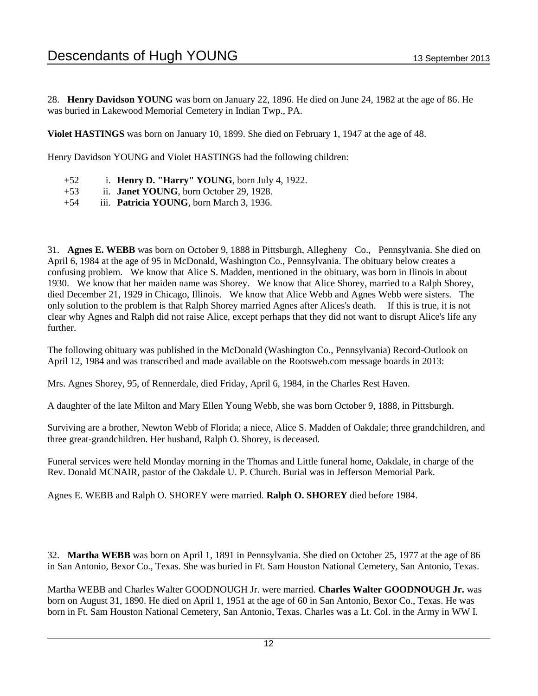28. **Henry Davidson YOUNG** was born on January 22, 1896. He died on June 24, 1982 at the age of 86. He was buried in Lakewood Memorial Cemetery in Indian Twp., PA.

**Violet HASTINGS** was born on January 10, 1899. She died on February 1, 1947 at the age of 48.

Henry Davidson YOUNG and Violet HASTINGS had the following children:

- +52 i. **Henry D. "Harry" YOUNG**, born July 4, 1922.
- +53 ii. **Janet YOUNG**, born October 29, 1928.
- +54 iii. **Patricia YOUNG**, born March 3, 1936.

31. **Agnes E. WEBB** was born on October 9, 1888 in Pittsburgh, Allegheny Co., Pennsylvania. She died on April 6, 1984 at the age of 95 in McDonald, Washington Co., Pennsylvania. The obituary below creates a confusing problem. We know that Alice S. Madden, mentioned in the obituary, was born in Ilinois in about 1930. We know that her maiden name was Shorey. We know that Alice Shorey, married to a Ralph Shorey, died December 21, 1929 in Chicago, Illinois. We know that Alice Webb and Agnes Webb were sisters. The only solution to the problem is that Ralph Shorey married Agnes after Alices's death. If this is true, it is not clear why Agnes and Ralph did not raise Alice, except perhaps that they did not want to disrupt Alice's life any further.

The following obituary was published in the McDonald (Washington Co., Pennsylvania) Record-Outlook on April 12, 1984 and was transcribed and made available on the Rootsweb.com message boards in 2013:

Mrs. Agnes Shorey, 95, of Rennerdale, died Friday, April 6, 1984, in the Charles Rest Haven.

A daughter of the late Milton and Mary Ellen Young Webb, she was born October 9, 1888, in Pittsburgh.

Surviving are a brother, Newton Webb of Florida; a niece, Alice S. Madden of Oakdale; three grandchildren, and three great-grandchildren. Her husband, Ralph O. Shorey, is deceased.

Funeral services were held Monday morning in the Thomas and Little funeral home, Oakdale, in charge of the Rev. Donald MCNAIR, pastor of the Oakdale U. P. Church. Burial was in Jefferson Memorial Park.

Agnes E. WEBB and Ralph O. SHOREY were married. **Ralph O. SHOREY** died before 1984.

32. **Martha WEBB** was born on April 1, 1891 in Pennsylvania. She died on October 25, 1977 at the age of 86 in San Antonio, Bexor Co., Texas. She was buried in Ft. Sam Houston National Cemetery, San Antonio, Texas.

Martha WEBB and Charles Walter GOODNOUGH Jr. were married. **Charles Walter GOODNOUGH Jr.** was born on August 31, 1890. He died on April 1, 1951 at the age of 60 in San Antonio, Bexor Co., Texas. He was born in Ft. Sam Houston National Cemetery, San Antonio, Texas. Charles was a Lt. Col. in the Army in WW I.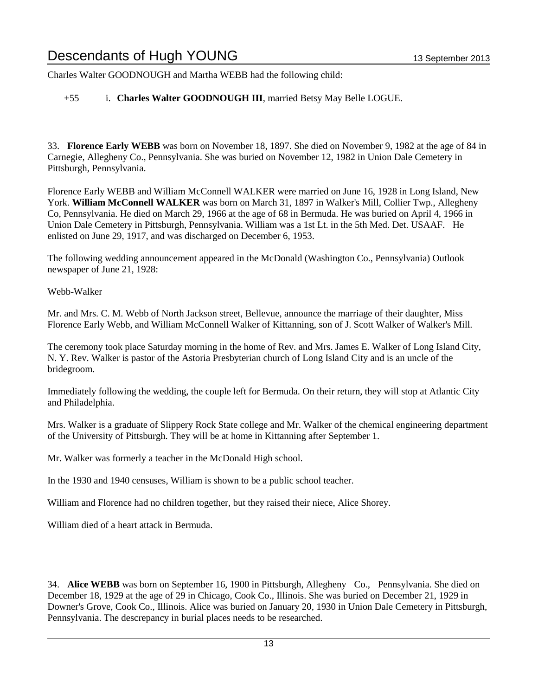Charles Walter GOODNOUGH and Martha WEBB had the following child:

### +55 i. **Charles Walter GOODNOUGH III**, married Betsy May Belle LOGUE.

33. **Florence Early WEBB** was born on November 18, 1897. She died on November 9, 1982 at the age of 84 in Carnegie, Allegheny Co., Pennsylvania. She was buried on November 12, 1982 in Union Dale Cemetery in Pittsburgh, Pennsylvania.

Florence Early WEBB and William McConnell WALKER were married on June 16, 1928 in Long Island, New York. **William McConnell WALKER** was born on March 31, 1897 in Walker's Mill, Collier Twp., Allegheny Co, Pennsylvania. He died on March 29, 1966 at the age of 68 in Bermuda. He was buried on April 4, 1966 in Union Dale Cemetery in Pittsburgh, Pennsylvania. William was a 1st Lt. in the 5th Med. Det. USAAF. He enlisted on June 29, 1917, and was discharged on December 6, 1953.

The following wedding announcement appeared in the McDonald (Washington Co., Pennsylvania) Outlook newspaper of June 21, 1928:

Webb-Walker

Mr. and Mrs. C. M. Webb of North Jackson street, Bellevue, announce the marriage of their daughter, Miss Florence Early Webb, and William McConnell Walker of Kittanning, son of J. Scott Walker of Walker's Mill.

The ceremony took place Saturday morning in the home of Rev. and Mrs. James E. Walker of Long Island City, N. Y. Rev. Walker is pastor of the Astoria Presbyterian church of Long Island City and is an uncle of the bridegroom.

Immediately following the wedding, the couple left for Bermuda. On their return, they will stop at Atlantic City and Philadelphia.

Mrs. Walker is a graduate of Slippery Rock State college and Mr. Walker of the chemical engineering department of the University of Pittsburgh. They will be at home in Kittanning after September 1.

Mr. Walker was formerly a teacher in the McDonald High school.

In the 1930 and 1940 censuses, William is shown to be a public school teacher.

William and Florence had no children together, but they raised their niece, Alice Shorey.

William died of a heart attack in Bermuda.

34. **Alice WEBB** was born on September 16, 1900 in Pittsburgh, Allegheny Co., Pennsylvania. She died on December 18, 1929 at the age of 29 in Chicago, Cook Co., Illinois. She was buried on December 21, 1929 in Downer's Grove, Cook Co., Illinois. Alice was buried on January 20, 1930 in Union Dale Cemetery in Pittsburgh, Pennsylvania. The descrepancy in burial places needs to be researched.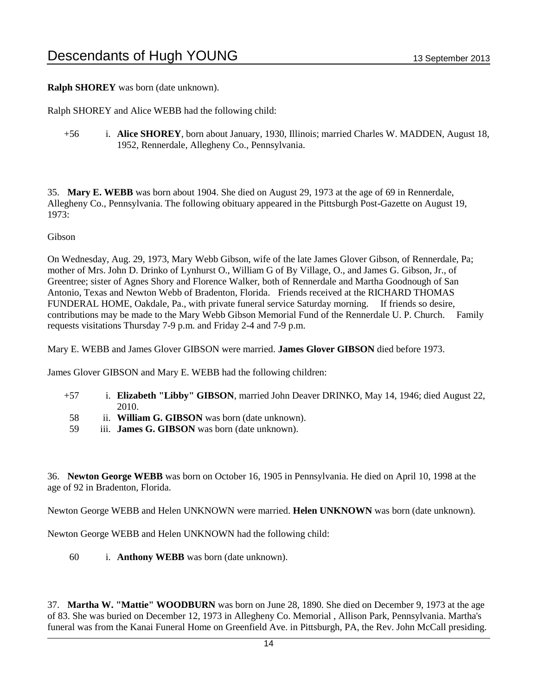**Ralph SHOREY** was born (date unknown).

Ralph SHOREY and Alice WEBB had the following child:

+56 i. **Alice SHOREY**, born about January, 1930, Illinois; married Charles W. MADDEN, August 18, 1952, Rennerdale, Allegheny Co., Pennsylvania.

35. **Mary E. WEBB** was born about 1904. She died on August 29, 1973 at the age of 69 in Rennerdale, Allegheny Co., Pennsylvania. The following obituary appeared in the Pittsburgh Post-Gazette on August 19, 1973:

Gibson

On Wednesday, Aug. 29, 1973, Mary Webb Gibson, wife of the late James Glover Gibson, of Rennerdale, Pa; mother of Mrs. John D. Drinko of Lynhurst O., William G of By Village, O., and James G. Gibson, Jr., of Greentree; sister of Agnes Shory and Florence Walker, both of Rennerdale and Martha Goodnough of San Antonio, Texas and Newton Webb of Bradenton, Florida. Friends received at the RICHARD THOMAS FUNDERAL HOME, Oakdale, Pa., with private funeral service Saturday morning. If friends so desire, contributions may be made to the Mary Webb Gibson Memorial Fund of the Rennerdale U. P. Church. Family requests visitations Thursday 7-9 p.m. and Friday 2-4 and 7-9 p.m.

Mary E. WEBB and James Glover GIBSON were married. **James Glover GIBSON** died before 1973.

James Glover GIBSON and Mary E. WEBB had the following children:

- +57 i. **Elizabeth "Libby" GIBSON**, married John Deaver DRINKO, May 14, 1946; died August 22, 2010.
- 58 ii. **William G. GIBSON** was born (date unknown).
- 59 iii. **James G. GIBSON** was born (date unknown).

36. **Newton George WEBB** was born on October 16, 1905 in Pennsylvania. He died on April 10, 1998 at the age of 92 in Bradenton, Florida.

Newton George WEBB and Helen UNKNOWN were married. **Helen UNKNOWN** was born (date unknown).

Newton George WEBB and Helen UNKNOWN had the following child:

60 i. **Anthony WEBB** was born (date unknown).

37. **Martha W. "Mattie" WOODBURN** was born on June 28, 1890. She died on December 9, 1973 at the age of 83. She was buried on December 12, 1973 in Allegheny Co. Memorial , Allison Park, Pennsylvania. Martha's funeral was from the Kanai Funeral Home on Greenfield Ave. in Pittsburgh, PA, the Rev. John McCall presiding.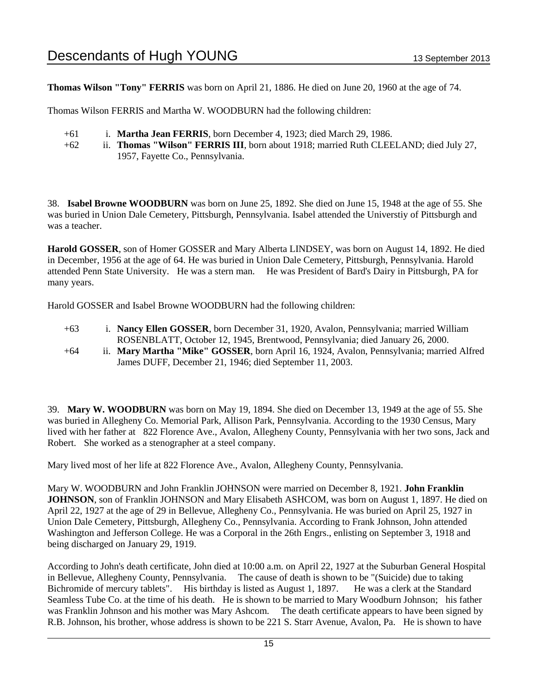**Thomas Wilson "Tony" FERRIS** was born on April 21, 1886. He died on June 20, 1960 at the age of 74.

Thomas Wilson FERRIS and Martha W. WOODBURN had the following children:

- +61 i. **Martha Jean FERRIS**, born December 4, 1923; died March 29, 1986.
- +62 ii. **Thomas "Wilson" FERRIS III**, born about 1918; married Ruth CLEELAND; died July 27, 1957, Fayette Co., Pennsylvania.

38. **Isabel Browne WOODBURN** was born on June 25, 1892. She died on June 15, 1948 at the age of 55. She was buried in Union Dale Cemetery, Pittsburgh, Pennsylvania. Isabel attended the Universtiy of Pittsburgh and was a teacher.

**Harold GOSSER**, son of Homer GOSSER and Mary Alberta LINDSEY, was born on August 14, 1892. He died in December, 1956 at the age of 64. He was buried in Union Dale Cemetery, Pittsburgh, Pennsylvania. Harold attended Penn State University. He was a stern man. He was President of Bard's Dairy in Pittsburgh, PA for many years.

Harold GOSSER and Isabel Browne WOODBURN had the following children:

- +63 i. **Nancy Ellen GOSSER**, born December 31, 1920, Avalon, Pennsylvania; married William ROSENBLATT, October 12, 1945, Brentwood, Pennsylvania; died January 26, 2000.
- +64 ii. **Mary Martha "Mike" GOSSER**, born April 16, 1924, Avalon, Pennsylvania; married Alfred James DUFF, December 21, 1946; died September 11, 2003.

39. **Mary W. WOODBURN** was born on May 19, 1894. She died on December 13, 1949 at the age of 55. She was buried in Allegheny Co. Memorial Park, Allison Park, Pennsylvania. According to the 1930 Census, Mary lived with her father at 822 Florence Ave., Avalon, Allegheny County, Pennsylvania with her two sons, Jack and Robert. She worked as a stenographer at a steel company.

Mary lived most of her life at 822 Florence Ave., Avalon, Allegheny County, Pennsylvania.

Mary W. WOODBURN and John Franklin JOHNSON were married on December 8, 1921. **John Franklin JOHNSON**, son of Franklin JOHNSON and Mary Elisabeth ASHCOM, was born on August 1, 1897. He died on April 22, 1927 at the age of 29 in Bellevue, Allegheny Co., Pennsylvania. He was buried on April 25, 1927 in Union Dale Cemetery, Pittsburgh, Allegheny Co., Pennsylvania. According to Frank Johnson, John attended Washington and Jefferson College. He was a Corporal in the 26th Engrs., enlisting on September 3, 1918 and being discharged on January 29, 1919.

According to John's death certificate, John died at 10:00 a.m. on April 22, 1927 at the Suburban General Hospital in Bellevue, Allegheny County, Pennsylvania. The cause of death is shown to be "(Suicide) due to taking Bichromide of mercury tablets". His birthday is listed as August 1, 1897. He was a clerk at the Standard Seamless Tube Co. at the time of his death. He is shown to be married to Mary Woodburn Johnson; his father was Franklin Johnson and his mother was Mary Ashcom. The death certificate appears to have been signed by R.B. Johnson, his brother, whose address is shown to be 221 S. Starr Avenue, Avalon, Pa. He is shown to have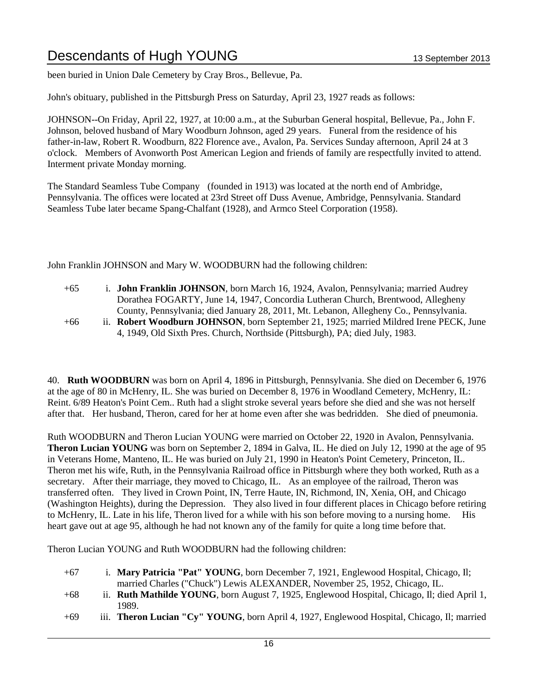been buried in Union Dale Cemetery by Cray Bros., Bellevue, Pa.

John's obituary, published in the Pittsburgh Press on Saturday, April 23, 1927 reads as follows:

JOHNSON--On Friday, April 22, 1927, at 10:00 a.m., at the Suburban General hospital, Bellevue, Pa., John F. Johnson, beloved husband of Mary Woodburn Johnson, aged 29 years. Funeral from the residence of his father-in-law, Robert R. Woodburn, 822 Florence ave., Avalon, Pa. Services Sunday afternoon, April 24 at 3 o'clock. Members of Avonworth Post American Legion and friends of family are respectfully invited to attend. Interment private Monday morning.

The Standard Seamless Tube Company (founded in 1913) was located at the north end of Ambridge, Pennsylvania. The offices were located at 23rd Street off Duss Avenue, Ambridge, Pennsylvania. Standard Seamless Tube later became Spang-Chalfant (1928), and Armco Steel Corporation (1958).

John Franklin JOHNSON and Mary W. WOODBURN had the following children:

- +65 i. **John Franklin JOHNSON**, born March 16, 1924, Avalon, Pennsylvania; married Audrey Dorathea FOGARTY, June 14, 1947, Concordia Lutheran Church, Brentwood, Allegheny County, Pennsylvania; died January 28, 2011, Mt. Lebanon, Allegheny Co., Pennsylvania.
- +66 ii. **Robert Woodburn JOHNSON**, born September 21, 1925; married Mildred Irene PECK, June 4, 1949, Old Sixth Pres. Church, Northside (Pittsburgh), PA; died July, 1983.

40. **Ruth WOODBURN** was born on April 4, 1896 in Pittsburgh, Pennsylvania. She died on December 6, 1976 at the age of 80 in McHenry, IL. She was buried on December 8, 1976 in Woodland Cemetery, McHenry, IL: Reint. 6/89 Heaton's Point Cem.. Ruth had a slight stroke several years before she died and she was not herself after that. Her husband, Theron, cared for her at home even after she was bedridden. She died of pneumonia.

Ruth WOODBURN and Theron Lucian YOUNG were married on October 22, 1920 in Avalon, Pennsylvania. **Theron Lucian YOUNG** was born on September 2, 1894 in Galva, IL. He died on July 12, 1990 at the age of 95 in Veterans Home, Manteno, IL. He was buried on July 21, 1990 in Heaton's Point Cemetery, Princeton, IL. Theron met his wife, Ruth, in the Pennsylvania Railroad office in Pittsburgh where they both worked, Ruth as a secretary. After their marriage, they moved to Chicago, IL. As an employee of the railroad, Theron was transferred often. They lived in Crown Point, IN, Terre Haute, IN, Richmond, IN, Xenia, OH, and Chicago (Washington Heights), during the Depression. They also lived in four different places in Chicago before retiring to McHenry, IL. Late in his life, Theron lived for a while with his son before moving to a nursing home. His heart gave out at age 95, although he had not known any of the family for quite a long time before that.

Theron Lucian YOUNG and Ruth WOODBURN had the following children:

- +67 i. **Mary Patricia "Pat" YOUNG**, born December 7, 1921, Englewood Hospital, Chicago, Il; married Charles ("Chuck") Lewis ALEXANDER, November 25, 1952, Chicago, IL.
- +68 ii. **Ruth Mathilde YOUNG**, born August 7, 1925, Englewood Hospital, Chicago, Il; died April 1, 1989.
- +69 iii. **Theron Lucian "Cy" YOUNG**, born April 4, 1927, Englewood Hospital, Chicago, Il; married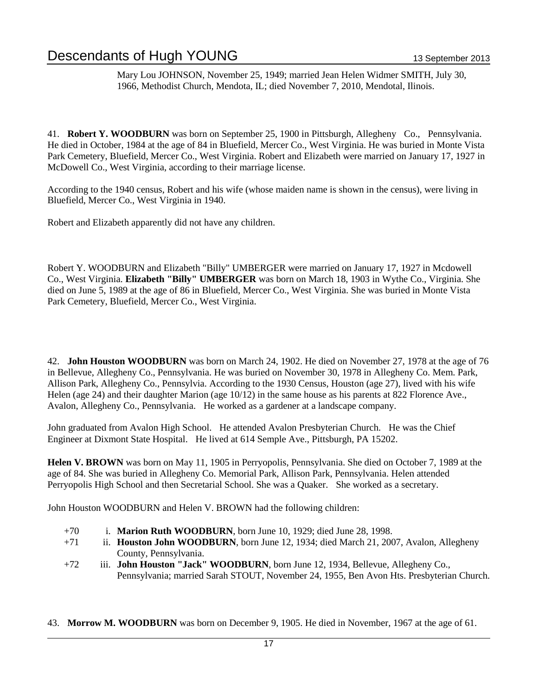Mary Lou JOHNSON, November 25, 1949; married Jean Helen Widmer SMITH, July 30, 1966, Methodist Church, Mendota, IL; died November 7, 2010, Mendotal, Ilinois.

41. **Robert Y. WOODBURN** was born on September 25, 1900 in Pittsburgh, Allegheny Co., Pennsylvania. He died in October, 1984 at the age of 84 in Bluefield, Mercer Co., West Virginia. He was buried in Monte Vista Park Cemetery, Bluefield, Mercer Co., West Virginia. Robert and Elizabeth were married on January 17, 1927 in McDowell Co., West Virginia, according to their marriage license.

According to the 1940 census, Robert and his wife (whose maiden name is shown in the census), were living in Bluefield, Mercer Co., West Virginia in 1940.

Robert and Elizabeth apparently did not have any children.

Robert Y. WOODBURN and Elizabeth "Billy" UMBERGER were married on January 17, 1927 in Mcdowell Co., West Virginia. **Elizabeth "Billy" UMBERGER** was born on March 18, 1903 in Wythe Co., Virginia. She died on June 5, 1989 at the age of 86 in Bluefield, Mercer Co., West Virginia. She was buried in Monte Vista Park Cemetery, Bluefield, Mercer Co., West Virginia.

42. **John Houston WOODBURN** was born on March 24, 1902. He died on November 27, 1978 at the age of 76 in Bellevue, Allegheny Co., Pennsylvania. He was buried on November 30, 1978 in Allegheny Co. Mem. Park, Allison Park, Allegheny Co., Pennsylvia. According to the 1930 Census, Houston (age 27), lived with his wife Helen (age 24) and their daughter Marion (age 10/12) in the same house as his parents at 822 Florence Ave., Avalon, Allegheny Co., Pennsylvania. He worked as a gardener at a landscape company.

John graduated from Avalon High School. He attended Avalon Presbyterian Church. He was the Chief Engineer at Dixmont State Hospital. He lived at 614 Semple Ave., Pittsburgh, PA 15202.

**Helen V. BROWN** was born on May 11, 1905 in Perryopolis, Pennsylvania. She died on October 7, 1989 at the age of 84. She was buried in Allegheny Co. Memorial Park, Allison Park, Pennsylvania. Helen attended Perryopolis High School and then Secretarial School. She was a Quaker. She worked as a secretary.

John Houston WOODBURN and Helen V. BROWN had the following children:

- +70 i. **Marion Ruth WOODBURN**, born June 10, 1929; died June 28, 1998.
- +71 ii. **Houston John WOODBURN**, born June 12, 1934; died March 21, 2007, Avalon, Allegheny County, Pennsylvania.
- +72 iii. **John Houston "Jack" WOODBURN**, born June 12, 1934, Bellevue, Allegheny Co., Pennsylvania; married Sarah STOUT, November 24, 1955, Ben Avon Hts. Presbyterian Church.

43. **Morrow M. WOODBURN** was born on December 9, 1905. He died in November, 1967 at the age of 61.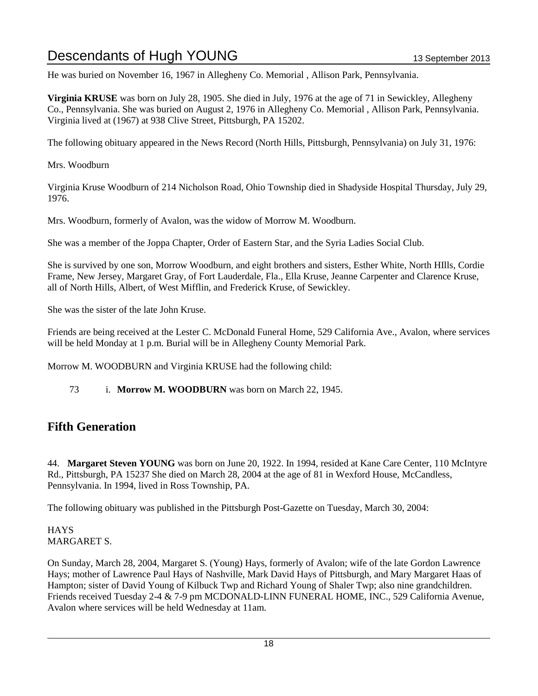He was buried on November 16, 1967 in Allegheny Co. Memorial , Allison Park, Pennsylvania.

**Virginia KRUSE** was born on July 28, 1905. She died in July, 1976 at the age of 71 in Sewickley, Allegheny Co., Pennsylvania. She was buried on August 2, 1976 in Allegheny Co. Memorial , Allison Park, Pennsylvania. Virginia lived at (1967) at 938 Clive Street, Pittsburgh, PA 15202.

The following obituary appeared in the News Record (North Hills, Pittsburgh, Pennsylvania) on July 31, 1976:

Mrs. Woodburn

Virginia Kruse Woodburn of 214 Nicholson Road, Ohio Township died in Shadyside Hospital Thursday, July 29, 1976.

Mrs. Woodburn, formerly of Avalon, was the widow of Morrow M. Woodburn.

She was a member of the Joppa Chapter, Order of Eastern Star, and the Syria Ladies Social Club.

She is survived by one son, Morrow Woodburn, and eight brothers and sisters, Esther White, North HIlls, Cordie Frame, New Jersey, Margaret Gray, of Fort Lauderdale, Fla., Ella Kruse, Jeanne Carpenter and Clarence Kruse, all of North Hills, Albert, of West Mifflin, and Frederick Kruse, of Sewickley.

She was the sister of the late John Kruse.

Friends are being received at the Lester C. McDonald Funeral Home, 529 California Ave., Avalon, where services will be held Monday at 1 p.m. Burial will be in Allegheny County Memorial Park.

Morrow M. WOODBURN and Virginia KRUSE had the following child:

73 i. **Morrow M. WOODBURN** was born on March 22, 1945.

### **Fifth Generation**

44. **Margaret Steven YOUNG** was born on June 20, 1922. In 1994, resided at Kane Care Center, 110 McIntyre Rd., Pittsburgh, PA 15237 She died on March 28, 2004 at the age of 81 in Wexford House, McCandless, Pennsylvania. In 1994, lived in Ross Township, PA.

The following obituary was published in the Pittsburgh Post-Gazette on Tuesday, March 30, 2004:

**HAYS** MARGARET S.

On Sunday, March 28, 2004, Margaret S. (Young) Hays, formerly of Avalon; wife of the late Gordon Lawrence Hays; mother of Lawrence Paul Hays of Nashville, Mark David Hays of Pittsburgh, and Mary Margaret Haas of Hampton; sister of David Young of Kilbuck Twp and Richard Young of Shaler Twp; also nine grandchildren. Friends received Tuesday 2-4 & 7-9 pm MCDONALD-LINN FUNERAL HOME, INC., 529 California Avenue, Avalon where services will be held Wednesday at 11am.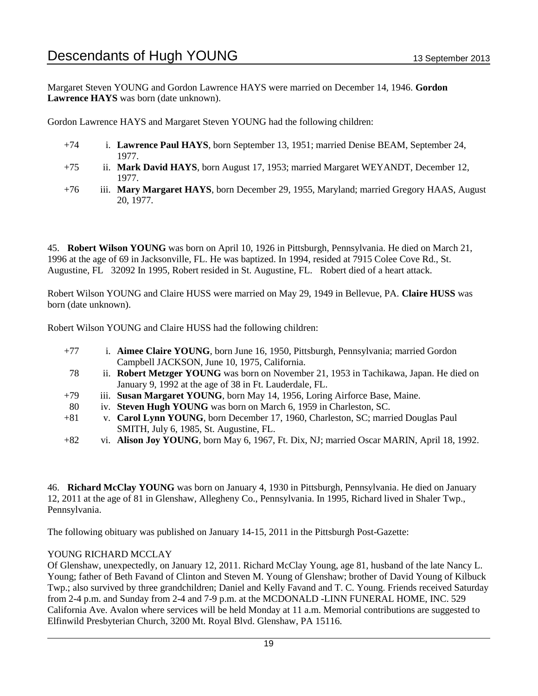Margaret Steven YOUNG and Gordon Lawrence HAYS were married on December 14, 1946. **Gordon Lawrence HAYS** was born (date unknown).

Gordon Lawrence HAYS and Margaret Steven YOUNG had the following children:

- +74 i. **Lawrence Paul HAYS**, born September 13, 1951; married Denise BEAM, September 24, 1977.
- +75 ii. **Mark David HAYS**, born August 17, 1953; married Margaret WEYANDT, December 12, 1977.
- +76 iii. **Mary Margaret HAYS**, born December 29, 1955, Maryland; married Gregory HAAS, August 20, 1977.

45. **Robert Wilson YOUNG** was born on April 10, 1926 in Pittsburgh, Pennsylvania. He died on March 21, 1996 at the age of 69 in Jacksonville, FL. He was baptized. In 1994, resided at 7915 Colee Cove Rd., St. Augustine, FL 32092 In 1995, Robert resided in St. Augustine, FL. Robert died of a heart attack.

Robert Wilson YOUNG and Claire HUSS were married on May 29, 1949 in Bellevue, PA. **Claire HUSS** was born (date unknown).

Robert Wilson YOUNG and Claire HUSS had the following children:

- +77 i. **Aimee Claire YOUNG**, born June 16, 1950, Pittsburgh, Pennsylvania; married Gordon Campbell JACKSON, June 10, 1975, California. 78 ii. **Robert Metzger YOUNG** was born on November 21, 1953 in Tachikawa, Japan. He died on January 9, 1992 at the age of 38 in Ft. Lauderdale, FL.
- +79 iii. **Susan Margaret YOUNG**, born May 14, 1956, Loring Airforce Base, Maine.
- 80 iv. **Steven Hugh YOUNG** was born on March 6, 1959 in Charleston, SC.
- +81 v. **Carol Lynn YOUNG**, born December 17, 1960, Charleston, SC; married Douglas Paul SMITH, July 6, 1985, St. Augustine, FL.
- +82 vi. **Alison Joy YOUNG**, born May 6, 1967, Ft. Dix, NJ; married Oscar MARIN, April 18, 1992.

46. **Richard McClay YOUNG** was born on January 4, 1930 in Pittsburgh, Pennsylvania. He died on January 12, 2011 at the age of 81 in Glenshaw, Allegheny Co., Pennsylvania. In 1995, Richard lived in Shaler Twp., Pennsylvania.

The following obituary was published on January 14-15, 2011 in the Pittsburgh Post-Gazette:

#### YOUNG RICHARD MCCLAY

Of Glenshaw, unexpectedly, on January 12, 2011. Richard McClay Young, age 81, husband of the late Nancy L. Young; father of Beth Favand of Clinton and Steven M. Young of Glenshaw; brother of David Young of Kilbuck Twp.; also survived by three grandchildren; Daniel and Kelly Favand and T. C. Young. Friends received Saturday from 2-4 p.m. and Sunday from 2-4 and 7-9 p.m. at the MCDONALD -LINN FUNERAL HOME, INC. 529 California Ave. Avalon where services will be held Monday at 11 a.m. Memorial contributions are suggested to Elfinwild Presbyterian Church, 3200 Mt. Royal Blvd. Glenshaw, PA 15116.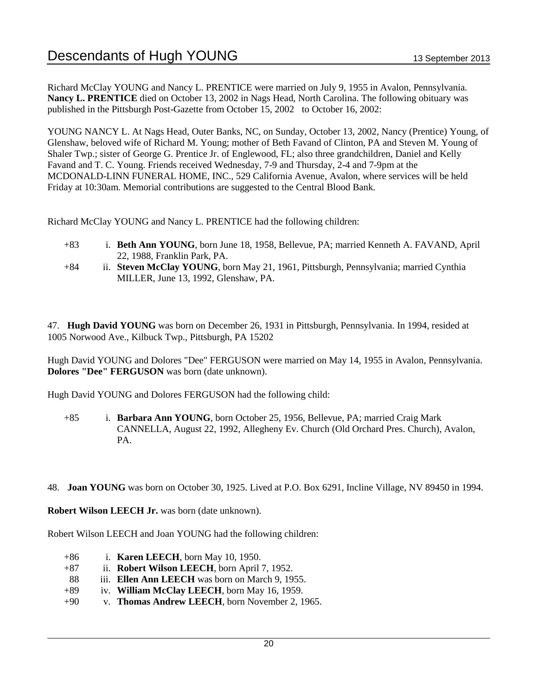Richard McClay YOUNG and Nancy L. PRENTICE were married on July 9, 1955 in Avalon, Pennsylvania. **Nancy L. PRENTICE** died on October 13, 2002 in Nags Head, North Carolina. The following obituary was published in the Pittsburgh Post-Gazette from October 15, 2002 to October 16, 2002:

YOUNG NANCY L. At Nags Head, Outer Banks, NC, on Sunday, October 13, 2002, Nancy (Prentice) Young, of Glenshaw, beloved wife of Richard M. Young; mother of Beth Favand of Clinton, PA and Steven M. Young of Shaler Twp.; sister of George G. Prentice Jr. of Englewood, FL; also three grandchildren, Daniel and Kelly Favand and T. C. Young. Friends received Wednesday, 7-9 and Thursday, 2-4 and 7-9pm at the MCDONALD-LINN FUNERAL HOME, INC., 529 California Avenue, Avalon, where services will be held Friday at 10:30am. Memorial contributions are suggested to the Central Blood Bank.

Richard McClay YOUNG and Nancy L. PRENTICE had the following children:

- +83 i. **Beth Ann YOUNG**, born June 18, 1958, Bellevue, PA; married Kenneth A. FAVAND, April 22, 1988, Franklin Park, PA.
- +84 ii. **Steven McClay YOUNG**, born May 21, 1961, Pittsburgh, Pennsylvania; married Cynthia MILLER, June 13, 1992, Glenshaw, PA.

47. **Hugh David YOUNG** was born on December 26, 1931 in Pittsburgh, Pennsylvania. In 1994, resided at 1005 Norwood Ave., Kilbuck Twp., Pittsburgh, PA 15202

Hugh David YOUNG and Dolores "Dee" FERGUSON were married on May 14, 1955 in Avalon, Pennsylvania. **Dolores "Dee" FERGUSON** was born (date unknown).

Hugh David YOUNG and Dolores FERGUSON had the following child:

- +85 i. **Barbara Ann YOUNG**, born October 25, 1956, Bellevue, PA; married Craig Mark CANNELLA, August 22, 1992, Allegheny Ev. Church (Old Orchard Pres. Church), Avalon, PA.
- 48. **Joan YOUNG** was born on October 30, 1925. Lived at P.O. Box 6291, Incline Village, NV 89450 in 1994.

**Robert Wilson LEECH Jr.** was born (date unknown).

Robert Wilson LEECH and Joan YOUNG had the following children:

- +86 i. **Karen LEECH**, born May 10, 1950.
- +87 ii. **Robert Wilson LEECH**, born April 7, 1952.
- 88 iii. **Ellen Ann LEECH** was born on March 9, 1955.
- +89 iv. **William McClay LEECH**, born May 16, 1959.
- +90 v. **Thomas Andrew LEECH**, born November 2, 1965.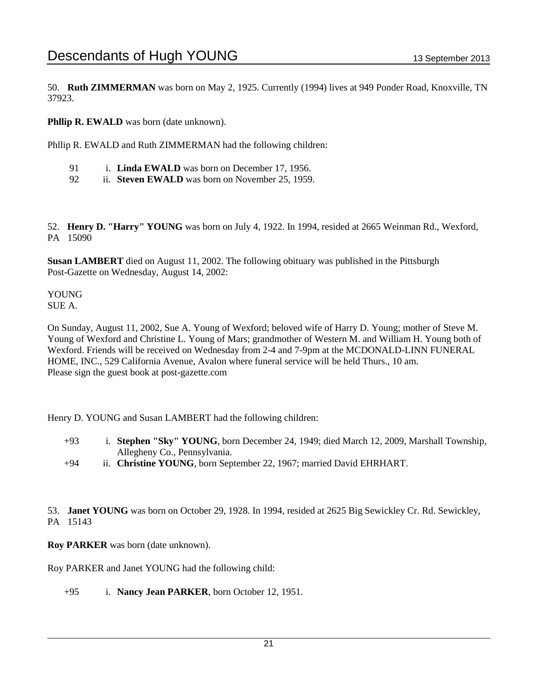50. **Ruth ZIMMERMAN** was born on May 2, 1925. Currently (1994) lives at 949 Ponder Road, Knoxville, TN 37923.

**Phllip R. EWALD** was born (date unknown).

Phllip R. EWALD and Ruth ZIMMERMAN had the following children:

- 91 i. **Linda EWALD** was born on December 17, 1956.
- 92 ii. **Steven EWALD** was born on November 25, 1959.

52. **Henry D. "Harry" YOUNG** was born on July 4, 1922. In 1994, resided at 2665 Weinman Rd., Wexford, PA 15090

**Susan LAMBERT** died on August 11, 2002. The following obituary was published in the Pittsburgh Post-Gazette on Wednesday, August 14, 2002:

YOUNG SUE A.

On Sunday, August 11, 2002, Sue A. Young of Wexford; beloved wife of Harry D. Young; mother of Steve M. Young of Wexford and Christine L. Young of Mars; grandmother of Western M. and William H. Young both of Wexford. Friends will be received on Wednesday from 2-4 and 7-9pm at the MCDONALD-LINN FUNERAL HOME, INC., 529 California Avenue, Avalon where funeral service will be held Thurs., 10 am. Please sign the guest book at post-gazette.com

Henry D. YOUNG and Susan LAMBERT had the following children:

- +93 i. **Stephen "Sky" YOUNG**, born December 24, 1949; died March 12, 2009, Marshall Township, Allegheny Co., Pennsylvania.
- +94 ii. **Christine YOUNG**, born September 22, 1967; married David EHRHART.

53. **Janet YOUNG** was born on October 29, 1928. In 1994, resided at 2625 Big Sewickley Cr. Rd. Sewickley, PA 15143

**Roy PARKER** was born (date unknown).

Roy PARKER and Janet YOUNG had the following child:

+95 i. **Nancy Jean PARKER**, born October 12, 1951.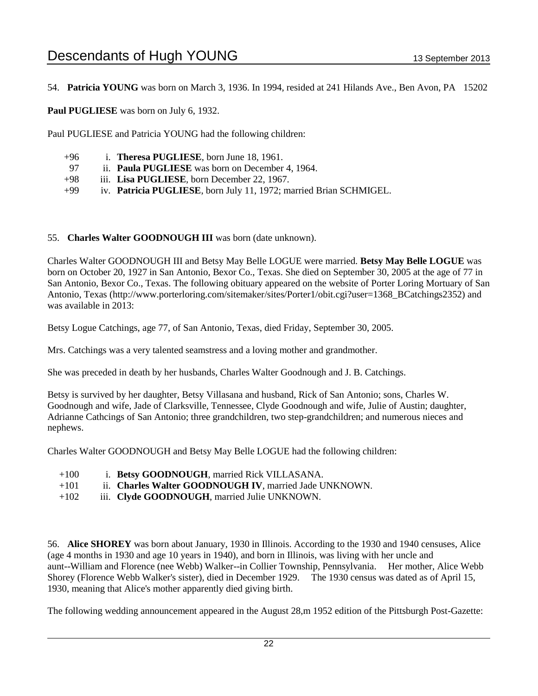54. **Patricia YOUNG** was born on March 3, 1936. In 1994, resided at 241 Hilands Ave., Ben Avon, PA 15202

**Paul PUGLIESE** was born on July 6, 1932.

Paul PUGLIESE and Patricia YOUNG had the following children:

- +96 i. **Theresa PUGLIESE**, born June 18, 1961.
- 97 ii. **Paula PUGLIESE** was born on December 4, 1964.
- +98 iii. **Lisa PUGLIESE**, born December 22, 1967.
- +99 iv. **Patricia PUGLIESE**, born July 11, 1972; married Brian SCHMIGEL.

#### 55. **Charles Walter GOODNOUGH III** was born (date unknown).

Charles Walter GOODNOUGH III and Betsy May Belle LOGUE were married. **Betsy May Belle LOGUE** was born on October 20, 1927 in San Antonio, Bexor Co., Texas. She died on September 30, 2005 at the age of 77 in San Antonio, Bexor Co., Texas. The following obituary appeared on the website of Porter Loring Mortuary of San Antonio, Texas (http://www.porterloring.com/sitemaker/sites/Porter1/obit.cgi?user=1368\_BCatchings2352) and was available in 2013:

Betsy Logue Catchings, age 77, of San Antonio, Texas, died Friday, September 30, 2005.

Mrs. Catchings was a very talented seamstress and a loving mother and grandmother.

She was preceded in death by her husbands, Charles Walter Goodnough and J. B. Catchings.

Betsy is survived by her daughter, Betsy Villasana and husband, Rick of San Antonio; sons, Charles W. Goodnough and wife, Jade of Clarksville, Tennessee, Clyde Goodnough and wife, Julie of Austin; daughter, Adrianne Cathcings of San Antonio; three grandchildren, two step-grandchildren; and numerous nieces and nephews.

Charles Walter GOODNOUGH and Betsy May Belle LOGUE had the following children:

- +100 i. **Betsy GOODNOUGH**, married Rick VILLASANA.
- +101 ii. **Charles Walter GOODNOUGH IV**, married Jade UNKNOWN.
- +102 iii. **Clyde GOODNOUGH**, married Julie UNKNOWN.

56. **Alice SHOREY** was born about January, 1930 in Illinois. According to the 1930 and 1940 censuses, Alice (age 4 months in 1930 and age 10 years in 1940), and born in Illinois, was living with her uncle and aunt--William and Florence (nee Webb) Walker--in Collier Township, Pennsylvania. Her mother, Alice Webb Shorey (Florence Webb Walker's sister), died in December 1929. The 1930 census was dated as of April 15, 1930, meaning that Alice's mother apparently died giving birth.

The following wedding announcement appeared in the August 28,m 1952 edition of the Pittsburgh Post-Gazette: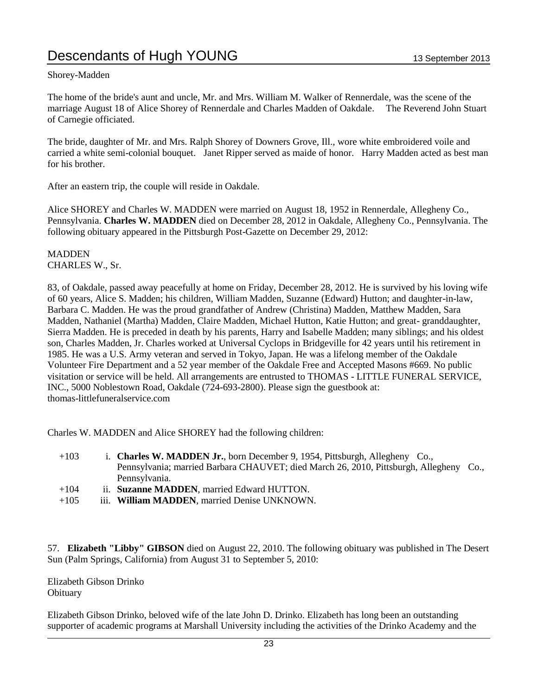#### Shorey-Madden

The home of the bride's aunt and uncle, Mr. and Mrs. William M. Walker of Rennerdale, was the scene of the marriage August 18 of Alice Shorey of Rennerdale and Charles Madden of Oakdale. The Reverend John Stuart of Carnegie officiated.

The bride, daughter of Mr. and Mrs. Ralph Shorey of Downers Grove, Ill., wore white embroidered voile and carried a white semi-colonial bouquet. Janet Ripper served as maide of honor. Harry Madden acted as best man for his brother.

After an eastern trip, the couple will reside in Oakdale.

Alice SHOREY and Charles W. MADDEN were married on August 18, 1952 in Rennerdale, Allegheny Co., Pennsylvania. **Charles W. MADDEN** died on December 28, 2012 in Oakdale, Allegheny Co., Pennsylvania. The following obituary appeared in the Pittsburgh Post-Gazette on December 29, 2012:

MADDEN CHARLES W., Sr.

83, of Oakdale, passed away peacefully at home on Friday, December 28, 2012. He is survived by his loving wife of 60 years, Alice S. Madden; his children, William Madden, Suzanne (Edward) Hutton; and daughter-in-law, Barbara C. Madden. He was the proud grandfather of Andrew (Christina) Madden, Matthew Madden, Sara Madden, Nathaniel (Martha) Madden, Claire Madden, Michael Hutton, Katie Hutton; and great- granddaughter, Sierra Madden. He is preceded in death by his parents, Harry and Isabelle Madden; many siblings; and his oldest son, Charles Madden, Jr. Charles worked at Universal Cyclops in Bridgeville for 42 years until his retirement in 1985. He was a U.S. Army veteran and served in Tokyo, Japan. He was a lifelong member of the Oakdale Volunteer Fire Department and a 52 year member of the Oakdale Free and Accepted Masons #669. No public visitation or service will be held. All arrangements are entrusted to THOMAS - LITTLE FUNERAL SERVICE, INC., 5000 Noblestown Road, Oakdale (724-693-2800). Please sign the guestbook at: thomas-littlefuneralservice.com

Charles W. MADDEN and Alice SHOREY had the following children:

- +103 i. **Charles W. MADDEN Jr.**, born December 9, 1954, Pittsburgh, Allegheny Co., Pennsylvania; married Barbara CHAUVET; died March 26, 2010, Pittsburgh, Allegheny Co., Pennsylvania.
- +104 ii. **Suzanne MADDEN**, married Edward HUTTON.
- +105 iii. **William MADDEN**, married Denise UNKNOWN.

57. **Elizabeth "Libby" GIBSON** died on August 22, 2010. The following obituary was published in The Desert Sun (Palm Springs, California) from August 31 to September 5, 2010:

Elizabeth Gibson Drinko **Obituary** 

Elizabeth Gibson Drinko, beloved wife of the late John D. Drinko. Elizabeth has long been an outstanding supporter of academic programs at Marshall University including the activities of the Drinko Academy and the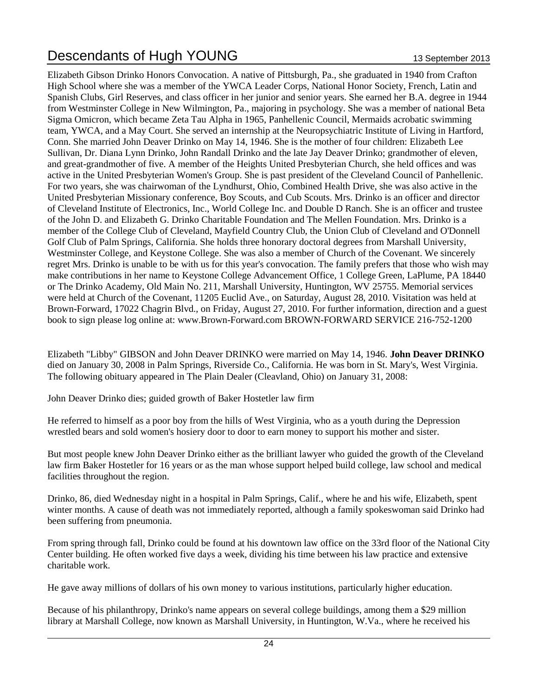Elizabeth Gibson Drinko Honors Convocation. A native of Pittsburgh, Pa., she graduated in 1940 from Crafton High School where she was a member of the YWCA Leader Corps, National Honor Society, French, Latin and Spanish Clubs, Girl Reserves, and class officer in her junior and senior years. She earned her B.A. degree in 1944 from Westminster College in New Wilmington, Pa., majoring in psychology. She was a member of national Beta Sigma Omicron, which became Zeta Tau Alpha in 1965, Panhellenic Council, Mermaids acrobatic swimming team, YWCA, and a May Court. She served an internship at the Neuropsychiatric Institute of Living in Hartford, Conn. She married John Deaver Drinko on May 14, 1946. She is the mother of four children: Elizabeth Lee Sullivan, Dr. Diana Lynn Drinko, John Randall Drinko and the late Jay Deaver Drinko; grandmother of eleven, and great-grandmother of five. A member of the Heights United Presbyterian Church, she held offices and was active in the United Presbyterian Women's Group. She is past president of the Cleveland Council of Panhellenic. For two years, she was chairwoman of the Lyndhurst, Ohio, Combined Health Drive, she was also active in the United Presbyterian Missionary conference, Boy Scouts, and Cub Scouts. Mrs. Drinko is an officer and director of Cleveland Institute of Electronics, Inc., World College Inc. and Double D Ranch. She is an officer and trustee of the John D. and Elizabeth G. Drinko Charitable Foundation and The Mellen Foundation. Mrs. Drinko is a member of the College Club of Cleveland, Mayfield Country Club, the Union Club of Cleveland and O'Donnell Golf Club of Palm Springs, California. She holds three honorary doctoral degrees from Marshall University, Westminster College, and Keystone College. She was also a member of Church of the Covenant. We sincerely regret Mrs. Drinko is unable to be with us for this year's convocation. The family prefers that those who wish may make contributions in her name to Keystone College Advancement Office, 1 College Green, LaPlume, PA 18440 or The Drinko Academy, Old Main No. 211, Marshall University, Huntington, WV 25755. Memorial services were held at Church of the Covenant, 11205 Euclid Ave., on Saturday, August 28, 2010. Visitation was held at Brown-Forward, 17022 Chagrin Blvd., on Friday, August 27, 2010. For further information, direction and a guest book to sign please log online at: www.Brown-Forward.com BROWN-FORWARD SERVICE 216-752-1200

Elizabeth "Libby" GIBSON and John Deaver DRINKO were married on May 14, 1946. **John Deaver DRINKO** died on January 30, 2008 in Palm Springs, Riverside Co., California. He was born in St. Mary's, West Virginia. The following obituary appeared in The Plain Dealer (Cleavland, Ohio) on January 31, 2008:

John Deaver Drinko dies; guided growth of Baker Hostetler law firm

He referred to himself as a poor boy from the hills of West Virginia, who as a youth during the Depression wrestled bears and sold women's hosiery door to door to earn money to support his mother and sister.

But most people knew John Deaver Drinko either as the brilliant lawyer who guided the growth of the Cleveland law firm Baker Hostetler for 16 years or as the man whose support helped build college, law school and medical facilities throughout the region.

Drinko, 86, died Wednesday night in a hospital in Palm Springs, Calif., where he and his wife, Elizabeth, spent winter months. A cause of death was not immediately reported, although a family spokeswoman said Drinko had been suffering from pneumonia.

From spring through fall, Drinko could be found at his downtown law office on the 33rd floor of the National City Center building. He often worked five days a week, dividing his time between his law practice and extensive charitable work.

He gave away millions of dollars of his own money to various institutions, particularly higher education.

Because of his philanthropy, Drinko's name appears on several college buildings, among them a \$29 million library at Marshall College, now known as Marshall University, in Huntington, W.Va., where he received his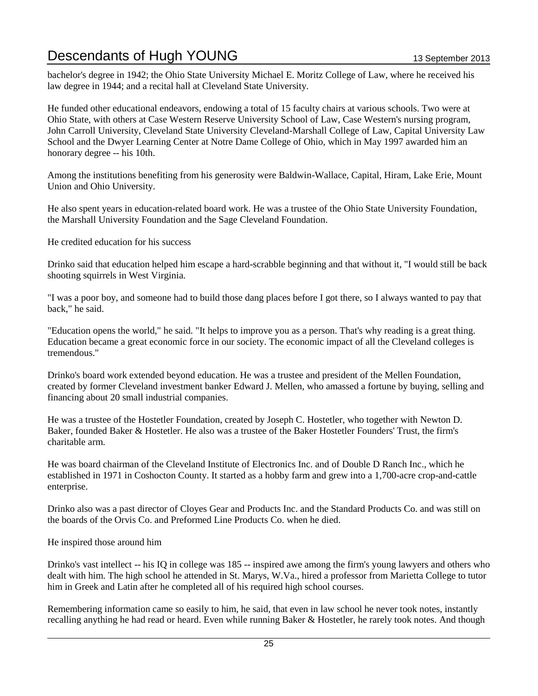bachelor's degree in 1942; the Ohio State University Michael E. Moritz College of Law, where he received his law degree in 1944; and a recital hall at Cleveland State University.

He funded other educational endeavors, endowing a total of 15 faculty chairs at various schools. Two were at Ohio State, with others at Case Western Reserve University School of Law, Case Western's nursing program, John Carroll University, Cleveland State University Cleveland-Marshall College of Law, Capital University Law School and the Dwyer Learning Center at Notre Dame College of Ohio, which in May 1997 awarded him an honorary degree -- his 10th.

Among the institutions benefiting from his generosity were Baldwin-Wallace, Capital, Hiram, Lake Erie, Mount Union and Ohio University.

He also spent years in education-related board work. He was a trustee of the Ohio State University Foundation, the Marshall University Foundation and the Sage Cleveland Foundation.

He credited education for his success

Drinko said that education helped him escape a hard-scrabble beginning and that without it, "I would still be back shooting squirrels in West Virginia.

"I was a poor boy, and someone had to build those dang places before I got there, so I always wanted to pay that back," he said.

"Education opens the world," he said. "It helps to improve you as a person. That's why reading is a great thing. Education became a great economic force in our society. The economic impact of all the Cleveland colleges is tremendous."

Drinko's board work extended beyond education. He was a trustee and president of the Mellen Foundation, created by former Cleveland investment banker Edward J. Mellen, who amassed a fortune by buying, selling and financing about 20 small industrial companies.

He was a trustee of the Hostetler Foundation, created by Joseph C. Hostetler, who together with Newton D. Baker, founded Baker & Hostetler. He also was a trustee of the Baker Hostetler Founders' Trust, the firm's charitable arm.

He was board chairman of the Cleveland Institute of Electronics Inc. and of Double D Ranch Inc., which he established in 1971 in Coshocton County. It started as a hobby farm and grew into a 1,700-acre crop-and-cattle enterprise.

Drinko also was a past director of Cloyes Gear and Products Inc. and the Standard Products Co. and was still on the boards of the Orvis Co. and Preformed Line Products Co. when he died.

He inspired those around him

Drinko's vast intellect -- his IQ in college was 185 -- inspired awe among the firm's young lawyers and others who dealt with him. The high school he attended in St. Marys, W.Va., hired a professor from Marietta College to tutor him in Greek and Latin after he completed all of his required high school courses.

Remembering information came so easily to him, he said, that even in law school he never took notes, instantly recalling anything he had read or heard. Even while running Baker & Hostetler, he rarely took notes. And though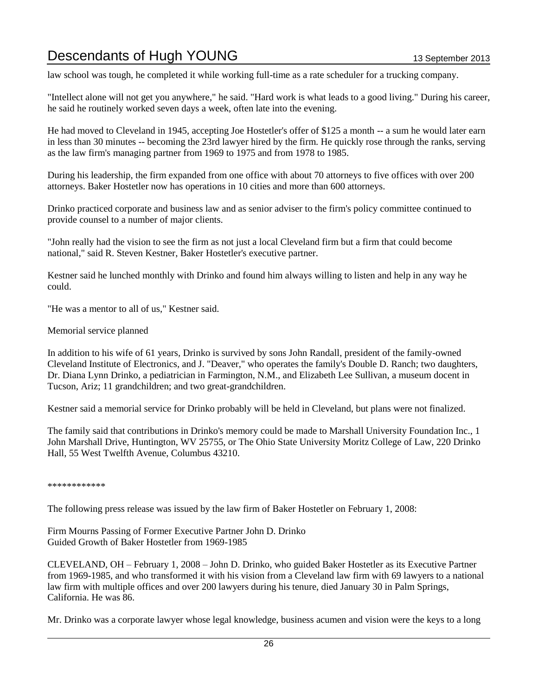law school was tough, he completed it while working full-time as a rate scheduler for a trucking company.

"Intellect alone will not get you anywhere," he said. "Hard work is what leads to a good living." During his career, he said he routinely worked seven days a week, often late into the evening.

He had moved to Cleveland in 1945, accepting Joe Hostetler's offer of \$125 a month -- a sum he would later earn in less than 30 minutes -- becoming the 23rd lawyer hired by the firm. He quickly rose through the ranks, serving as the law firm's managing partner from 1969 to 1975 and from 1978 to 1985.

During his leadership, the firm expanded from one office with about 70 attorneys to five offices with over 200 attorneys. Baker Hostetler now has operations in 10 cities and more than 600 attorneys.

Drinko practiced corporate and business law and as senior adviser to the firm's policy committee continued to provide counsel to a number of major clients.

"John really had the vision to see the firm as not just a local Cleveland firm but a firm that could become national," said R. Steven Kestner, Baker Hostetler's executive partner.

Kestner said he lunched monthly with Drinko and found him always willing to listen and help in any way he could.

"He was a mentor to all of us," Kestner said.

Memorial service planned

In addition to his wife of 61 years, Drinko is survived by sons John Randall, president of the family-owned Cleveland Institute of Electronics, and J. "Deaver," who operates the family's Double D. Ranch; two daughters, Dr. Diana Lynn Drinko, a pediatrician in Farmington, N.M., and Elizabeth Lee Sullivan, a museum docent in Tucson, Ariz; 11 grandchildren; and two great-grandchildren.

Kestner said a memorial service for Drinko probably will be held in Cleveland, but plans were not finalized.

The family said that contributions in Drinko's memory could be made to Marshall University Foundation Inc., 1 John Marshall Drive, Huntington, WV 25755, or The Ohio State University Moritz College of Law, 220 Drinko Hall, 55 West Twelfth Avenue, Columbus 43210.

\*\*\*\*\*\*\*\*\*\*\*\*

The following press release was issued by the law firm of Baker Hostetler on February 1, 2008:

Firm Mourns Passing of Former Executive Partner John D. Drinko Guided Growth of Baker Hostetler from 1969-1985

CLEVELAND, OH – February 1, 2008 – John D. Drinko, who guided Baker Hostetler as its Executive Partner from 1969-1985, and who transformed it with his vision from a Cleveland law firm with 69 lawyers to a national law firm with multiple offices and over 200 lawyers during his tenure, died January 30 in Palm Springs, California. He was 86.

Mr. Drinko was a corporate lawyer whose legal knowledge, business acumen and vision were the keys to a long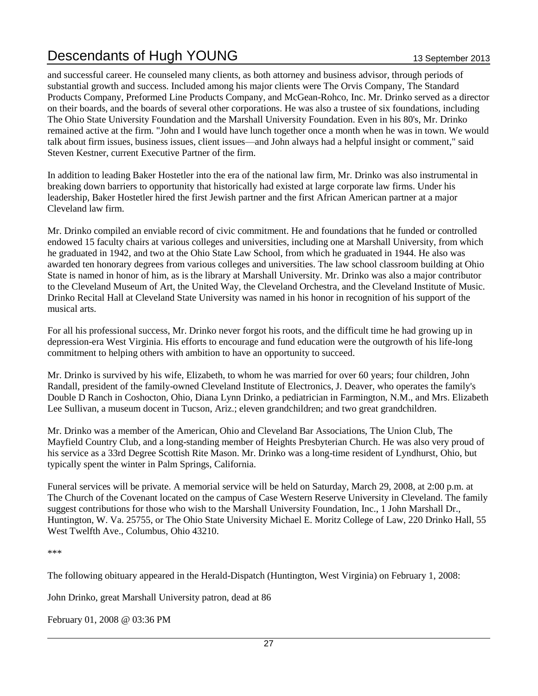and successful career. He counseled many clients, as both attorney and business advisor, through periods of substantial growth and success. Included among his major clients were The Orvis Company, The Standard Products Company, Preformed Line Products Company, and McGean-Rohco, Inc. Mr. Drinko served as a director on their boards, and the boards of several other corporations. He was also a trustee of six foundations, including The Ohio State University Foundation and the Marshall University Foundation. Even in his 80's, Mr. Drinko remained active at the firm. "John and I would have lunch together once a month when he was in town. We would talk about firm issues, business issues, client issues—and John always had a helpful insight or comment," said Steven Kestner, current Executive Partner of the firm.

In addition to leading Baker Hostetler into the era of the national law firm, Mr. Drinko was also instrumental in breaking down barriers to opportunity that historically had existed at large corporate law firms. Under his leadership, Baker Hostetler hired the first Jewish partner and the first African American partner at a major Cleveland law firm.

Mr. Drinko compiled an enviable record of civic commitment. He and foundations that he funded or controlled endowed 15 faculty chairs at various colleges and universities, including one at Marshall University, from which he graduated in 1942, and two at the Ohio State Law School, from which he graduated in 1944. He also was awarded ten honorary degrees from various colleges and universities. The law school classroom building at Ohio State is named in honor of him, as is the library at Marshall University. Mr. Drinko was also a major contributor to the Cleveland Museum of Art, the United Way, the Cleveland Orchestra, and the Cleveland Institute of Music. Drinko Recital Hall at Cleveland State University was named in his honor in recognition of his support of the musical arts.

For all his professional success, Mr. Drinko never forgot his roots, and the difficult time he had growing up in depression-era West Virginia. His efforts to encourage and fund education were the outgrowth of his life-long commitment to helping others with ambition to have an opportunity to succeed.

Mr. Drinko is survived by his wife, Elizabeth, to whom he was married for over 60 years; four children, John Randall, president of the family-owned Cleveland Institute of Electronics, J. Deaver, who operates the family's Double D Ranch in Coshocton, Ohio, Diana Lynn Drinko, a pediatrician in Farmington, N.M., and Mrs. Elizabeth Lee Sullivan, a museum docent in Tucson, Ariz.; eleven grandchildren; and two great grandchildren.

Mr. Drinko was a member of the American, Ohio and Cleveland Bar Associations, The Union Club, The Mayfield Country Club, and a long-standing member of Heights Presbyterian Church. He was also very proud of his service as a 33rd Degree Scottish Rite Mason. Mr. Drinko was a long-time resident of Lyndhurst, Ohio, but typically spent the winter in Palm Springs, California.

Funeral services will be private. A memorial service will be held on Saturday, March 29, 2008, at 2:00 p.m. at The Church of the Covenant located on the campus of Case Western Reserve University in Cleveland. The family suggest contributions for those who wish to the Marshall University Foundation, Inc., 1 John Marshall Dr., Huntington, W. Va. 25755, or The Ohio State University Michael E. Moritz College of Law, 220 Drinko Hall, 55 West Twelfth Ave., Columbus, Ohio 43210.

\*\*\*

The following obituary appeared in the Herald-Dispatch (Huntington, West Virginia) on February 1, 2008:

John Drinko, great Marshall University patron, dead at 86

February 01, 2008 @ 03:36 PM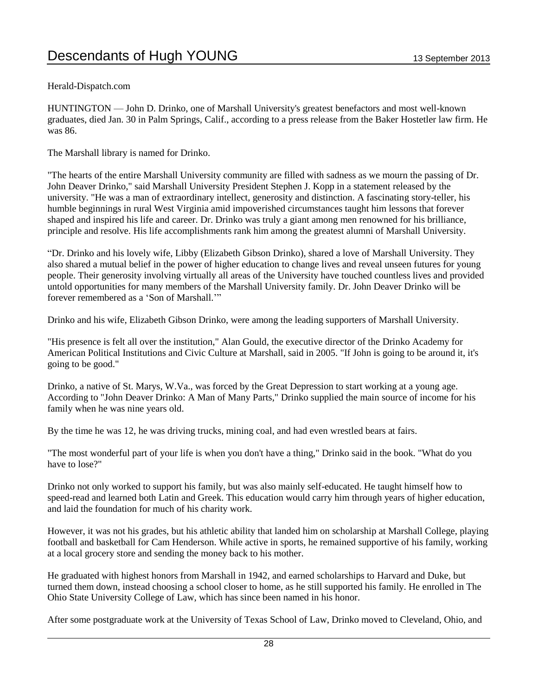### Herald-Dispatch.com

HUNTINGTON — John D. Drinko, one of Marshall University's greatest benefactors and most well-known graduates, died Jan. 30 in Palm Springs, Calif., according to a press release from the Baker Hostetler law firm. He was 86.

The Marshall library is named for Drinko.

"The hearts of the entire Marshall University community are filled with sadness as we mourn the passing of Dr. John Deaver Drinko," said Marshall University President Stephen J. Kopp in a statement released by the university. "He was a man of extraordinary intellect, generosity and distinction. A fascinating story-teller, his humble beginnings in rural West Virginia amid impoverished circumstances taught him lessons that forever shaped and inspired his life and career. Dr. Drinko was truly a giant among men renowned for his brilliance, principle and resolve. His life accomplishments rank him among the greatest alumni of Marshall University.

"Dr. Drinko and his lovely wife, Libby (Elizabeth Gibson Drinko), shared a love of Marshall University. They also shared a mutual belief in the power of higher education to change lives and reveal unseen futures for young people. Their generosity involving virtually all areas of the University have touched countless lives and provided untold opportunities for many members of the Marshall University family. Dr. John Deaver Drinko will be forever remembered as a 'Son of Marshall.'"

Drinko and his wife, Elizabeth Gibson Drinko, were among the leading supporters of Marshall University.

"His presence is felt all over the institution," Alan Gould, the executive director of the Drinko Academy for American Political Institutions and Civic Culture at Marshall, said in 2005. "If John is going to be around it, it's going to be good."

Drinko, a native of St. Marys, W.Va., was forced by the Great Depression to start working at a young age. According to "John Deaver Drinko: A Man of Many Parts," Drinko supplied the main source of income for his family when he was nine years old.

By the time he was 12, he was driving trucks, mining coal, and had even wrestled bears at fairs.

"The most wonderful part of your life is when you don't have a thing," Drinko said in the book. "What do you have to lose?"

Drinko not only worked to support his family, but was also mainly self-educated. He taught himself how to speed-read and learned both Latin and Greek. This education would carry him through years of higher education, and laid the foundation for much of his charity work.

However, it was not his grades, but his athletic ability that landed him on scholarship at Marshall College, playing football and basketball for Cam Henderson. While active in sports, he remained supportive of his family, working at a local grocery store and sending the money back to his mother.

He graduated with highest honors from Marshall in 1942, and earned scholarships to Harvard and Duke, but turned them down, instead choosing a school closer to home, as he still supported his family. He enrolled in The Ohio State University College of Law, which has since been named in his honor.

After some postgraduate work at the University of Texas School of Law, Drinko moved to Cleveland, Ohio, and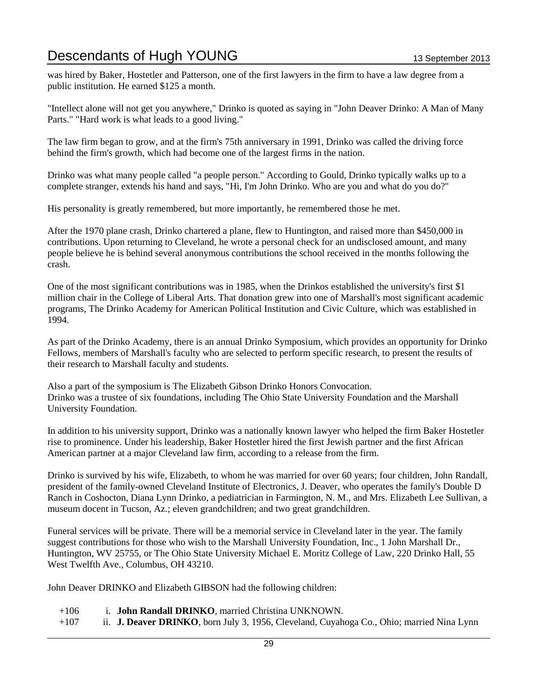was hired by Baker, Hostetler and Patterson, one of the first lawyers in the firm to have a law degree from a public institution. He earned \$125 a month.

"Intellect alone will not get you anywhere," Drinko is quoted as saying in "John Deaver Drinko: A Man of Many Parts." "Hard work is what leads to a good living."

The law firm began to grow, and at the firm's 75th anniversary in 1991, Drinko was called the driving force behind the firm's growth, which had become one of the largest firms in the nation.

Drinko was what many people called "a people person." According to Gould, Drinko typically walks up to a complete stranger, extends his hand and says, "Hi, I'm John Drinko. Who are you and what do you do?"

His personality is greatly remembered, but more importantly, he remembered those he met.

After the 1970 plane crash, Drinko chartered a plane, flew to Huntington, and raised more than \$450,000 in contributions. Upon returning to Cleveland, he wrote a personal check for an undisclosed amount, and many people believe he is behind several anonymous contributions the school received in the months following the crash.

One of the most significant contributions was in 1985, when the Drinkos established the university's first \$1 million chair in the College of Liberal Arts. That donation grew into one of Marshall's most significant academic programs, The Drinko Academy for American Political Institution and Civic Culture, which was established in 1994.

As part of the Drinko Academy, there is an annual Drinko Symposium, which provides an opportunity for Drinko Fellows, members of Marshall's faculty who are selected to perform specific research, to present the results of their research to Marshall faculty and students.

Also a part of the symposium is The Elizabeth Gibson Drinko Honors Convocation. Drinko was a trustee of six foundations, including The Ohio State University Foundation and the Marshall University Foundation.

In addition to his university support, Drinko was a nationally known lawyer who helped the firm Baker Hostetler rise to prominence. Under his leadership, Baker Hostetler hired the first Jewish partner and the first African American partner at a major Cleveland law firm, according to a release from the firm.

Drinko is survived by his wife, Elizabeth, to whom he was married for over 60 years; four children, John Randall, president of the family-owned Cleveland Institute of Electronics, J. Deaver, who operates the family's Double D Ranch in Coshocton, Diana Lynn Drinko, a pediatrician in Farmington, N. M., and Mrs. Elizabeth Lee Sullivan, a museum docent in Tucson, Az.; eleven grandchildren; and two great grandchildren.

Funeral services will be private. There will be a memorial service in Cleveland later in the year. The family suggest contributions for those who wish to the Marshall University Foundation, Inc., 1 John Marshall Dr., Huntington, WV 25755, or The Ohio State University Michael E. Moritz College of Law, 220 Drinko Hall, 55 West Twelfth Ave., Columbus, OH 43210.

John Deaver DRINKO and Elizabeth GIBSON had the following children:

- +106 i. **John Randall DRINKO**, married Christina UNKNOWN.
- +107 ii. **J. Deaver DRINKO**, born July 3, 1956, Cleveland, Cuyahoga Co., Ohio; married Nina Lynn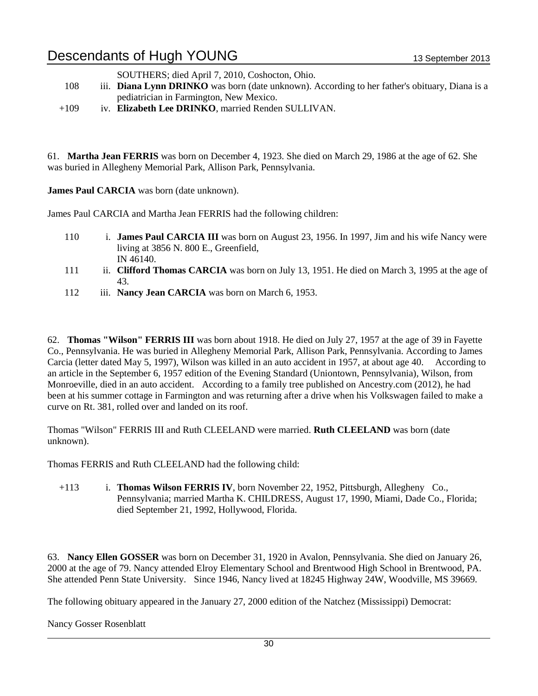SOUTHERS; died April 7, 2010, Coshocton, Ohio.

- 108 iii. **Diana Lynn DRINKO** was born (date unknown). According to her father's obituary, Diana is a pediatrician in Farmington, New Mexico.
- +109 iv. **Elizabeth Lee DRINKO**, married Renden SULLIVAN.

61. **Martha Jean FERRIS** was born on December 4, 1923. She died on March 29, 1986 at the age of 62. She was buried in Allegheny Memorial Park, Allison Park, Pennsylvania.

**James Paul CARCIA** was born (date unknown).

James Paul CARCIA and Martha Jean FERRIS had the following children:

- 110 i. **James Paul CARCIA III** was born on August 23, 1956. In 1997, Jim and his wife Nancy were living at 3856 N. 800 E., Greenfield, IN 46140.
- 111 ii. **Clifford Thomas CARCIA** was born on July 13, 1951. He died on March 3, 1995 at the age of 43.
- 112 iii. **Nancy Jean CARCIA** was born on March 6, 1953.

62. **Thomas "Wilson" FERRIS III** was born about 1918. He died on July 27, 1957 at the age of 39 in Fayette Co., Pennsylvania. He was buried in Allegheny Memorial Park, Allison Park, Pennsylvania. According to James Carcia (letter dated May 5, 1997), Wilson was killed in an auto accident in 1957, at about age 40. According to an article in the September 6, 1957 edition of the Evening Standard (Uniontown, Pennsylvania), Wilson, from Monroeville, died in an auto accident. According to a family tree published on Ancestry.com (2012), he had been at his summer cottage in Farmington and was returning after a drive when his Volkswagen failed to make a curve on Rt. 381, rolled over and landed on its roof.

Thomas "Wilson" FERRIS III and Ruth CLEELAND were married. **Ruth CLEELAND** was born (date unknown).

Thomas FERRIS and Ruth CLEELAND had the following child:

+113 i. **Thomas Wilson FERRIS IV**, born November 22, 1952, Pittsburgh, Allegheny Co., Pennsylvania; married Martha K. CHILDRESS, August 17, 1990, Miami, Dade Co., Florida; died September 21, 1992, Hollywood, Florida.

63. **Nancy Ellen GOSSER** was born on December 31, 1920 in Avalon, Pennsylvania. She died on January 26, 2000 at the age of 79. Nancy attended Elroy Elementary School and Brentwood High School in Brentwood, PA. She attended Penn State University. Since 1946, Nancy lived at 18245 Highway 24W, Woodville, MS 39669.

The following obituary appeared in the January 27, 2000 edition of the Natchez (Mississippi) Democrat:

Nancy Gosser Rosenblatt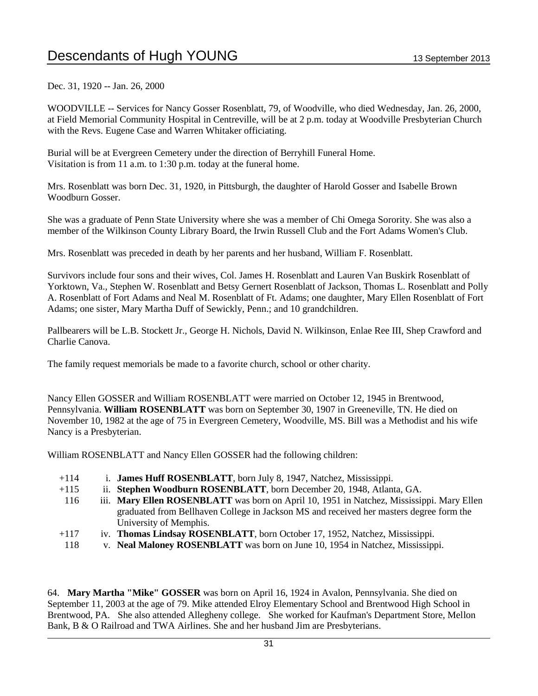Dec. 31, 1920 -- Jan. 26, 2000

WOODVILLE -- Services for Nancy Gosser Rosenblatt, 79, of Woodville, who died Wednesday, Jan. 26, 2000, at Field Memorial Community Hospital in Centreville, will be at 2 p.m. today at Woodville Presbyterian Church with the Revs. Eugene Case and Warren Whitaker officiating.

Burial will be at Evergreen Cemetery under the direction of Berryhill Funeral Home. Visitation is from 11 a.m. to 1:30 p.m. today at the funeral home.

Mrs. Rosenblatt was born Dec. 31, 1920, in Pittsburgh, the daughter of Harold Gosser and Isabelle Brown Woodburn Gosser.

She was a graduate of Penn State University where she was a member of Chi Omega Sorority. She was also a member of the Wilkinson County Library Board, the Irwin Russell Club and the Fort Adams Women's Club.

Mrs. Rosenblatt was preceded in death by her parents and her husband, William F. Rosenblatt.

Survivors include four sons and their wives, Col. James H. Rosenblatt and Lauren Van Buskirk Rosenblatt of Yorktown, Va., Stephen W. Rosenblatt and Betsy Gernert Rosenblatt of Jackson, Thomas L. Rosenblatt and Polly A. Rosenblatt of Fort Adams and Neal M. Rosenblatt of Ft. Adams; one daughter, Mary Ellen Rosenblatt of Fort Adams; one sister, Mary Martha Duff of Sewickly, Penn.; and 10 grandchildren.

Pallbearers will be L.B. Stockett Jr., George H. Nichols, David N. Wilkinson, Enlae Ree III, Shep Crawford and Charlie Canova.

The family request memorials be made to a favorite church, school or other charity.

Nancy Ellen GOSSER and William ROSENBLATT were married on October 12, 1945 in Brentwood, Pennsylvania. **William ROSENBLATT** was born on September 30, 1907 in Greeneville, TN. He died on November 10, 1982 at the age of 75 in Evergreen Cemetery, Woodville, MS. Bill was a Methodist and his wife Nancy is a Presbyterian.

William ROSENBLATT and Nancy Ellen GOSSER had the following children:

- +114 i. **James Huff ROSENBLATT**, born July 8, 1947, Natchez, Mississippi.
- +115 ii. **Stephen Woodburn ROSENBLATT**, born December 20, 1948, Atlanta, GA.
- 116 iii. **Mary Ellen ROSENBLATT** was born on April 10, 1951 in Natchez, Mississippi. Mary Ellen graduated from Bellhaven College in Jackson MS and received her masters degree form the University of Memphis.
- +117 iv. **Thomas Lindsay ROSENBLATT**, born October 17, 1952, Natchez, Mississippi.
- 118 v. **Neal Maloney ROSENBLATT** was born on June 10, 1954 in Natchez, Mississippi.

64. **Mary Martha "Mike" GOSSER** was born on April 16, 1924 in Avalon, Pennsylvania. She died on September 11, 2003 at the age of 79. Mike attended Elroy Elementary School and Brentwood High School in Brentwood, PA. She also attended Allegheny college. She worked for Kaufman's Department Store, Mellon Bank, B & O Railroad and TWA Airlines. She and her husband Jim are Presbyterians.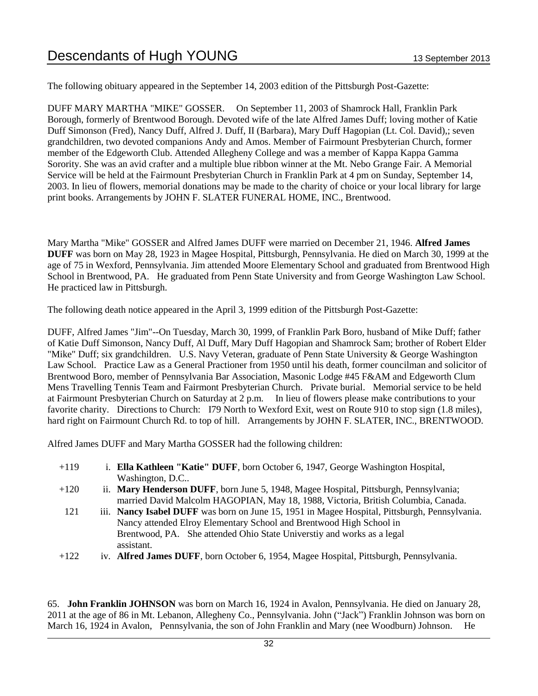The following obituary appeared in the September 14, 2003 edition of the Pittsburgh Post-Gazette:

DUFF MARY MARTHA "MIKE" GOSSER. On September 11, 2003 of Shamrock Hall, Franklin Park Borough, formerly of Brentwood Borough. Devoted wife of the late Alfred James Duff; loving mother of Katie Duff Simonson (Fred), Nancy Duff, Alfred J. Duff, II (Barbara), Mary Duff Hagopian (Lt. Col. David),; seven grandchildren, two devoted companions Andy and Amos. Member of Fairmount Presbyterian Church, former member of the Edgeworth Club. Attended Allegheny College and was a member of Kappa Kappa Gamma Sorority. She was an avid crafter and a multiple blue ribbon winner at the Mt. Nebo Grange Fair. A Memorial Service will be held at the Fairmount Presbyterian Church in Franklin Park at 4 pm on Sunday, September 14, 2003. In lieu of flowers, memorial donations may be made to the charity of choice or your local library for large print books. Arrangements by JOHN F. SLATER FUNERAL HOME, INC., Brentwood.

Mary Martha "Mike" GOSSER and Alfred James DUFF were married on December 21, 1946. **Alfred James DUFF** was born on May 28, 1923 in Magee Hospital, Pittsburgh, Pennsylvania. He died on March 30, 1999 at the age of 75 in Wexford, Pennsylvania. Jim attended Moore Elementary School and graduated from Brentwood High School in Brentwood, PA. He graduated from Penn State University and from George Washington Law School. He practiced law in Pittsburgh.

The following death notice appeared in the April 3, 1999 edition of the Pittsburgh Post-Gazette:

DUFF, Alfred James "Jim"--On Tuesday, March 30, 1999, of Franklin Park Boro, husband of Mike Duff; father of Katie Duff Simonson, Nancy Duff, Al Duff, Mary Duff Hagopian and Shamrock Sam; brother of Robert Elder "Mike" Duff; six grandchildren. U.S. Navy Veteran, graduate of Penn State University & George Washington Law School. Practice Law as a General Practioner from 1950 until his death, former councilman and solicitor of Brentwood Boro, member of Pennsylvania Bar Association, Masonic Lodge #45 F&AM and Edgeworth Clum Mens Travelling Tennis Team and Fairmont Presbyterian Church. Private burial. Memorial service to be held at Fairmount Presbyterian Church on Saturday at 2 p.m. In lieu of flowers please make contributions to your favorite charity. Directions to Church: I79 North to Wexford Exit, west on Route 910 to stop sign (1.8 miles), hard right on Fairmount Church Rd. to top of hill. Arrangements by JOHN F. SLATER, INC., BRENTWOOD.

Alfred James DUFF and Mary Martha GOSSER had the following children:

- +119 i. **Ella Kathleen "Katie" DUFF**, born October 6, 1947, George Washington Hospital, Washington, D.C..
- +120 ii. **Mary Henderson DUFF**, born June 5, 1948, Magee Hospital, Pittsburgh, Pennsylvania; married David Malcolm HAGOPIAN, May 18, 1988, Victoria, British Columbia, Canada.
- 121 iii. **Nancy Isabel DUFF** was born on June 15, 1951 in Magee Hospital, Pittsburgh, Pennsylvania. Nancy attended Elroy Elementary School and Brentwood High School in Brentwood, PA. She attended Ohio State Universtiy and works as a legal assistant.
- +122 iv. **Alfred James DUFF**, born October 6, 1954, Magee Hospital, Pittsburgh, Pennsylvania.

65. **John Franklin JOHNSON** was born on March 16, 1924 in Avalon, Pennsylvania. He died on January 28, 2011 at the age of 86 in Mt. Lebanon, Allegheny Co., Pennsylvania. John ("Jack") Franklin Johnson was born on March 16, 1924 in Avalon, Pennsylvania, the son of John Franklin and Mary (nee Woodburn) Johnson. He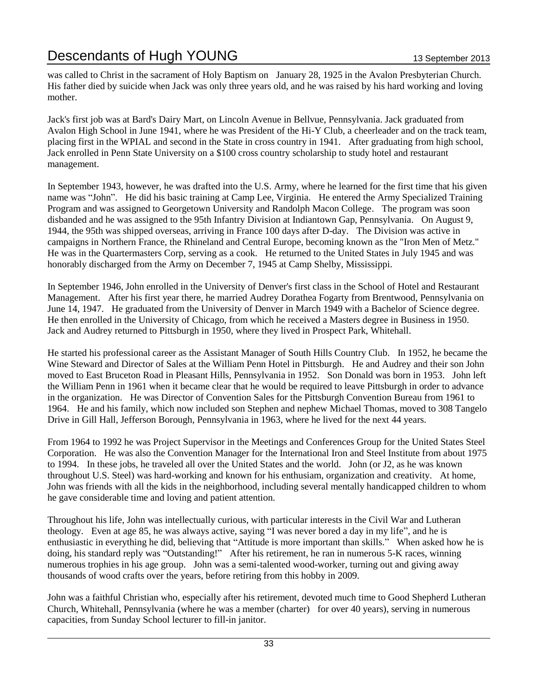was called to Christ in the sacrament of Holy Baptism on January 28, 1925 in the Avalon Presbyterian Church. His father died by suicide when Jack was only three years old, and he was raised by his hard working and loving mother.

Jack's first job was at Bard's Dairy Mart, on Lincoln Avenue in Bellvue, Pennsylvania. Jack graduated from Avalon High School in June 1941, where he was President of the Hi-Y Club, a cheerleader and on the track team, placing first in the WPIAL and second in the State in cross country in 1941. After graduating from high school, Jack enrolled in Penn State University on a \$100 cross country scholarship to study hotel and restaurant management.

In September 1943, however, he was drafted into the U.S. Army, where he learned for the first time that his given name was "John". He did his basic training at Camp Lee, Virginia. He entered the Army Specialized Training Program and was assigned to Georgetown University and Randolph Macon College. The program was soon disbanded and he was assigned to the 95th Infantry Division at Indiantown Gap, Pennsylvania. On August 9, 1944, the 95th was shipped overseas, arriving in France 100 days after D-day. The Division was active in campaigns in Northern France, the Rhineland and Central Europe, becoming known as the "Iron Men of Metz." He was in the Quartermasters Corp, serving as a cook. He returned to the United States in July 1945 and was honorably discharged from the Army on December 7, 1945 at Camp Shelby, Mississippi.

In September 1946, John enrolled in the University of Denver's first class in the School of Hotel and Restaurant Management. After his first year there, he married Audrey Dorathea Fogarty from Brentwood, Pennsylvania on June 14, 1947. He graduated from the University of Denver in March 1949 with a Bachelor of Science degree. He then enrolled in the University of Chicago, from which he received a Masters degree in Business in 1950. Jack and Audrey returned to Pittsburgh in 1950, where they lived in Prospect Park, Whitehall.

He started his professional career as the Assistant Manager of South Hills Country Club. In 1952, he became the Wine Steward and Director of Sales at the William Penn Hotel in Pittsburgh. He and Audrey and their son John moved to East Bruceton Road in Pleasant Hills, Pennsylvania in 1952. Son Donald was born in 1953. John left the William Penn in 1961 when it became clear that he would be required to leave Pittsburgh in order to advance in the organization. He was Director of Convention Sales for the Pittsburgh Convention Bureau from 1961 to 1964. He and his family, which now included son Stephen and nephew Michael Thomas, moved to 308 Tangelo Drive in Gill Hall, Jefferson Borough, Pennsylvania in 1963, where he lived for the next 44 years.

From 1964 to 1992 he was Project Supervisor in the Meetings and Conferences Group for the United States Steel Corporation. He was also the Convention Manager for the International Iron and Steel Institute from about 1975 to 1994. In these jobs, he traveled all over the United States and the world. John (or J2, as he was known throughout U.S. Steel) was hard-working and known for his enthusiam, organization and creativity. At home, John was friends with all the kids in the neighborhood, including several mentally handicapped children to whom he gave considerable time and loving and patient attention.

Throughout his life, John was intellectually curious, with particular interests in the Civil War and Lutheran theology. Even at age 85, he was always active, saying "I was never bored a day in my life", and he is enthusiastic in everything he did, believing that "Attitude is more important than skills." When asked how he is doing, his standard reply was "Outstanding!" After his retirement, he ran in numerous 5-K races, winning numerous trophies in his age group. John was a semi-talented wood-worker, turning out and giving away thousands of wood crafts over the years, before retiring from this hobby in 2009.

John was a faithful Christian who, especially after his retirement, devoted much time to Good Shepherd Lutheran Church, Whitehall, Pennsylvania (where he was a member (charter) for over 40 years), serving in numerous capacities, from Sunday School lecturer to fill-in janitor.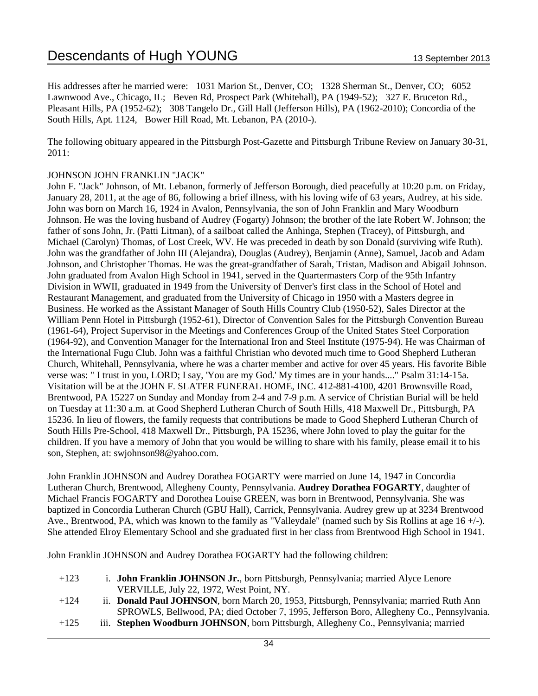His addresses after he married were: 1031 Marion St., Denver, CO; 1328 Sherman St., Denver, CO; 6052 Lawnwood Ave., Chicago, IL; Beven Rd, Prospect Park (Whitehall), PA (1949-52); 327 E. Bruceton Rd., Pleasant Hills, PA (1952-62); 308 Tangelo Dr., Gill Hall (Jefferson Hills), PA (1962-2010); Concordia of the South Hills, Apt. 1124, Bower Hill Road, Mt. Lebanon, PA (2010-).

The following obituary appeared in the Pittsburgh Post-Gazette and Pittsburgh Tribune Review on January 30-31, 2011:

### JOHNSON JOHN FRANKLIN "JACK"

John F. "Jack" Johnson, of Mt. Lebanon, formerly of Jefferson Borough, died peacefully at 10:20 p.m. on Friday, January 28, 2011, at the age of 86, following a brief illness, with his loving wife of 63 years, Audrey, at his side. John was born on March 16, 1924 in Avalon, Pennsylvania, the son of John Franklin and Mary Woodburn Johnson. He was the loving husband of Audrey (Fogarty) Johnson; the brother of the late Robert W. Johnson; the father of sons John, Jr. (Patti Litman), of a sailboat called the Anhinga, Stephen (Tracey), of Pittsburgh, and Michael (Carolyn) Thomas, of Lost Creek, WV. He was preceded in death by son Donald (surviving wife Ruth). John was the grandfather of John III (Alejandra), Douglas (Audrey), Benjamin (Anne), Samuel, Jacob and Adam Johnson, and Christopher Thomas. He was the great-grandfather of Sarah, Tristan, Madison and Abigail Johnson. John graduated from Avalon High School in 1941, served in the Quartermasters Corp of the 95th Infantry Division in WWII, graduated in 1949 from the University of Denver's first class in the School of Hotel and Restaurant Management, and graduated from the University of Chicago in 1950 with a Masters degree in Business. He worked as the Assistant Manager of South Hills Country Club (1950-52), Sales Director at the William Penn Hotel in Pittsburgh (1952-61), Director of Convention Sales for the Pittsburgh Convention Bureau (1961-64), Project Supervisor in the Meetings and Conferences Group of the United States Steel Corporation (1964-92), and Convention Manager for the International Iron and Steel Institute (1975-94). He was Chairman of the International Fugu Club. John was a faithful Christian who devoted much time to Good Shepherd Lutheran Church, Whitehall, Pennsylvania, where he was a charter member and active for over 45 years. His favorite Bible verse was: " I trust in you, LORD; I say, 'You are my God.' My times are in your hands...." Psalm 31:14-15a. Visitation will be at the JOHN F. SLATER FUNERAL HOME, INC. 412-881-4100, 4201 Brownsville Road, Brentwood, PA 15227 on Sunday and Monday from 2-4 and 7-9 p.m. A service of Christian Burial will be held on Tuesday at 11:30 a.m. at Good Shepherd Lutheran Church of South Hills, 418 Maxwell Dr., Pittsburgh, PA 15236. In lieu of flowers, the family requests that contributions be made to Good Shepherd Lutheran Church of South Hills Pre-School, 418 Maxwell Dr., Pittsburgh, PA 15236, where John loved to play the guitar for the children. If you have a memory of John that you would be willing to share with his family, please email it to his son, Stephen, at: swjohnson98@yahoo.com.

John Franklin JOHNSON and Audrey Dorathea FOGARTY were married on June 14, 1947 in Concordia Lutheran Church, Brentwood, Allegheny County, Pennsylvania. **Audrey Dorathea FOGARTY**, daughter of Michael Francis FOGARTY and Dorothea Louise GREEN, was born in Brentwood, Pennsylvania. She was baptized in Concordia Lutheran Church (GBU Hall), Carrick, Pennsylvania. Audrey grew up at 3234 Brentwood Ave., Brentwood, PA, which was known to the family as "Valleydale" (named such by Sis Rollins at age 16 +/-). She attended Elroy Elementary School and she graduated first in her class from Brentwood High School in 1941.

John Franklin JOHNSON and Audrey Dorathea FOGARTY had the following children:

- +123 i. **John Franklin JOHNSON Jr.**, born Pittsburgh, Pennsylvania; married Alyce Lenore VERVILLE, July 22, 1972, West Point, NY.
- +124 ii. **Donald Paul JOHNSON**, born March 20, 1953, Pittsburgh, Pennsylvania; married Ruth Ann SPROWLS, Bellwood, PA; died October 7, 1995, Jefferson Boro, Allegheny Co., Pennsylvania.
- +125 iii. **Stephen Woodburn JOHNSON**, born Pittsburgh, Allegheny Co., Pennsylvania; married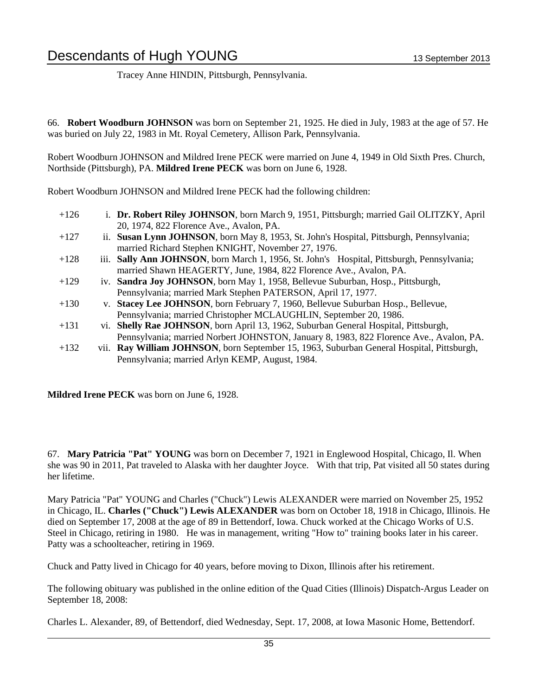Tracey Anne HINDIN, Pittsburgh, Pennsylvania.

66. **Robert Woodburn JOHNSON** was born on September 21, 1925. He died in July, 1983 at the age of 57. He was buried on July 22, 1983 in Mt. Royal Cemetery, Allison Park, Pennsylvania.

Robert Woodburn JOHNSON and Mildred Irene PECK were married on June 4, 1949 in Old Sixth Pres. Church, Northside (Pittsburgh), PA. **Mildred Irene PECK** was born on June 6, 1928.

Robert Woodburn JOHNSON and Mildred Irene PECK had the following children:

| $+126$ |      | i. Dr. Robert Riley JOHNSON, born March 9, 1951, Pittsburgh; married Gail OLITZKY, April  |
|--------|------|-------------------------------------------------------------------------------------------|
|        |      | 20, 1974, 822 Florence Ave., Avalon, PA.                                                  |
| $+127$ |      | ii. Susan Lynn JOHNSON, born May 8, 1953, St. John's Hospital, Pittsburgh, Pennsylvania;  |
|        |      | married Richard Stephen KNIGHT, November 27, 1976.                                        |
| $+128$ | 111. | Sally Ann JOHNSON, born March 1, 1956, St. John's Hospital, Pittsburgh, Pennsylvania;     |
|        |      | married Shawn HEAGERTY, June, 1984, 822 Florence Ave., Avalon, PA.                        |
| $+129$ |      | iv. Sandra Joy JOHNSON, born May 1, 1958, Bellevue Suburban, Hosp., Pittsburgh,           |
|        |      | Pennsylvania; married Mark Stephen PATERSON, April 17, 1977.                              |
| $+130$ |      | v. Stacey Lee JOHNSON, born February 7, 1960, Bellevue Suburban Hosp., Bellevue,          |
|        |      | Pennsylvania; married Christopher MCLAUGHLIN, September 20, 1986.                         |
| $+131$ |      | vi. Shelly Rae JOHNSON, born April 13, 1962, Suburban General Hospital, Pittsburgh,       |
|        |      | Pennsylvania; married Norbert JOHNSTON, January 8, 1983, 822 Florence Ave., Avalon, PA.   |
| $+132$ |      | vii. Ray William JOHNSON, born September 15, 1963, Suburban General Hospital, Pittsburgh, |
|        |      | Pennsylvania; married Arlyn KEMP, August, 1984.                                           |

**Mildred Irene PECK** was born on June 6, 1928.

67. **Mary Patricia "Pat" YOUNG** was born on December 7, 1921 in Englewood Hospital, Chicago, Il. When she was 90 in 2011, Pat traveled to Alaska with her daughter Joyce. With that trip, Pat visited all 50 states during her lifetime.

Mary Patricia "Pat" YOUNG and Charles ("Chuck") Lewis ALEXANDER were married on November 25, 1952 in Chicago, IL. **Charles ("Chuck") Lewis ALEXANDER** was born on October 18, 1918 in Chicago, Illinois. He died on September 17, 2008 at the age of 89 in Bettendorf, Iowa. Chuck worked at the Chicago Works of U.S. Steel in Chicago, retiring in 1980. He was in management, writing "How to" training books later in his career. Patty was a schoolteacher, retiring in 1969.

Chuck and Patty lived in Chicago for 40 years, before moving to Dixon, Illinois after his retirement.

The following obituary was published in the online edition of the Quad Cities (Illinois) Dispatch-Argus Leader on September 18, 2008:

Charles L. Alexander, 89, of Bettendorf, died Wednesday, Sept. 17, 2008, at Iowa Masonic Home, Bettendorf.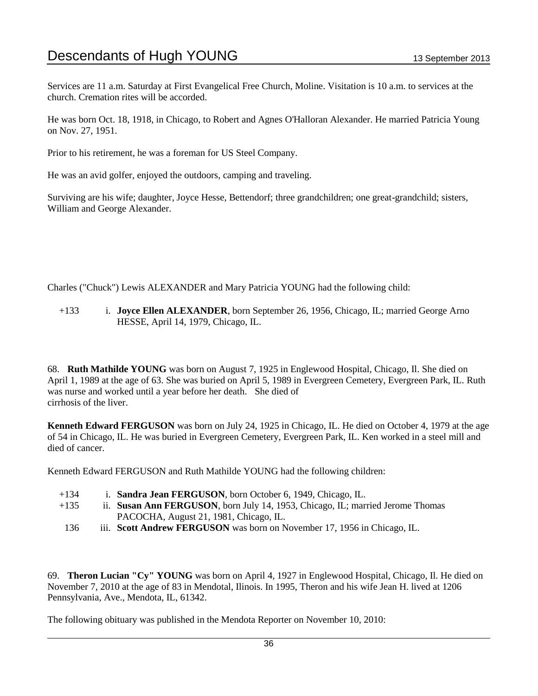Services are 11 a.m. Saturday at First Evangelical Free Church, Moline. Visitation is 10 a.m. to services at the church. Cremation rites will be accorded.

He was born Oct. 18, 1918, in Chicago, to Robert and Agnes O'Halloran Alexander. He married Patricia Young on Nov. 27, 1951.

Prior to his retirement, he was a foreman for US Steel Company.

He was an avid golfer, enjoyed the outdoors, camping and traveling.

Surviving are his wife; daughter, Joyce Hesse, Bettendorf; three grandchildren; one great-grandchild; sisters, William and George Alexander.

Charles ("Chuck") Lewis ALEXANDER and Mary Patricia YOUNG had the following child:

+133 i. **Joyce Ellen ALEXANDER**, born September 26, 1956, Chicago, IL; married George Arno HESSE, April 14, 1979, Chicago, IL.

68. **Ruth Mathilde YOUNG** was born on August 7, 1925 in Englewood Hospital, Chicago, Il. She died on April 1, 1989 at the age of 63. She was buried on April 5, 1989 in Evergreen Cemetery, Evergreen Park, IL. Ruth was nurse and worked until a year before her death. She died of cirrhosis of the liver.

**Kenneth Edward FERGUSON** was born on July 24, 1925 in Chicago, IL. He died on October 4, 1979 at the age of 54 in Chicago, IL. He was buried in Evergreen Cemetery, Evergreen Park, IL. Ken worked in a steel mill and died of cancer.

Kenneth Edward FERGUSON and Ruth Mathilde YOUNG had the following children:

- +134 i. **Sandra Jean FERGUSON**, born October 6, 1949, Chicago, IL.
- +135 ii. **Susan Ann FERGUSON**, born July 14, 1953, Chicago, IL; married Jerome Thomas PACOCHA, August 21, 1981, Chicago, IL.
	- 136 iii. **Scott Andrew FERGUSON** was born on November 17, 1956 in Chicago, IL.

69. **Theron Lucian "Cy" YOUNG** was born on April 4, 1927 in Englewood Hospital, Chicago, Il. He died on November 7, 2010 at the age of 83 in Mendotal, Ilinois. In 1995, Theron and his wife Jean H. lived at 1206 Pennsylvania, Ave., Mendota, IL, 61342.

The following obituary was published in the Mendota Reporter on November 10, 2010: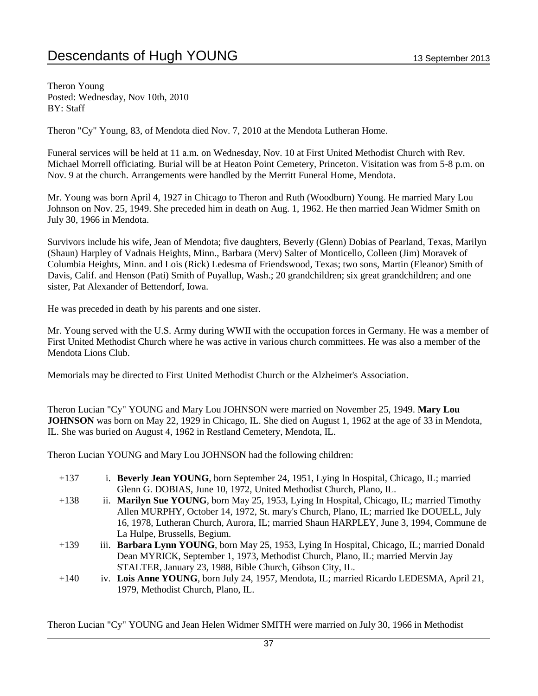Theron Young Posted: Wednesday, Nov 10th, 2010 BY: Staff

Theron "Cy" Young, 83, of Mendota died Nov. 7, 2010 at the Mendota Lutheran Home.

Funeral services will be held at 11 a.m. on Wednesday, Nov. 10 at First United Methodist Church with Rev. Michael Morrell officiating. Burial will be at Heaton Point Cemetery, Princeton. Visitation was from 5-8 p.m. on Nov. 9 at the church. Arrangements were handled by the Merritt Funeral Home, Mendota.

Mr. Young was born April 4, 1927 in Chicago to Theron and Ruth (Woodburn) Young. He married Mary Lou Johnson on Nov. 25, 1949. She preceded him in death on Aug. 1, 1962. He then married Jean Widmer Smith on July 30, 1966 in Mendota.

Survivors include his wife, Jean of Mendota; five daughters, Beverly (Glenn) Dobias of Pearland, Texas, Marilyn (Shaun) Harpley of Vadnais Heights, Minn., Barbara (Merv) Salter of Monticello, Colleen (Jim) Moravek of Columbia Heights, Minn. and Lois (Rick) Ledesma of Friendswood, Texas; two sons, Martin (Eleanor) Smith of Davis, Calif. and Henson (Pati) Smith of Puyallup, Wash.; 20 grandchildren; six great grandchildren; and one sister, Pat Alexander of Bettendorf, Iowa.

He was preceded in death by his parents and one sister.

Mr. Young served with the U.S. Army during WWII with the occupation forces in Germany. He was a member of First United Methodist Church where he was active in various church committees. He was also a member of the Mendota Lions Club.

Memorials may be directed to First United Methodist Church or the Alzheimer's Association.

Theron Lucian "Cy" YOUNG and Mary Lou JOHNSON were married on November 25, 1949. **Mary Lou JOHNSON** was born on May 22, 1929 in Chicago, IL. She died on August 1, 1962 at the age of 33 in Mendota, IL. She was buried on August 4, 1962 in Restland Cemetery, Mendota, IL.

Theron Lucian YOUNG and Mary Lou JOHNSON had the following children:

- +137 i. **Beverly Jean YOUNG**, born September 24, 1951, Lying In Hospital, Chicago, IL; married Glenn G. DOBIAS, June 10, 1972, United Methodist Church, Plano, IL.
- +138 ii. **Marilyn Sue YOUNG**, born May 25, 1953, Lying In Hospital, Chicago, IL; married Timothy Allen MURPHY, October 14, 1972, St. mary's Church, Plano, IL; married Ike DOUELL, July 16, 1978, Lutheran Church, Aurora, IL; married Shaun HARPLEY, June 3, 1994, Commune de La Hulpe, Brussells, Begium.
- +139 iii. **Barbara Lynn YOUNG**, born May 25, 1953, Lying In Hospital, Chicago, IL; married Donald Dean MYRICK, September 1, 1973, Methodist Church, Plano, IL; married Mervin Jay STALTER, January 23, 1988, Bible Church, Gibson City, IL.
- +140 iv. **Lois Anne YOUNG**, born July 24, 1957, Mendota, IL; married Ricardo LEDESMA, April 21, 1979, Methodist Church, Plano, IL.

Theron Lucian "Cy" YOUNG and Jean Helen Widmer SMITH were married on July 30, 1966 in Methodist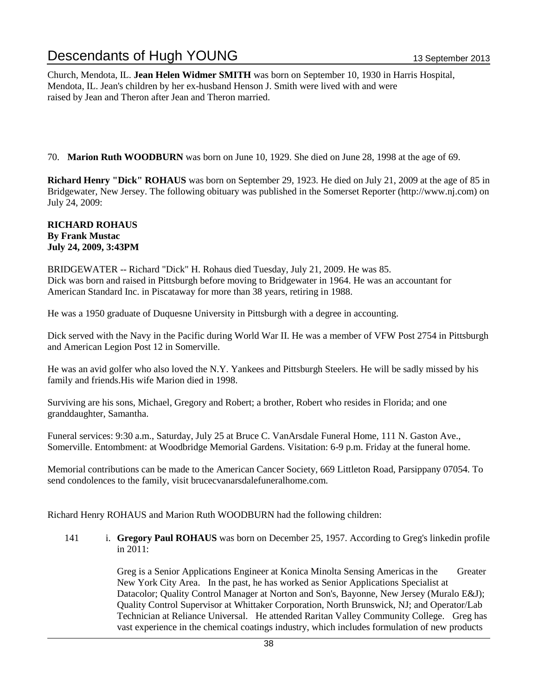Church, Mendota, IL. **Jean Helen Widmer SMITH** was born on September 10, 1930 in Harris Hospital, Mendota, IL. Jean's children by her ex-husband Henson J. Smith were lived with and were raised by Jean and Theron after Jean and Theron married.

70. **Marion Ruth WOODBURN** was born on June 10, 1929. She died on June 28, 1998 at the age of 69.

**Richard Henry "Dick" ROHAUS** was born on September 29, 1923. He died on July 21, 2009 at the age of 85 in Bridgewater, New Jersey. The following obituary was published in the Somerset Reporter (http://www.nj.com) on July 24, 2009:

#### **RICHARD ROHAUS By Frank Mustac July 24, 2009, 3:43PM**

BRIDGEWATER -- Richard "Dick" H. Rohaus died Tuesday, July 21, 2009. He was 85. Dick was born and raised in Pittsburgh before moving to Bridgewater in 1964. He was an accountant for American Standard Inc. in Piscataway for more than 38 years, retiring in 1988.

He was a 1950 graduate of Duquesne University in Pittsburgh with a degree in accounting.

Dick served with the Navy in the Pacific during World War II. He was a member of VFW Post 2754 in Pittsburgh and American Legion Post 12 in Somerville.

He was an avid golfer who also loved the N.Y. Yankees and Pittsburgh Steelers. He will be sadly missed by his family and friends.His wife Marion died in 1998.

Surviving are his sons, Michael, Gregory and Robert; a brother, Robert who resides in Florida; and one granddaughter, Samantha.

Funeral services: 9:30 a.m., Saturday, July 25 at Bruce C. VanArsdale Funeral Home, 111 N. Gaston Ave., Somerville. Entombment: at Woodbridge Memorial Gardens. Visitation: 6-9 p.m. Friday at the funeral home.

Memorial contributions can be made to the American Cancer Society, 669 Littleton Road, Parsippany 07054. To send condolences to the family, visit brucecvanarsdalefuneralhome.com.

Richard Henry ROHAUS and Marion Ruth WOODBURN had the following children:

141 i. **Gregory Paul ROHAUS** was born on December 25, 1957. According to Greg's linkedin profile in 2011:

> Greg is a Senior Applications Engineer at Konica Minolta Sensing Americas in the Greater New York City Area. In the past, he has worked as Senior Applications Specialist at Datacolor; Quality Control Manager at Norton and Son's, Bayonne, New Jersey (Muralo E&J); Quality Control Supervisor at Whittaker Corporation, North Brunswick, NJ; and Operator/Lab Technician at Reliance Universal. He attended Raritan Valley Community College. Greg has vast experience in the chemical coatings industry, which includes formulation of new products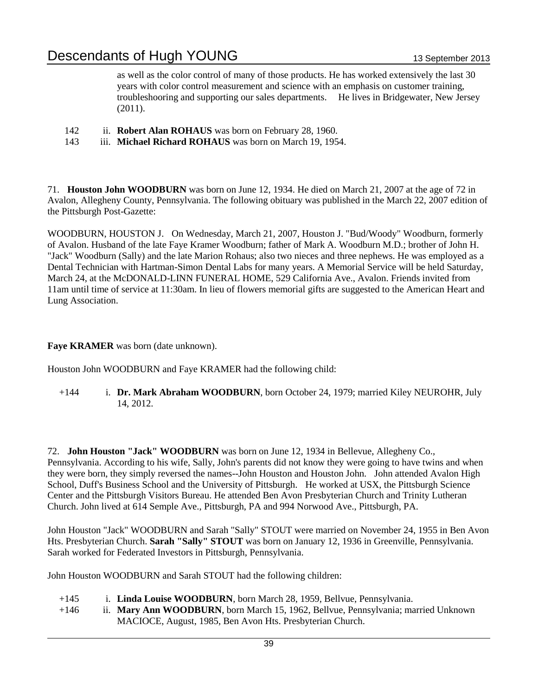as well as the color control of many of those products. He has worked extensively the last 30 years with color control measurement and science with an emphasis on customer training, troubleshooring and supporting our sales departments. He lives in Bridgewater, New Jersey (2011).

- 142 ii. **Robert Alan ROHAUS** was born on February 28, 1960.
- 143 iii. **Michael Richard ROHAUS** was born on March 19, 1954.

71. **Houston John WOODBURN** was born on June 12, 1934. He died on March 21, 2007 at the age of 72 in Avalon, Allegheny County, Pennsylvania. The following obituary was published in the March 22, 2007 edition of the Pittsburgh Post-Gazette:

WOODBURN, HOUSTON J. On Wednesday, March 21, 2007, Houston J. "Bud/Woody" Woodburn, formerly of Avalon. Husband of the late Faye Kramer Woodburn; father of Mark A. Woodburn M.D.; brother of John H. "Jack" Woodburn (Sally) and the late Marion Rohaus; also two nieces and three nephews. He was employed as a Dental Technician with Hartman-Simon Dental Labs for many years. A Memorial Service will be held Saturday, March 24, at the McDONALD-LINN FUNERAL HOME, 529 California Ave., Avalon. Friends invited from 11am until time of service at 11:30am. In lieu of flowers memorial gifts are suggested to the American Heart and Lung Association.

### **Faye KRAMER** was born (date unknown).

Houston John WOODBURN and Faye KRAMER had the following child:

+144 i. **Dr. Mark Abraham WOODBURN**, born October 24, 1979; married Kiley NEUROHR, July 14, 2012.

72. **John Houston "Jack" WOODBURN** was born on June 12, 1934 in Bellevue, Allegheny Co., Pennsylvania. According to his wife, Sally, John's parents did not know they were going to have twins and when they were born, they simply reversed the names--John Houston and Houston John. John attended Avalon High School, Duff's Business School and the University of Pittsburgh. He worked at USX, the Pittsburgh Science Center and the Pittsburgh Visitors Bureau. He attended Ben Avon Presbyterian Church and Trinity Lutheran Church. John lived at 614 Semple Ave., Pittsburgh, PA and 994 Norwood Ave., Pittsburgh, PA.

John Houston "Jack" WOODBURN and Sarah "Sally" STOUT were married on November 24, 1955 in Ben Avon Hts. Presbyterian Church. **Sarah "Sally" STOUT** was born on January 12, 1936 in Greenville, Pennsylvania. Sarah worked for Federated Investors in Pittsburgh, Pennsylvania.

John Houston WOODBURN and Sarah STOUT had the following children:

- +145 i. **Linda Louise WOODBURN**, born March 28, 1959, Bellvue, Pennsylvania.
- +146 ii. **Mary Ann WOODBURN**, born March 15, 1962, Bellvue, Pennsylvania; married Unknown MACIOCE, August, 1985, Ben Avon Hts. Presbyterian Church.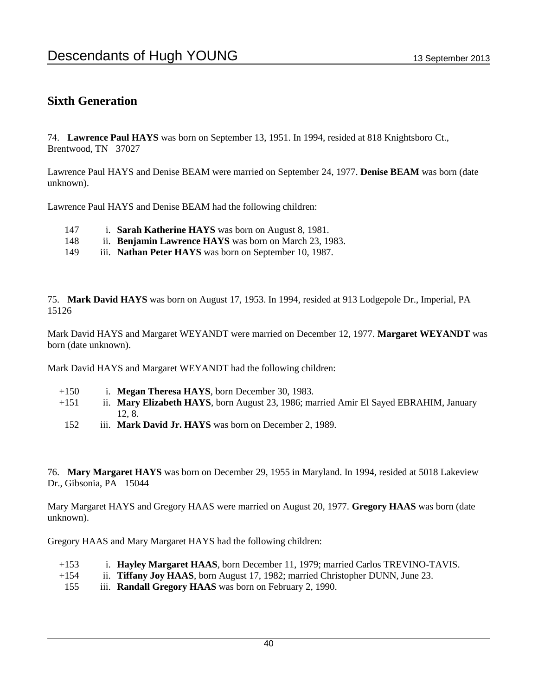### **Sixth Generation**

74. **Lawrence Paul HAYS** was born on September 13, 1951. In 1994, resided at 818 Knightsboro Ct., Brentwood, TN 37027

Lawrence Paul HAYS and Denise BEAM were married on September 24, 1977. **Denise BEAM** was born (date unknown).

Lawrence Paul HAYS and Denise BEAM had the following children:

- 147 i. **Sarah Katherine HAYS** was born on August 8, 1981.
- 148 ii. **Benjamin Lawrence HAYS** was born on March 23, 1983.
- 149 iii. **Nathan Peter HAYS** was born on September 10, 1987.

75. **Mark David HAYS** was born on August 17, 1953. In 1994, resided at 913 Lodgepole Dr., Imperial, PA 15126

Mark David HAYS and Margaret WEYANDT were married on December 12, 1977. **Margaret WEYANDT** was born (date unknown).

Mark David HAYS and Margaret WEYANDT had the following children:

- +150 i. **Megan Theresa HAYS**, born December 30, 1983.
- +151 ii. **Mary Elizabeth HAYS**, born August 23, 1986; married Amir El Sayed EBRAHIM, January 12, 8.
- 152 iii. **Mark David Jr. HAYS** was born on December 2, 1989.

76. **Mary Margaret HAYS** was born on December 29, 1955 in Maryland. In 1994, resided at 5018 Lakeview Dr., Gibsonia, PA 15044

Mary Margaret HAYS and Gregory HAAS were married on August 20, 1977. **Gregory HAAS** was born (date unknown).

Gregory HAAS and Mary Margaret HAYS had the following children:

- +153 i. **Hayley Margaret HAAS**, born December 11, 1979; married Carlos TREVINO-TAVIS.
- +154 ii. **Tiffany Joy HAAS**, born August 17, 1982; married Christopher DUNN, June 23.
- 155 iii. **Randall Gregory HAAS** was born on February 2, 1990.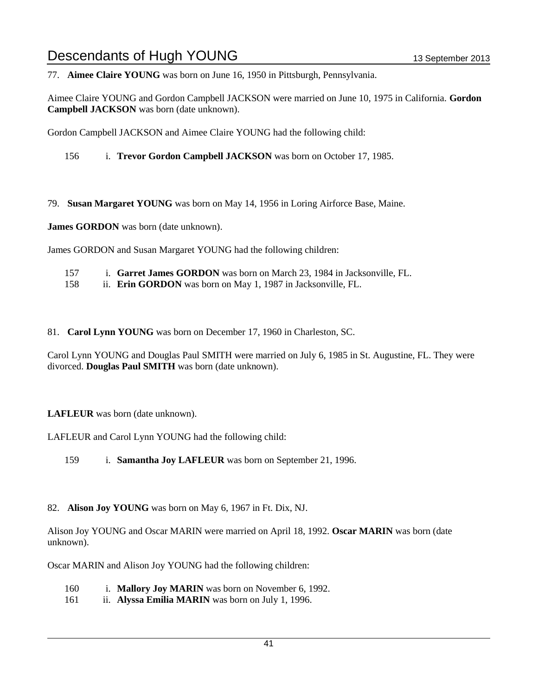77. **Aimee Claire YOUNG** was born on June 16, 1950 in Pittsburgh, Pennsylvania.

Aimee Claire YOUNG and Gordon Campbell JACKSON were married on June 10, 1975 in California. **Gordon Campbell JACKSON** was born (date unknown).

Gordon Campbell JACKSON and Aimee Claire YOUNG had the following child:

156 i. **Trevor Gordon Campbell JACKSON** was born on October 17, 1985.

79. **Susan Margaret YOUNG** was born on May 14, 1956 in Loring Airforce Base, Maine.

**James GORDON** was born (date unknown).

James GORDON and Susan Margaret YOUNG had the following children:

- 157 i. **Garret James GORDON** was born on March 23, 1984 in Jacksonville, FL.
- 158 ii. **Erin GORDON** was born on May 1, 1987 in Jacksonville, FL.

81. **Carol Lynn YOUNG** was born on December 17, 1960 in Charleston, SC.

Carol Lynn YOUNG and Douglas Paul SMITH were married on July 6, 1985 in St. Augustine, FL. They were divorced. **Douglas Paul SMITH** was born (date unknown).

### **LAFLEUR** was born (date unknown).

LAFLEUR and Carol Lynn YOUNG had the following child:

159 i. **Samantha Joy LAFLEUR** was born on September 21, 1996.

82. **Alison Joy YOUNG** was born on May 6, 1967 in Ft. Dix, NJ.

Alison Joy YOUNG and Oscar MARIN were married on April 18, 1992. **Oscar MARIN** was born (date unknown).

Oscar MARIN and Alison Joy YOUNG had the following children:

- 160 i. **Mallory Joy MARIN** was born on November 6, 1992.
- 161 ii. **Alyssa Emilia MARIN** was born on July 1, 1996.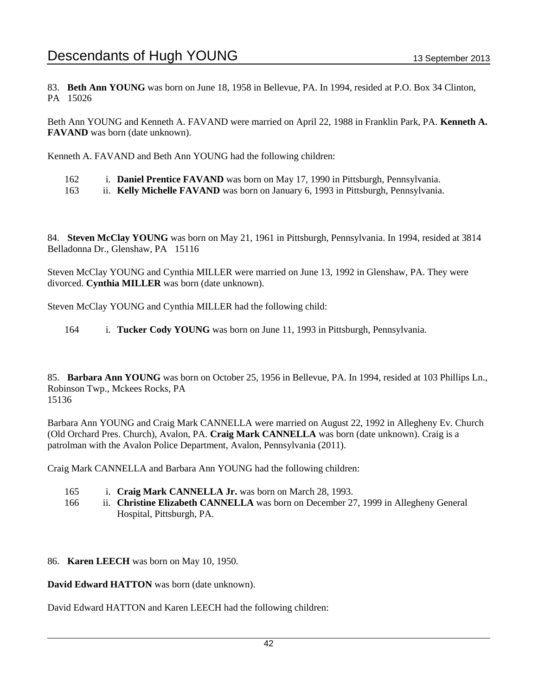83. **Beth Ann YOUNG** was born on June 18, 1958 in Bellevue, PA. In 1994, resided at P.O. Box 34 Clinton, PA 15026

Beth Ann YOUNG and Kenneth A. FAVAND were married on April 22, 1988 in Franklin Park, PA. **Kenneth A. FAVAND** was born (date unknown).

Kenneth A. FAVAND and Beth Ann YOUNG had the following children:

- 162 i. **Daniel Prentice FAVAND** was born on May 17, 1990 in Pittsburgh, Pennsylvania.
- 163 ii. **Kelly Michelle FAVAND** was born on January 6, 1993 in Pittsburgh, Pennsylvania.

84. **Steven McClay YOUNG** was born on May 21, 1961 in Pittsburgh, Pennsylvania. In 1994, resided at 3814 Belladonna Dr., Glenshaw, PA 15116

Steven McClay YOUNG and Cynthia MILLER were married on June 13, 1992 in Glenshaw, PA. They were divorced. **Cynthia MILLER** was born (date unknown).

Steven McClay YOUNG and Cynthia MILLER had the following child:

164 i. **Tucker Cody YOUNG** was born on June 11, 1993 in Pittsburgh, Pennsylvania.

85. **Barbara Ann YOUNG** was born on October 25, 1956 in Bellevue, PA. In 1994, resided at 103 Phillips Ln., Robinson Twp., Mckees Rocks, PA 15136

Barbara Ann YOUNG and Craig Mark CANNELLA were married on August 22, 1992 in Allegheny Ev. Church (Old Orchard Pres. Church), Avalon, PA. **Craig Mark CANNELLA** was born (date unknown). Craig is a patrolman with the Avalon Police Department, Avalon, Pennsylvania (2011).

Craig Mark CANNELLA and Barbara Ann YOUNG had the following children:

- 165 i. **Craig Mark CANNELLA Jr.** was born on March 28, 1993.
- 166 ii. **Christine Elizabeth CANNELLA** was born on December 27, 1999 in Allegheny General Hospital, Pittsburgh, PA.
- 86. **Karen LEECH** was born on May 10, 1950.

**David Edward HATTON** was born (date unknown).

David Edward HATTON and Karen LEECH had the following children: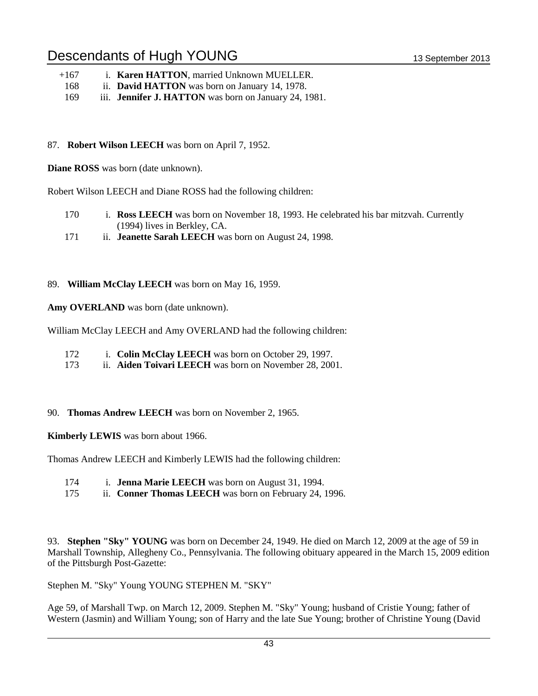- +167 i. **Karen HATTON**, married Unknown MUELLER.
- 168 ii. **David HATTON** was born on January 14, 1978.
- 169 iii. **Jennifer J. HATTON** was born on January 24, 1981.

### 87. **Robert Wilson LEECH** was born on April 7, 1952.

**Diane ROSS** was born (date unknown).

Robert Wilson LEECH and Diane ROSS had the following children:

- 170 i. **Ross LEECH** was born on November 18, 1993. He celebrated his bar mitzvah. Currently (1994) lives in Berkley, CA.
- 171 ii. **Jeanette Sarah LEECH** was born on August 24, 1998.

### 89. **William McClay LEECH** was born on May 16, 1959.

**Amy OVERLAND** was born (date unknown).

William McClay LEECH and Amy OVERLAND had the following children:

- 172 i. **Colin McClay LEECH** was born on October 29, 1997.
- 173 ii. **Aiden Toivari LEECH** was born on November 28, 2001.

### 90. **Thomas Andrew LEECH** was born on November 2, 1965.

**Kimberly LEWIS** was born about 1966.

Thomas Andrew LEECH and Kimberly LEWIS had the following children:

- 174 i. **Jenna Marie LEECH** was born on August 31, 1994.
- 175 ii. **Conner Thomas LEECH** was born on February 24, 1996.

93. **Stephen "Sky" YOUNG** was born on December 24, 1949. He died on March 12, 2009 at the age of 59 in Marshall Township, Allegheny Co., Pennsylvania. The following obituary appeared in the March 15, 2009 edition of the Pittsburgh Post-Gazette:

Stephen M. "Sky" Young YOUNG STEPHEN M. "SKY"

Age 59, of Marshall Twp. on March 12, 2009. Stephen M. "Sky" Young; husband of Cristie Young; father of Western (Jasmin) and William Young; son of Harry and the late Sue Young; brother of Christine Young (David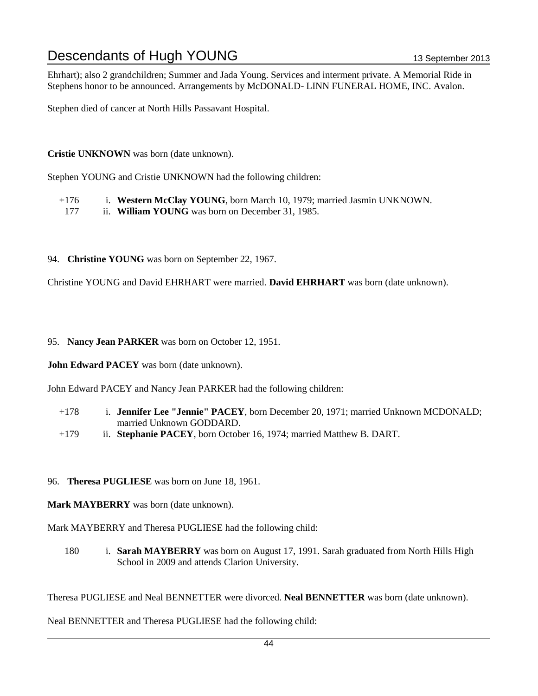Ehrhart); also 2 grandchildren; Summer and Jada Young. Services and interment private. A Memorial Ride in Stephens honor to be announced. Arrangements by McDONALD- LINN FUNERAL HOME, INC. Avalon.

Stephen died of cancer at North Hills Passavant Hospital.

**Cristie UNKNOWN** was born (date unknown).

Stephen YOUNG and Cristie UNKNOWN had the following children:

- +176 i. **Western McClay YOUNG**, born March 10, 1979; married Jasmin UNKNOWN.
- 177 ii. **William YOUNG** was born on December 31, 1985.
- 94. **Christine YOUNG** was born on September 22, 1967.

Christine YOUNG and David EHRHART were married. **David EHRHART** was born (date unknown).

#### 95. **Nancy Jean PARKER** was born on October 12, 1951.

**John Edward PACEY** was born (date unknown).

John Edward PACEY and Nancy Jean PARKER had the following children:

- +178 i. **Jennifer Lee "Jennie" PACEY**, born December 20, 1971; married Unknown MCDONALD; married Unknown GODDARD.
- +179 ii. **Stephanie PACEY**, born October 16, 1974; married Matthew B. DART.
- 96. **Theresa PUGLIESE** was born on June 18, 1961.
- **Mark MAYBERRY** was born (date unknown).

Mark MAYBERRY and Theresa PUGLIESE had the following child:

180 i. **Sarah MAYBERRY** was born on August 17, 1991. Sarah graduated from North Hills High School in 2009 and attends Clarion University.

Theresa PUGLIESE and Neal BENNETTER were divorced. **Neal BENNETTER** was born (date unknown).

Neal BENNETTER and Theresa PUGLIESE had the following child: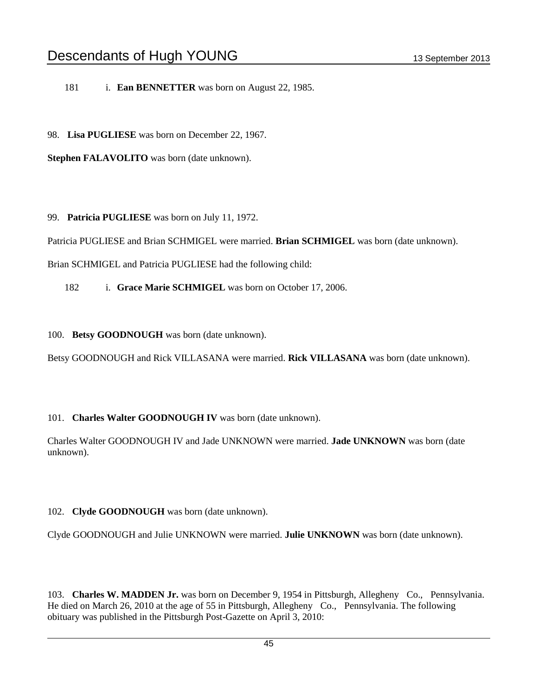181 i. **Ean BENNETTER** was born on August 22, 1985.

98. **Lisa PUGLIESE** was born on December 22, 1967.

**Stephen FALAVOLITO** was born (date unknown).

99. **Patricia PUGLIESE** was born on July 11, 1972.

Patricia PUGLIESE and Brian SCHMIGEL were married. **Brian SCHMIGEL** was born (date unknown).

Brian SCHMIGEL and Patricia PUGLIESE had the following child:

182 i. **Grace Marie SCHMIGEL** was born on October 17, 2006.

100. **Betsy GOODNOUGH** was born (date unknown).

Betsy GOODNOUGH and Rick VILLASANA were married. **Rick VILLASANA** was born (date unknown).

#### 101. **Charles Walter GOODNOUGH IV** was born (date unknown).

Charles Walter GOODNOUGH IV and Jade UNKNOWN were married. **Jade UNKNOWN** was born (date unknown).

#### 102. **Clyde GOODNOUGH** was born (date unknown).

Clyde GOODNOUGH and Julie UNKNOWN were married. **Julie UNKNOWN** was born (date unknown).

103. **Charles W. MADDEN Jr.** was born on December 9, 1954 in Pittsburgh, Allegheny Co., Pennsylvania. He died on March 26, 2010 at the age of 55 in Pittsburgh, Allegheny Co., Pennsylvania. The following obituary was published in the Pittsburgh Post-Gazette on April 3, 2010: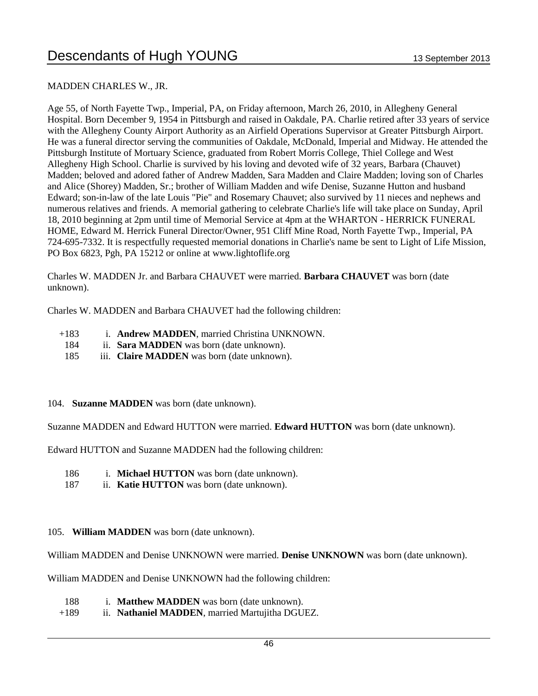### MADDEN CHARLES W., JR.

Age 55, of North Fayette Twp., Imperial, PA, on Friday afternoon, March 26, 2010, in Allegheny General Hospital. Born December 9, 1954 in Pittsburgh and raised in Oakdale, PA. Charlie retired after 33 years of service with the Allegheny County Airport Authority as an Airfield Operations Supervisor at Greater Pittsburgh Airport. He was a funeral director serving the communities of Oakdale, McDonald, Imperial and Midway. He attended the Pittsburgh Institute of Mortuary Science, graduated from Robert Morris College, Thiel College and West Allegheny High School. Charlie is survived by his loving and devoted wife of 32 years, Barbara (Chauvet) Madden; beloved and adored father of Andrew Madden, Sara Madden and Claire Madden; loving son of Charles and Alice (Shorey) Madden, Sr.; brother of William Madden and wife Denise, Suzanne Hutton and husband Edward; son-in-law of the late Louis "Pie" and Rosemary Chauvet; also survived by 11 nieces and nephews and numerous relatives and friends. A memorial gathering to celebrate Charlie's life will take place on Sunday, April 18, 2010 beginning at 2pm until time of Memorial Service at 4pm at the WHARTON - HERRICK FUNERAL HOME, Edward M. Herrick Funeral Director/Owner, 951 Cliff Mine Road, North Fayette Twp., Imperial, PA 724-695-7332. It is respectfully requested memorial donations in Charlie's name be sent to Light of Life Mission, PO Box 6823, Pgh, PA 15212 or online at www.lightoflife.org

Charles W. MADDEN Jr. and Barbara CHAUVET were married. **Barbara CHAUVET** was born (date unknown).

Charles W. MADDEN and Barbara CHAUVET had the following children:

- +183 i. **Andrew MADDEN**, married Christina UNKNOWN.
	- 184 ii. **Sara MADDEN** was born (date unknown).
	- 185 iii. **Claire MADDEN** was born (date unknown).

#### 104. **Suzanne MADDEN** was born (date unknown).

Suzanne MADDEN and Edward HUTTON were married. **Edward HUTTON** was born (date unknown).

Edward HUTTON and Suzanne MADDEN had the following children:

- 186 i. **Michael HUTTON** was born (date unknown).
- 187 ii. **Katie HUTTON** was born (date unknown).

#### 105. **William MADDEN** was born (date unknown).

William MADDEN and Denise UNKNOWN were married. **Denise UNKNOWN** was born (date unknown).

William MADDEN and Denise UNKNOWN had the following children:

- 188 i. **Matthew MADDEN** was born (date unknown).
- +189 ii. **Nathaniel MADDEN**, married Martujitha DGUEZ.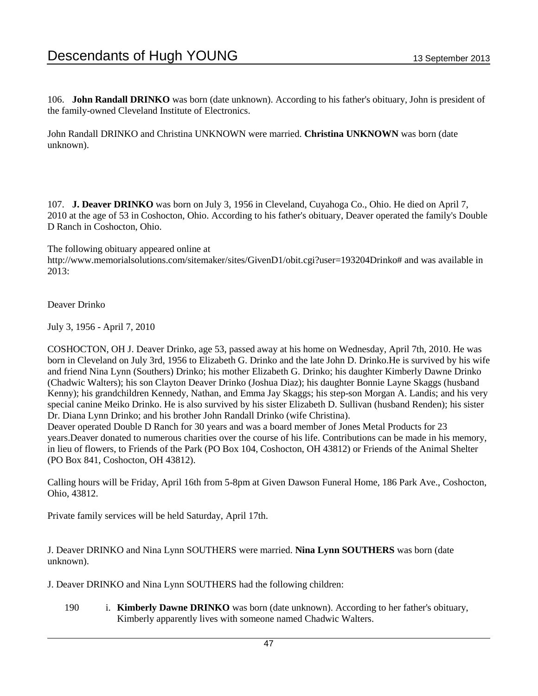106. **John Randall DRINKO** was born (date unknown). According to his father's obituary, John is president of the family-owned Cleveland Institute of Electronics.

John Randall DRINKO and Christina UNKNOWN were married. **Christina UNKNOWN** was born (date unknown).

107. **J. Deaver DRINKO** was born on July 3, 1956 in Cleveland, Cuyahoga Co., Ohio. He died on April 7, 2010 at the age of 53 in Coshocton, Ohio. According to his father's obituary, Deaver operated the family's Double D Ranch in Coshocton, Ohio.

The following obituary appeared online at http://www.memorialsolutions.com/sitemaker/sites/GivenD1/obit.cgi?user=193204Drinko# and was available in 2013:

Deaver Drinko

July 3, 1956 - April 7, 2010

COSHOCTON, OH J. Deaver Drinko, age 53, passed away at his home on Wednesday, April 7th, 2010. He was born in Cleveland on July 3rd, 1956 to Elizabeth G. Drinko and the late John D. Drinko.He is survived by his wife and friend Nina Lynn (Southers) Drinko; his mother Elizabeth G. Drinko; his daughter Kimberly Dawne Drinko (Chadwic Walters); his son Clayton Deaver Drinko (Joshua Diaz); his daughter Bonnie Layne Skaggs (husband Kenny); his grandchildren Kennedy, Nathan, and Emma Jay Skaggs; his step-son Morgan A. Landis; and his very special canine Meiko Drinko. He is also survived by his sister Elizabeth D. Sullivan (husband Renden); his sister Dr. Diana Lynn Drinko; and his brother John Randall Drinko (wife Christina).

Deaver operated Double D Ranch for 30 years and was a board member of Jones Metal Products for 23 years.Deaver donated to numerous charities over the course of his life. Contributions can be made in his memory, in lieu of flowers, to Friends of the Park (PO Box 104, Coshocton, OH 43812) or Friends of the Animal Shelter (PO Box 841, Coshocton, OH 43812).

Calling hours will be Friday, April 16th from 5-8pm at Given Dawson Funeral Home, 186 Park Ave., Coshocton, Ohio, 43812.

Private family services will be held Saturday, April 17th.

J. Deaver DRINKO and Nina Lynn SOUTHERS were married. **Nina Lynn SOUTHERS** was born (date unknown).

J. Deaver DRINKO and Nina Lynn SOUTHERS had the following children:

190 i. **Kimberly Dawne DRINKO** was born (date unknown). According to her father's obituary, Kimberly apparently lives with someone named Chadwic Walters.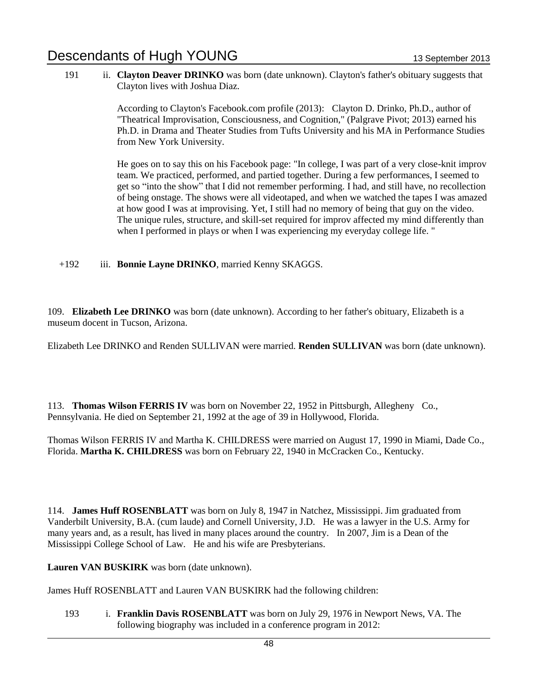191 ii. **Clayton Deaver DRINKO** was born (date unknown). Clayton's father's obituary suggests that Clayton lives with Joshua Diaz.

> According to Clayton's Facebook.com profile (2013): Clayton D. Drinko, Ph.D., author of "Theatrical Improvisation, Consciousness, and Cognition," (Palgrave Pivot; 2013) earned his Ph.D. in Drama and Theater Studies from Tufts University and his MA in Performance Studies from New York University.

> He goes on to say this on his Facebook page: "In college, I was part of a very close-knit improv team. We practiced, performed, and partied together. During a few performances, I seemed to get so "into the show" that I did not remember performing. I had, and still have, no recollection of being onstage. The shows were all videotaped, and when we watched the tapes I was amazed at how good I was at improvising. Yet, I still had no memory of being that guy on the video. The unique rules, structure, and skill-set required for improv affected my mind differently than when I performed in plays or when I was experiencing my everyday college life. "

+192 iii. **Bonnie Layne DRINKO**, married Kenny SKAGGS.

109. **Elizabeth Lee DRINKO** was born (date unknown). According to her father's obituary, Elizabeth is a museum docent in Tucson, Arizona.

Elizabeth Lee DRINKO and Renden SULLIVAN were married. **Renden SULLIVAN** was born (date unknown).

113. **Thomas Wilson FERRIS IV** was born on November 22, 1952 in Pittsburgh, Allegheny Co., Pennsylvania. He died on September 21, 1992 at the age of 39 in Hollywood, Florida.

Thomas Wilson FERRIS IV and Martha K. CHILDRESS were married on August 17, 1990 in Miami, Dade Co., Florida. **Martha K. CHILDRESS** was born on February 22, 1940 in McCracken Co., Kentucky.

114. **James Huff ROSENBLATT** was born on July 8, 1947 in Natchez, Mississippi. Jim graduated from Vanderbilt University, B.A. (cum laude) and Cornell University, J.D. He was a lawyer in the U.S. Army for many years and, as a result, has lived in many places around the country. In 2007, Jim is a Dean of the Mississippi College School of Law. He and his wife are Presbyterians.

**Lauren VAN BUSKIRK** was born (date unknown).

James Huff ROSENBLATT and Lauren VAN BUSKIRK had the following children:

193 i. **Franklin Davis ROSENBLATT** was born on July 29, 1976 in Newport News, VA. The following biography was included in a conference program in 2012: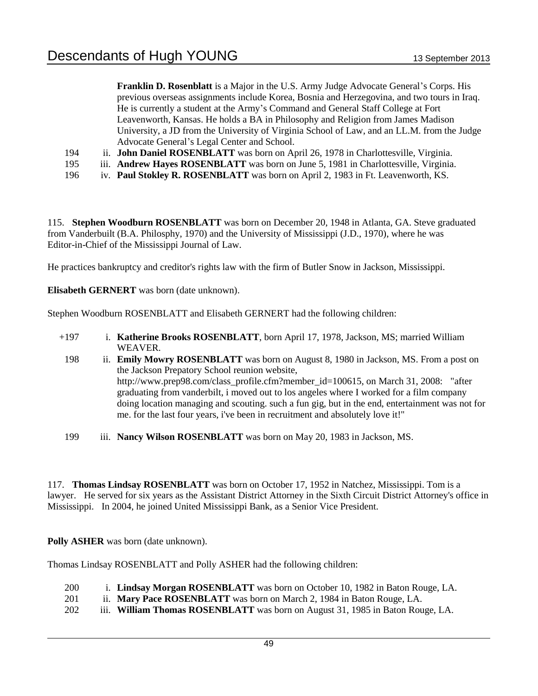**Franklin D. Rosenblatt** is a Major in the U.S. Army Judge Advocate General's Corps. His previous overseas assignments include Korea, Bosnia and Herzegovina, and two tours in Iraq. He is currently a student at the Army's Command and General Staff College at Fort Leavenworth, Kansas. He holds a BA in Philosophy and Religion from James Madison University, a JD from the University of Virginia School of Law, and an LL.M. from the Judge Advocate General's Legal Center and School.

- 194 ii. **John Daniel ROSENBLATT** was born on April 26, 1978 in Charlottesville, Virginia.
- 195 iii. **Andrew Hayes ROSENBLATT** was born on June 5, 1981 in Charlottesville, Virginia.
- 196 iv. **Paul Stokley R. ROSENBLATT** was born on April 2, 1983 in Ft. Leavenworth, KS.

115. **Stephen Woodburn ROSENBLATT** was born on December 20, 1948 in Atlanta, GA. Steve graduated from Vanderbuilt (B.A. Philosphy, 1970) and the University of Mississippi (J.D., 1970), where he was Editor-in-Chief of the Mississippi Journal of Law.

He practices bankruptcy and creditor's rights law with the firm of Butler Snow in Jackson, Mississippi.

**Elisabeth GERNERT** was born (date unknown).

Stephen Woodburn ROSENBLATT and Elisabeth GERNERT had the following children:

- +197 i. **Katherine Brooks ROSENBLATT**, born April 17, 1978, Jackson, MS; married William WEAVER.
- 198 ii. **Emily Mowry ROSENBLATT** was born on August 8, 1980 in Jackson, MS. From a post on the Jackson Prepatory School reunion website, http://www.prep98.com/class\_profile.cfm?member\_id=100615, on March 31, 2008: "after graduating from vanderbilt, i moved out to los angeles where I worked for a film company doing location managing and scouting. such a fun gig, but in the end, entertainment was not for me. for the last four years, i've been in recruitment and absolutely love it!"
- 199 iii. **Nancy Wilson ROSENBLATT** was born on May 20, 1983 in Jackson, MS.

117. **Thomas Lindsay ROSENBLATT** was born on October 17, 1952 in Natchez, Mississippi. Tom is a lawyer. He served for six years as the Assistant District Attorney in the Sixth Circuit District Attorney's office in Mississippi. In 2004, he joined United Mississippi Bank, as a Senior Vice President.

**Polly ASHER** was born (date unknown).

Thomas Lindsay ROSENBLATT and Polly ASHER had the following children:

- 200 i. **Lindsay Morgan ROSENBLATT** was born on October 10, 1982 in Baton Rouge, LA.
- 201 ii. **Mary Pace ROSENBLATT** was born on March 2, 1984 in Baton Rouge, LA.
- 202 iii. **William Thomas ROSENBLATT** was born on August 31, 1985 in Baton Rouge, LA.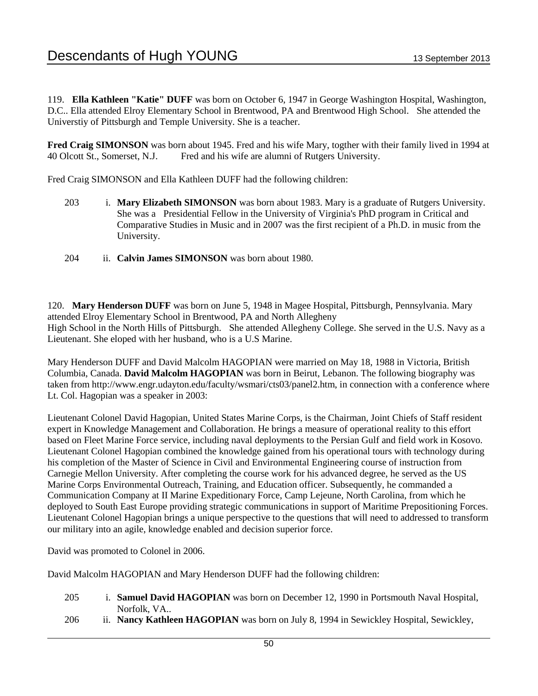119. **Ella Kathleen "Katie" DUFF** was born on October 6, 1947 in George Washington Hospital, Washington, D.C.. Ella attended Elroy Elementary School in Brentwood, PA and Brentwood High School. She attended the Universtiy of Pittsburgh and Temple University. She is a teacher.

**Fred Craig SIMONSON** was born about 1945. Fred and his wife Mary, togther with their family lived in 1994 at 40 Olcott St., Somerset, N.J. Fred and his wife are alumni of Rutgers University.

Fred Craig SIMONSON and Ella Kathleen DUFF had the following children:

- 203 i. **Mary Elizabeth SIMONSON** was born about 1983. Mary is a graduate of Rutgers University. She was a Presidential Fellow in the University of Virginia's PhD program in Critical and Comparative Studies in Music and in 2007 was the first recipient of a Ph.D. in music from the University.
- 204 ii. **Calvin James SIMONSON** was born about 1980.

120. **Mary Henderson DUFF** was born on June 5, 1948 in Magee Hospital, Pittsburgh, Pennsylvania. Mary attended Elroy Elementary School in Brentwood, PA and North Allegheny High School in the North Hills of Pittsburgh. She attended Allegheny College. She served in the U.S. Navy as a Lieutenant. She eloped with her husband, who is a U.S Marine.

Mary Henderson DUFF and David Malcolm HAGOPIAN were married on May 18, 1988 in Victoria, British Columbia, Canada. **David Malcolm HAGOPIAN** was born in Beirut, Lebanon. The following biography was taken from http://www.engr.udayton.edu/faculty/wsmari/cts03/panel2.htm, in connection with a conference where Lt. Col. Hagopian was a speaker in 2003:

Lieutenant Colonel David Hagopian, United States Marine Corps, is the Chairman, Joint Chiefs of Staff resident expert in Knowledge Management and Collaboration. He brings a measure of operational reality to this effort based on Fleet Marine Force service, including naval deployments to the Persian Gulf and field work in Kosovo. Lieutenant Colonel Hagopian combined the knowledge gained from his operational tours with technology during his completion of the Master of Science in Civil and Environmental Engineering course of instruction from Carnegie Mellon University. After completing the course work for his advanced degree, he served as the US Marine Corps Environmental Outreach, Training, and Education officer. Subsequently, he commanded a Communication Company at II Marine Expeditionary Force, Camp Lejeune, North Carolina, from which he deployed to South East Europe providing strategic communications in support of Maritime Prepositioning Forces. Lieutenant Colonel Hagopian brings a unique perspective to the questions that will need to addressed to transform our military into an agile, knowledge enabled and decision superior force.

David was promoted to Colonel in 2006.

David Malcolm HAGOPIAN and Mary Henderson DUFF had the following children:

- 205 i. **Samuel David HAGOPIAN** was born on December 12, 1990 in Portsmouth Naval Hospital, Norfolk, VA..
- 206 ii. **Nancy Kathleen HAGOPIAN** was born on July 8, 1994 in Sewickley Hospital, Sewickley,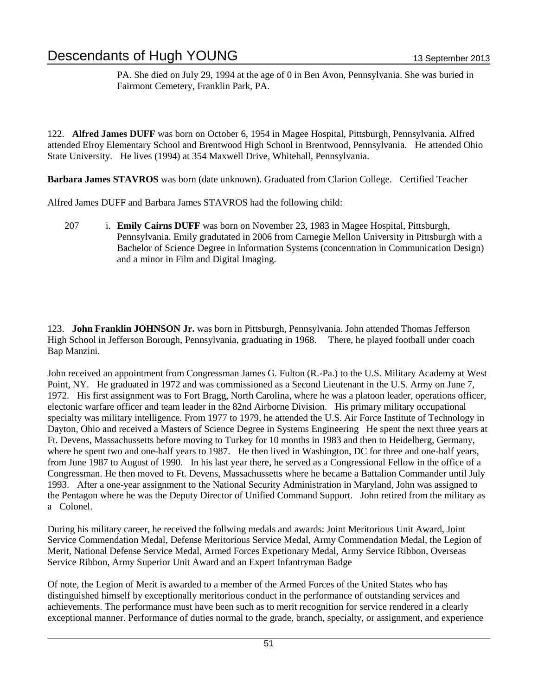PA. She died on July 29, 1994 at the age of 0 in Ben Avon, Pennsylvania. She was buried in Fairmont Cemetery, Franklin Park, PA.

122. **Alfred James DUFF** was born on October 6, 1954 in Magee Hospital, Pittsburgh, Pennsylvania. Alfred attended Elroy Elementary School and Brentwood High School in Brentwood, Pennsylvania. He attended Ohio State University. He lives (1994) at 354 Maxwell Drive, Whitehall, Pennsylvania.

**Barbara James STAVROS** was born (date unknown). Graduated from Clarion College. Certified Teacher

Alfred James DUFF and Barbara James STAVROS had the following child:

207 i. **Emily Cairns DUFF** was born on November 23, 1983 in Magee Hospital, Pittsburgh, Pennsylvania. Emily gradutated in 2006 from Carnegie Mellon University in Pittsburgh with a Bachelor of Science Degree in Information Systems (concentration in Communication Design) and a minor in Film and Digital Imaging.

123. **John Franklin JOHNSON Jr.** was born in Pittsburgh, Pennsylvania. John attended Thomas Jefferson High School in Jefferson Borough, Pennsylvania, graduating in 1968. There, he played football under coach Bap Manzini.

John received an appointment from Congressman James G. Fulton (R.-Pa.) to the U.S. Military Academy at West Point, NY. He graduated in 1972 and was commissioned as a Second Lieutenant in the U.S. Army on June 7, 1972. His first assignment was to Fort Bragg, North Carolina, where he was a platoon leader, operations officer, electonic warfare officer and team leader in the 82nd Airborne Division. His primary military occupational specialty was military intelligence. From 1977 to 1979, he attended the U.S. Air Force Institute of Technology in Dayton, Ohio and received a Masters of Science Degree in Systems Engineering He spent the next three years at Ft. Devens, Massachussetts before moving to Turkey for 10 months in 1983 and then to Heidelberg, Germany, where he spent two and one-half years to 1987. He then lived in Washington, DC for three and one-half years, from June 1987 to August of 1990. In his last year there, he served as a Congressional Fellow in the office of a Congressman. He then moved to Ft. Devens, Massachussetts where he became a Battalion Commander until July 1993. After a one-year assignment to the National Security Administration in Maryland, John was assigned to the Pentagon where he was the Deputy Director of Unified Command Support. John retired from the military as a Colonel.

During his military career, he received the follwing medals and awards: Joint Meritorious Unit Award, Joint Service Commendation Medal, Defense Meritorious Service Medal, Army Commendation Medal, the Legion of Merit, National Defense Service Medal, Armed Forces Expetionary Medal, Army Service Ribbon, Overseas Service Ribbon, Army Superior Unit Award and an Expert Infantryman Badge

Of note, the Legion of Merit is awarded to a member of the Armed Forces of the United States who has distinguished himself by exceptionally meritorious conduct in the performance of outstanding services and achievements. The performance must have been such as to merit recognition for service rendered in a clearly exceptional manner. Performance of duties normal to the grade, branch, specialty, or assignment, and experience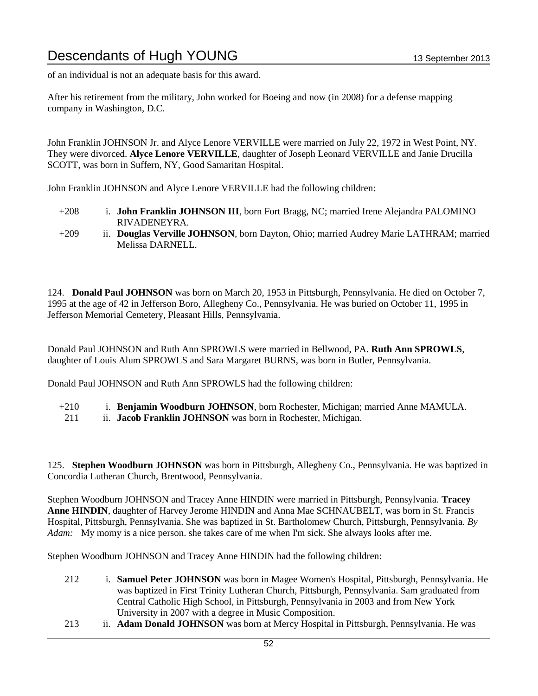of an individual is not an adequate basis for this award.

After his retirement from the military, John worked for Boeing and now (in 2008) for a defense mapping company in Washington, D.C.

John Franklin JOHNSON Jr. and Alyce Lenore VERVILLE were married on July 22, 1972 in West Point, NY. They were divorced. **Alyce Lenore VERVILLE**, daughter of Joseph Leonard VERVILLE and Janie Drucilla SCOTT, was born in Suffern, NY, Good Samaritan Hospital.

John Franklin JOHNSON and Alyce Lenore VERVILLE had the following children:

- +208 i. **John Franklin JOHNSON III**, born Fort Bragg, NC; married Irene Alejandra PALOMINO RIVADENEYRA.
- +209 ii. **Douglas Verville JOHNSON**, born Dayton, Ohio; married Audrey Marie LATHRAM; married Melissa DARNELL.

124. **Donald Paul JOHNSON** was born on March 20, 1953 in Pittsburgh, Pennsylvania. He died on October 7, 1995 at the age of 42 in Jefferson Boro, Allegheny Co., Pennsylvania. He was buried on October 11, 1995 in Jefferson Memorial Cemetery, Pleasant Hills, Pennsylvania.

Donald Paul JOHNSON and Ruth Ann SPROWLS were married in Bellwood, PA. **Ruth Ann SPROWLS**, daughter of Louis Alum SPROWLS and Sara Margaret BURNS, was born in Butler, Pennsylvania.

Donald Paul JOHNSON and Ruth Ann SPROWLS had the following children:

| $+210$ |  | i. Benjamin Woodburn JOHNSON, born Rochester, Michigan; married Anne MAMULA. |
|--------|--|------------------------------------------------------------------------------|
|--------|--|------------------------------------------------------------------------------|

211 ii. **Jacob Franklin JOHNSON** was born in Rochester, Michigan.

125. **Stephen Woodburn JOHNSON** was born in Pittsburgh, Allegheny Co., Pennsylvania. He was baptized in Concordia Lutheran Church, Brentwood, Pennsylvania.

Stephen Woodburn JOHNSON and Tracey Anne HINDIN were married in Pittsburgh, Pennsylvania. **Tracey Anne HINDIN**, daughter of Harvey Jerome HINDIN and Anna Mae SCHNAUBELT, was born in St. Francis Hospital, Pittsburgh, Pennsylvania. She was baptized in St. Bartholomew Church, Pittsburgh, Pennsylvania. *By Adam:* My momy is a nice person. she takes care of me when I'm sick. She always looks after me.

Stephen Woodburn JOHNSON and Tracey Anne HINDIN had the following children:

- 212 i. **Samuel Peter JOHNSON** was born in Magee Women's Hospital, Pittsburgh, Pennsylvania. He was baptized in First Trinity Lutheran Church, Pittsburgh, Pennsylvania. Sam graduated from Central Catholic High School, in Pittsburgh, Pennsylvania in 2003 and from New York University in 2007 with a degree in Music Composition.
- 213 ii. **Adam Donald JOHNSON** was born at Mercy Hospital in Pittsburgh, Pennsylvania. He was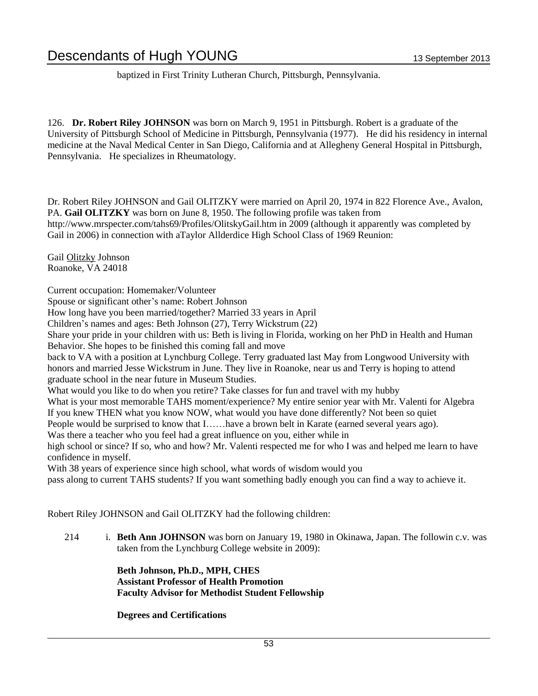baptized in First Trinity Lutheran Church, Pittsburgh, Pennsylvania.

126. **Dr. Robert Riley JOHNSON** was born on March 9, 1951 in Pittsburgh. Robert is a graduate of the University of Pittsburgh School of Medicine in Pittsburgh, Pennsylvania (1977). He did his residency in internal medicine at the Naval Medical Center in San Diego, California and at Allegheny General Hospital in Pittsburgh, Pennsylvania. He specializes in Rheumatology.

Dr. Robert Riley JOHNSON and Gail OLITZKY were married on April 20, 1974 in 822 Florence Ave., Avalon, PA. **Gail OLITZKY** was born on June 8, 1950. The following profile was taken from http://www.mrspecter.com/tahs69/Profiles/OlitskyGail.htm in 2009 (although it apparently was completed by Gail in 2006) in connection with aTaylor Allderdice High School Class of 1969 Reunion:

Gail Olitzky Johnson Roanoke, VA 24018

Current occupation: Homemaker/Volunteer

Spouse or significant other's name: Robert Johnson

How long have you been married/together? Married 33 years in April

Children's names and ages: Beth Johnson (27), Terry Wickstrum (22)

Share your pride in your children with us: Beth is living in Florida, working on her PhD in Health and Human Behavior. She hopes to be finished this coming fall and move

back to VA with a position at Lynchburg College. Terry graduated last May from Longwood University with honors and married Jesse Wickstrum in June. They live in Roanoke, near us and Terry is hoping to attend graduate school in the near future in Museum Studies.

What would you like to do when you retire? Take classes for fun and travel with my hubby

What is your most memorable TAHS moment/experience? My entire senior year with Mr. Valenti for Algebra If you knew THEN what you know NOW, what would you have done differently? Not been so quiet

People would be surprised to know that I……have a brown belt in Karate (earned several years ago).

Was there a teacher who you feel had a great influence on you, either while in

high school or since? If so, who and how? Mr. Valenti respected me for who I was and helped me learn to have confidence in myself.

With 38 years of experience since high school, what words of wisdom would you

pass along to current TAHS students? If you want something badly enough you can find a way to achieve it.

Robert Riley JOHNSON and Gail OLITZKY had the following children:

214 i. **Beth Ann JOHNSON** was born on January 19, 1980 in Okinawa, Japan. The followin c.v. was taken from the Lynchburg College website in 2009):

> **Beth Johnson, Ph.D., MPH, CHES Assistant Professor of Health Promotion Faculty Advisor for Methodist Student Fellowship**

**Degrees and Certifications**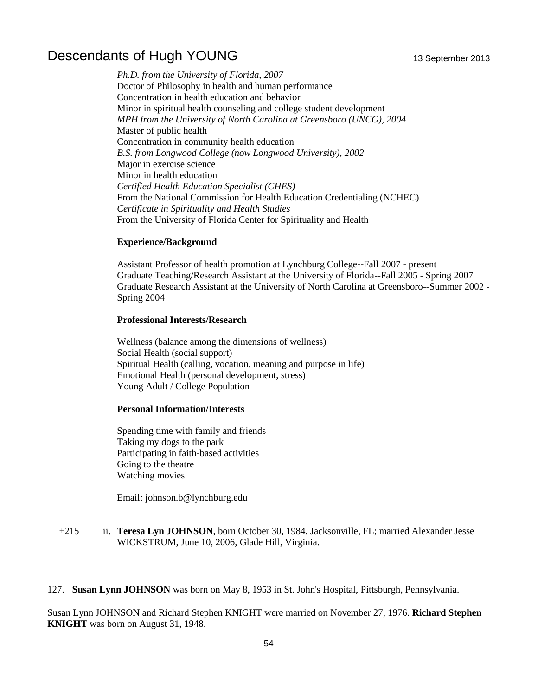*Ph.D. from the University of Florida, 2007* Doctor of Philosophy in health and human performance Concentration in health education and behavior Minor in spiritual health counseling and college student development *MPH from the University of North Carolina at Greensboro (UNCG), 2004* Master of public health Concentration in community health education *B.S. from Longwood College (now Longwood University), 2002* Major in exercise science Minor in health education *Certified Health Education Specialist (CHES)* From the National Commission for Health Education Credentialing (NCHEC) *Certificate in Spirituality and Health Studies* From the University of Florida Center for Spirituality and Health

### **Experience/Background**

Assistant Professor of health promotion at Lynchburg College--Fall 2007 - present Graduate Teaching/Research Assistant at the University of Florida--Fall 2005 - Spring 2007 Graduate Research Assistant at the University of North Carolina at Greensboro--Summer 2002 - Spring 2004

#### **Professional Interests/Research**

Wellness (balance among the dimensions of wellness) Social Health (social support) Spiritual Health (calling, vocation, meaning and purpose in life) Emotional Health (personal development, stress) Young Adult / College Population

#### **Personal Information/Interests**

Spending time with family and friends Taking my dogs to the park Participating in faith-based activities Going to the theatre Watching movies

Email: johnson.b@lynchburg.edu

#### +215 ii. **Teresa Lyn JOHNSON**, born October 30, 1984, Jacksonville, FL; married Alexander Jesse WICKSTRUM, June 10, 2006, Glade Hill, Virginia.

127. **Susan Lynn JOHNSON** was born on May 8, 1953 in St. John's Hospital, Pittsburgh, Pennsylvania.

Susan Lynn JOHNSON and Richard Stephen KNIGHT were married on November 27, 1976. **Richard Stephen KNIGHT** was born on August 31, 1948.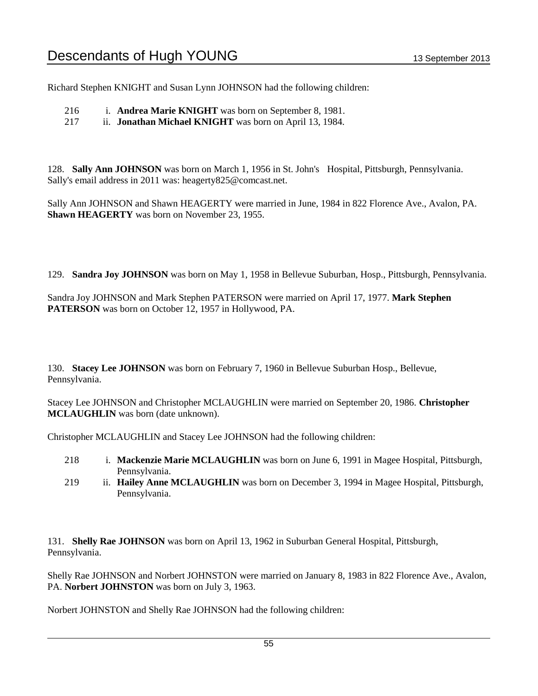Richard Stephen KNIGHT and Susan Lynn JOHNSON had the following children:

216 i. **Andrea Marie KNIGHT** was born on September 8, 1981.

217 ii. **Jonathan Michael KNIGHT** was born on April 13, 1984.

128. **Sally Ann JOHNSON** was born on March 1, 1956 in St. John's Hospital, Pittsburgh, Pennsylvania. Sally's email address in 2011 was: heagerty825@comcast.net.

Sally Ann JOHNSON and Shawn HEAGERTY were married in June, 1984 in 822 Florence Ave., Avalon, PA. **Shawn HEAGERTY** was born on November 23, 1955.

129. **Sandra Joy JOHNSON** was born on May 1, 1958 in Bellevue Suburban, Hosp., Pittsburgh, Pennsylvania.

Sandra Joy JOHNSON and Mark Stephen PATERSON were married on April 17, 1977. **Mark Stephen PATERSON** was born on October 12, 1957 in Hollywood, PA.

130. **Stacey Lee JOHNSON** was born on February 7, 1960 in Bellevue Suburban Hosp., Bellevue, Pennsylvania.

Stacey Lee JOHNSON and Christopher MCLAUGHLIN were married on September 20, 1986. **Christopher MCLAUGHLIN** was born (date unknown).

Christopher MCLAUGHLIN and Stacey Lee JOHNSON had the following children:

- 218 i. **Mackenzie Marie MCLAUGHLIN** was born on June 6, 1991 in Magee Hospital, Pittsburgh, Pennsylvania.
- 219 ii. **Hailey Anne MCLAUGHLIN** was born on December 3, 1994 in Magee Hospital, Pittsburgh, Pennsylvania.

131. **Shelly Rae JOHNSON** was born on April 13, 1962 in Suburban General Hospital, Pittsburgh, Pennsylvania.

Shelly Rae JOHNSON and Norbert JOHNSTON were married on January 8, 1983 in 822 Florence Ave., Avalon, PA. **Norbert JOHNSTON** was born on July 3, 1963.

Norbert JOHNSTON and Shelly Rae JOHNSON had the following children: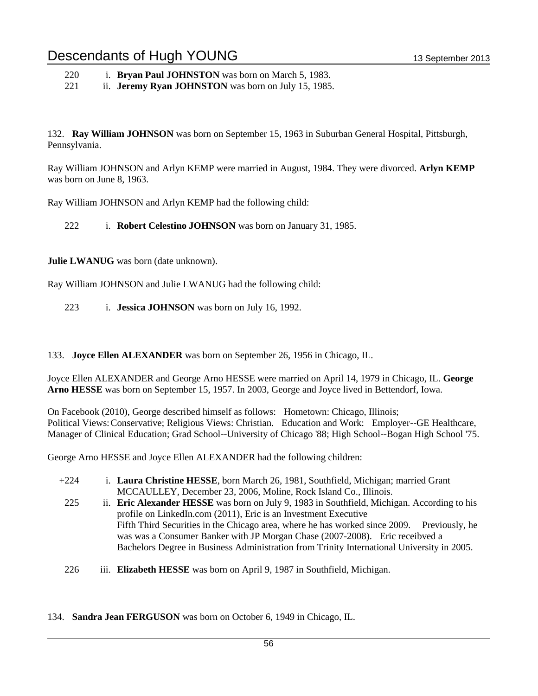220 i. **Bryan Paul JOHNSTON** was born on March 5, 1983.

221 ii. **Jeremy Ryan JOHNSTON** was born on July 15, 1985.

132. **Ray William JOHNSON** was born on September 15, 1963 in Suburban General Hospital, Pittsburgh, Pennsylvania.

Ray William JOHNSON and Arlyn KEMP were married in August, 1984. They were divorced. **Arlyn KEMP** was born on June 8, 1963.

Ray William JOHNSON and Arlyn KEMP had the following child:

222 i. **Robert Celestino JOHNSON** was born on January 31, 1985.

**Julie LWANUG** was born (date unknown).

Ray William JOHNSON and Julie LWANUG had the following child:

223 i. **Jessica JOHNSON** was born on July 16, 1992.

133. **Joyce Ellen ALEXANDER** was born on September 26, 1956 in Chicago, IL.

Joyce Ellen ALEXANDER and George Arno HESSE were married on April 14, 1979 in Chicago, IL. **George Arno HESSE** was born on September 15, 1957. In 2003, George and Joyce lived in Bettendorf, Iowa.

On Facebook (2010), George described himself as follows: Hometown: Chicago, Illinois; Political Views:Conservative; Religious Views: Christian. Education and Work: Employer--GE Healthcare, Manager of Clinical Education; Grad School--University of Chicago '88; High School--Bogan High School '75.

George Arno HESSE and Joyce Ellen ALEXANDER had the following children:

- +224 i. **Laura Christine HESSE**, born March 26, 1981, Southfield, Michigan; married Grant MCCAULLEY, December 23, 2006, Moline, Rock Island Co., Illinois.
- 225 ii. **Eric Alexander HESSE** was born on July 9, 1983 in Southfield, Michigan. According to his profile on LinkedIn.com (2011), Eric is an Investment Executive Fifth Third Securities in the Chicago area, where he has worked since 2009. Previously, he was was a Consumer Banker with JP Morgan Chase (2007-2008). Eric receibved a Bachelors Degree in Business Administration from Trinity International University in 2005.
- 226 iii. **Elizabeth HESSE** was born on April 9, 1987 in Southfield, Michigan.

134. **Sandra Jean FERGUSON** was born on October 6, 1949 in Chicago, IL.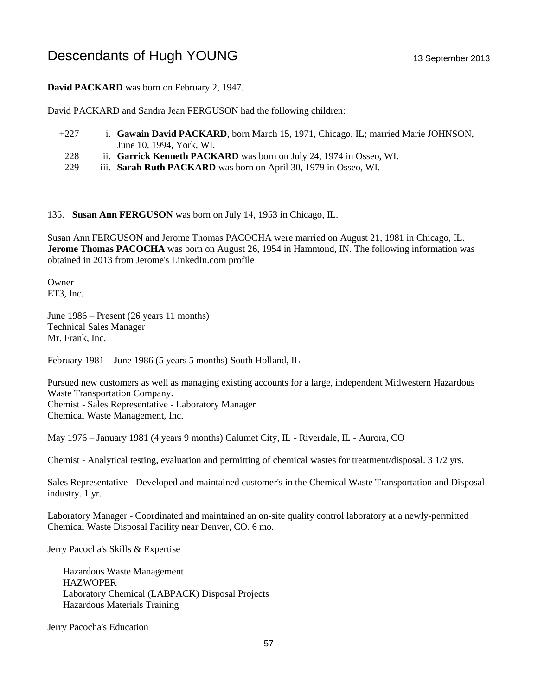**David PACKARD** was born on February 2, 1947.

David PACKARD and Sandra Jean FERGUSON had the following children:

- +227 i. Gawain David PACKARD, born March 15, 1971, Chicago, IL; married Marie JOHNSON, June 10, 1994, York, WI.
- 228 ii. **Garrick Kenneth PACKARD** was born on July 24, 1974 in Osseo, WI.
- 229 iii. **Sarah Ruth PACKARD** was born on April 30, 1979 in Osseo, WI.

135. **Susan Ann FERGUSON** was born on July 14, 1953 in Chicago, IL.

Susan Ann FERGUSON and Jerome Thomas PACOCHA were married on August 21, 1981 in Chicago, IL. **Jerome Thomas PACOCHA** was born on August 26, 1954 in Hammond, IN. The following information was obtained in 2013 from Jerome's LinkedIn.com profile

Owner ET3, Inc.

June 1986 – Present (26 years 11 months) Technical Sales Manager Mr. Frank, Inc.

February 1981 – June 1986 (5 years 5 months) South Holland, IL

Pursued new customers as well as managing existing accounts for a large, independent Midwestern Hazardous Waste Transportation Company. Chemist - Sales Representative - Laboratory Manager Chemical Waste Management, Inc.

May 1976 – January 1981 (4 years 9 months) Calumet City, IL - Riverdale, IL - Aurora, CO

Chemist - Analytical testing, evaluation and permitting of chemical wastes for treatment/disposal. 3 1/2 yrs.

Sales Representative - Developed and maintained customer's in the Chemical Waste Transportation and Disposal industry. 1 yr.

Laboratory Manager - Coordinated and maintained an on-site quality control laboratory at a newly-permitted Chemical Waste Disposal Facility near Denver, CO. 6 mo.

Jerry Pacocha's Skills & Expertise

 Hazardous Waste Management HAZWOPER Laboratory Chemical (LABPACK) Disposal Projects Hazardous Materials Training

Jerry Pacocha's Education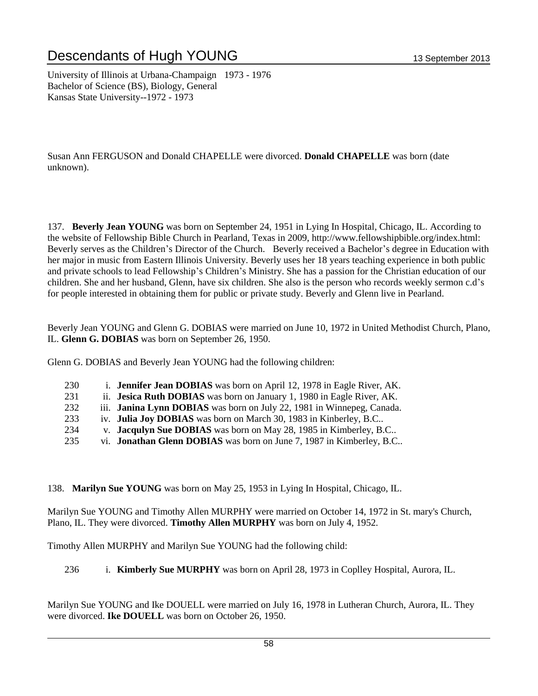University of Illinois at Urbana-Champaign 1973 - 1976 Bachelor of Science (BS), Biology, General Kansas State University--1972 - 1973

Susan Ann FERGUSON and Donald CHAPELLE were divorced. **Donald CHAPELLE** was born (date unknown).

137. **Beverly Jean YOUNG** was born on September 24, 1951 in Lying In Hospital, Chicago, IL. According to the website of Fellowship Bible Church in Pearland, Texas in 2009, http://www.fellowshipbible.org/index.html: Beverly serves as the Children's Director of the Church. Beverly received a Bachelor's degree in Education with her major in music from Eastern Illinois University. Beverly uses her 18 years teaching experience in both public and private schools to lead Fellowship's Children's Ministry. She has a passion for the Christian education of our children. She and her husband, Glenn, have six children. She also is the person who records weekly sermon c.d's for people interested in obtaining them for public or private study. Beverly and Glenn live in Pearland.

Beverly Jean YOUNG and Glenn G. DOBIAS were married on June 10, 1972 in United Methodist Church, Plano, IL. **Glenn G. DOBIAS** was born on September 26, 1950.

Glenn G. DOBIAS and Beverly Jean YOUNG had the following children:

- 230 i. **Jennifer Jean DOBIAS** was born on April 12, 1978 in Eagle River, AK.
- 231 ii. **Jesica Ruth DOBIAS** was born on January 1, 1980 in Eagle River, AK.
- 232 iii. **Janina Lynn DOBIAS** was born on July 22, 1981 in Winnepeg, Canada.
- 233 iv. **Julia Joy DOBIAS** was born on March 30, 1983 in Kinberley, B.C..
- 234 v. **Jacqulyn Sue DOBIAS** was born on May 28, 1985 in Kimberley, B.C..
- 235 vi. **Jonathan Glenn DOBIAS** was born on June 7, 1987 in Kimberley, B.C..

138. **Marilyn Sue YOUNG** was born on May 25, 1953 in Lying In Hospital, Chicago, IL.

Marilyn Sue YOUNG and Timothy Allen MURPHY were married on October 14, 1972 in St. mary's Church, Plano, IL. They were divorced. **Timothy Allen MURPHY** was born on July 4, 1952.

Timothy Allen MURPHY and Marilyn Sue YOUNG had the following child:

236 i. **Kimberly Sue MURPHY** was born on April 28, 1973 in Coplley Hospital, Aurora, IL.

Marilyn Sue YOUNG and Ike DOUELL were married on July 16, 1978 in Lutheran Church, Aurora, IL. They were divorced. **Ike DOUELL** was born on October 26, 1950.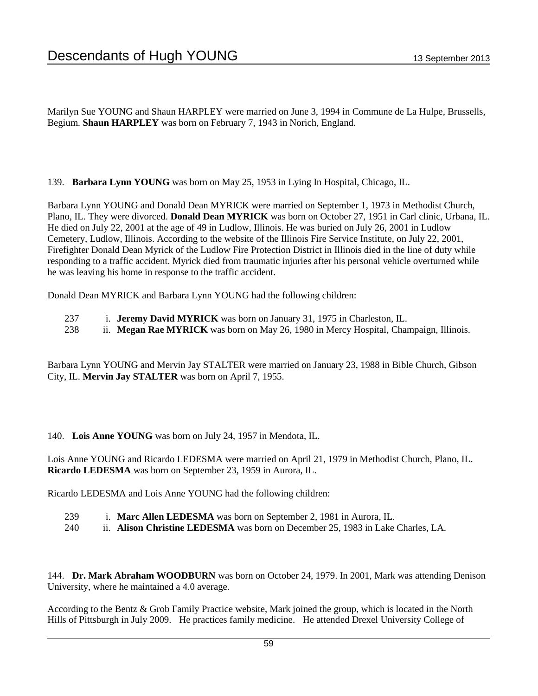Marilyn Sue YOUNG and Shaun HARPLEY were married on June 3, 1994 in Commune de La Hulpe, Brussells, Begium. **Shaun HARPLEY** was born on February 7, 1943 in Norich, England.

139. **Barbara Lynn YOUNG** was born on May 25, 1953 in Lying In Hospital, Chicago, IL.

Barbara Lynn YOUNG and Donald Dean MYRICK were married on September 1, 1973 in Methodist Church, Plano, IL. They were divorced. **Donald Dean MYRICK** was born on October 27, 1951 in Carl clinic, Urbana, IL. He died on July 22, 2001 at the age of 49 in Ludlow, Illinois. He was buried on July 26, 2001 in Ludlow Cemetery, Ludlow, Illinois. According to the website of the Illinois Fire Service Institute, on July 22, 2001, Firefighter Donald Dean Myrick of the Ludlow Fire Protection District in Illinois died in the line of duty while responding to a traffic accident. Myrick died from traumatic injuries after his personal vehicle overturned while he was leaving his home in response to the traffic accident.

Donald Dean MYRICK and Barbara Lynn YOUNG had the following children:

- 237 i. **Jeremy David MYRICK** was born on January 31, 1975 in Charleston, IL.
- 238 ii. **Megan Rae MYRICK** was born on May 26, 1980 in Mercy Hospital, Champaign, Illinois.

Barbara Lynn YOUNG and Mervin Jay STALTER were married on January 23, 1988 in Bible Church, Gibson City, IL. **Mervin Jay STALTER** was born on April 7, 1955.

140. **Lois Anne YOUNG** was born on July 24, 1957 in Mendota, IL.

Lois Anne YOUNG and Ricardo LEDESMA were married on April 21, 1979 in Methodist Church, Plano, IL. **Ricardo LEDESMA** was born on September 23, 1959 in Aurora, IL.

Ricardo LEDESMA and Lois Anne YOUNG had the following children:

- 239 i. **Marc Allen LEDESMA** was born on September 2, 1981 in Aurora, IL.
- 240 ii. **Alison Christine LEDESMA** was born on December 25, 1983 in Lake Charles, LA.

144. **Dr. Mark Abraham WOODBURN** was born on October 24, 1979. In 2001, Mark was attending Denison University, where he maintained a 4.0 average.

According to the Bentz & Grob Family Practice website, Mark joined the group, which is located in the North Hills of Pittsburgh in July 2009. He practices family medicine. He attended Drexel University College of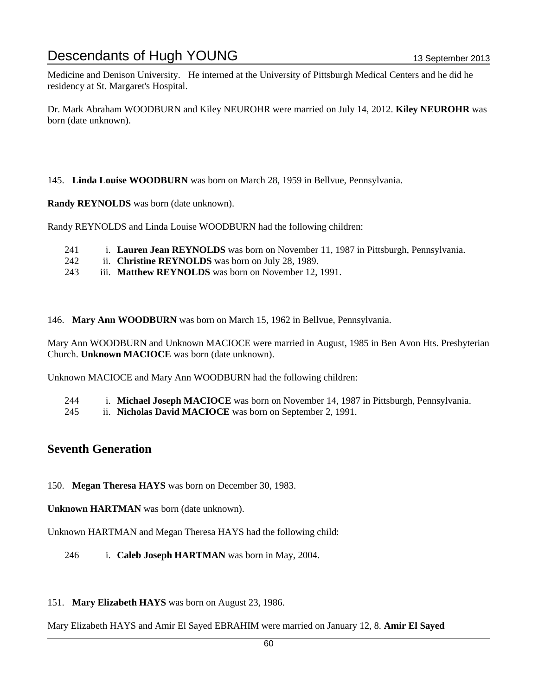Medicine and Denison University. He interned at the University of Pittsburgh Medical Centers and he did he residency at St. Margaret's Hospital.

Dr. Mark Abraham WOODBURN and Kiley NEUROHR were married on July 14, 2012. **Kiley NEUROHR** was born (date unknown).

145. **Linda Louise WOODBURN** was born on March 28, 1959 in Bellvue, Pennsylvania.

**Randy REYNOLDS** was born (date unknown).

Randy REYNOLDS and Linda Louise WOODBURN had the following children:

- 241 i. **Lauren Jean REYNOLDS** was born on November 11, 1987 in Pittsburgh, Pennsylvania.
- 242 ii. **Christine REYNOLDS** was born on July 28, 1989.
- 243 iii. **Matthew REYNOLDS** was born on November 12, 1991.

146. **Mary Ann WOODBURN** was born on March 15, 1962 in Bellvue, Pennsylvania.

Mary Ann WOODBURN and Unknown MACIOCE were married in August, 1985 in Ben Avon Hts. Presbyterian Church. **Unknown MACIOCE** was born (date unknown).

Unknown MACIOCE and Mary Ann WOODBURN had the following children:

244 i. **Michael Joseph MACIOCE** was born on November 14, 1987 in Pittsburgh, Pennsylvania.

245 ii. **Nicholas David MACIOCE** was born on September 2, 1991.

### **Seventh Generation**

150. **Megan Theresa HAYS** was born on December 30, 1983.

**Unknown HARTMAN** was born (date unknown).

Unknown HARTMAN and Megan Theresa HAYS had the following child:

246 i. **Caleb Joseph HARTMAN** was born in May, 2004.

151. **Mary Elizabeth HAYS** was born on August 23, 1986.

Mary Elizabeth HAYS and Amir El Sayed EBRAHIM were married on January 12, 8. **Amir El Sayed**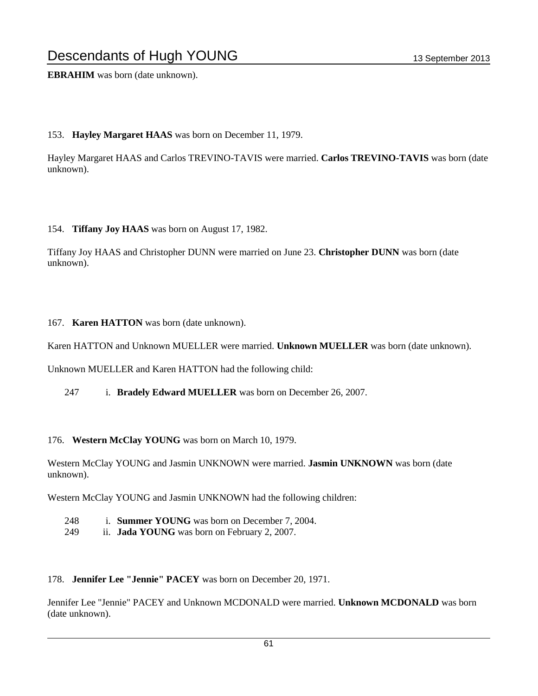**EBRAHIM** was born (date unknown).

#### 153. **Hayley Margaret HAAS** was born on December 11, 1979.

Hayley Margaret HAAS and Carlos TREVINO-TAVIS were married. **Carlos TREVINO-TAVIS** was born (date unknown).

154. **Tiffany Joy HAAS** was born on August 17, 1982.

Tiffany Joy HAAS and Christopher DUNN were married on June 23. **Christopher DUNN** was born (date unknown).

#### 167. **Karen HATTON** was born (date unknown).

Karen HATTON and Unknown MUELLER were married. **Unknown MUELLER** was born (date unknown).

Unknown MUELLER and Karen HATTON had the following child:

247 i. **Bradely Edward MUELLER** was born on December 26, 2007.

176. **Western McClay YOUNG** was born on March 10, 1979.

Western McClay YOUNG and Jasmin UNKNOWN were married. **Jasmin UNKNOWN** was born (date unknown).

Western McClay YOUNG and Jasmin UNKNOWN had the following children:

- 248 i. **Summer YOUNG** was born on December 7, 2004.
- 249 ii. **Jada YOUNG** was born on February 2, 2007.

178. **Jennifer Lee "Jennie" PACEY** was born on December 20, 1971.

Jennifer Lee "Jennie" PACEY and Unknown MCDONALD were married. **Unknown MCDONALD** was born (date unknown).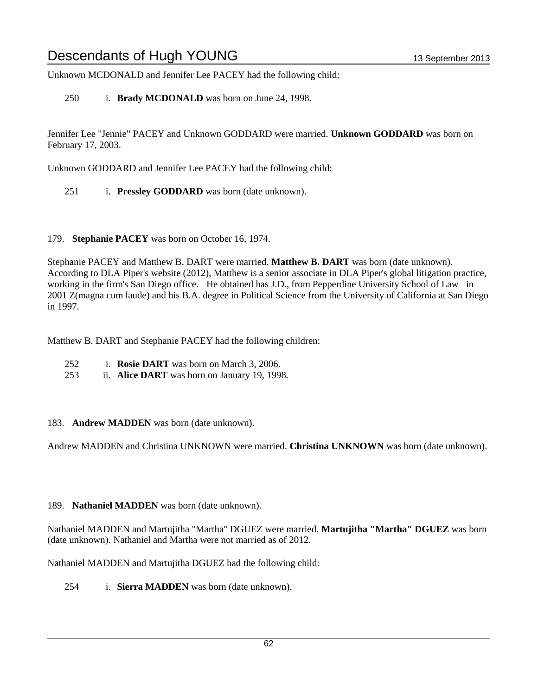Unknown MCDONALD and Jennifer Lee PACEY had the following child:

250 i. **Brady MCDONALD** was born on June 24, 1998.

Jennifer Lee "Jennie" PACEY and Unknown GODDARD were married. **Unknown GODDARD** was born on February 17, 2003.

Unknown GODDARD and Jennifer Lee PACEY had the following child:

- 251 i. **Pressley GODDARD** was born (date unknown).
- 179. **Stephanie PACEY** was born on October 16, 1974.

Stephanie PACEY and Matthew B. DART were married. **Matthew B. DART** was born (date unknown). According to DLA Piper's website (2012), Matthew is a senior associate in DLA Piper's global litigation practice, working in the firm's San Diego office. He obtained has J.D., from Pepperdine University School of Law in 2001 Z(magna cum laude) and his B.A. degree in Political Science from the University of California at San Diego in 1997.

Matthew B. DART and Stephanie PACEY had the following children:

- 252 i. **Rosie DART** was born on March 3, 2006.
- 253 ii. **Alice DART** was born on January 19, 1998.
- 183. **Andrew MADDEN** was born (date unknown).

Andrew MADDEN and Christina UNKNOWN were married. **Christina UNKNOWN** was born (date unknown).

189. **Nathaniel MADDEN** was born (date unknown).

Nathaniel MADDEN and Martujitha "Martha" DGUEZ were married. **Martujitha "Martha" DGUEZ** was born (date unknown). Nathaniel and Martha were not married as of 2012.

Nathaniel MADDEN and Martujitha DGUEZ had the following child:

254 i. **Sierra MADDEN** was born (date unknown).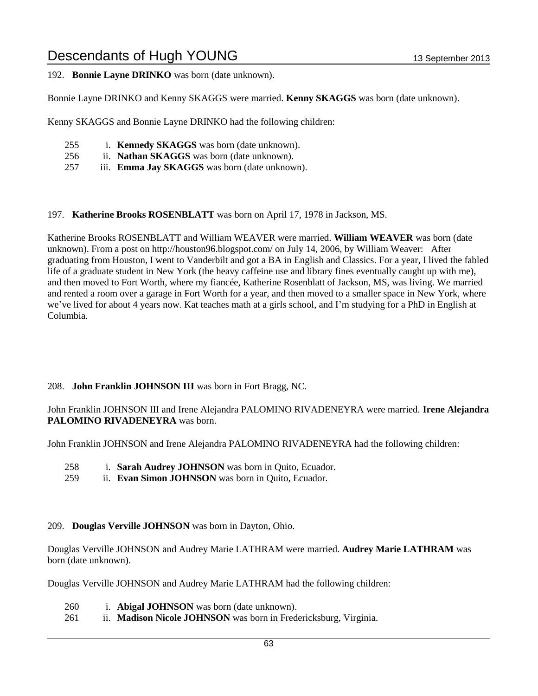### 192. **Bonnie Layne DRINKO** was born (date unknown).

Bonnie Layne DRINKO and Kenny SKAGGS were married. **Kenny SKAGGS** was born (date unknown).

Kenny SKAGGS and Bonnie Layne DRINKO had the following children:

- 255 i. **Kennedy SKAGGS** was born (date unknown).
- 256 ii. **Nathan SKAGGS** was born (date unknown).
- 257 iii. **Emma Jay SKAGGS** was born (date unknown).

#### 197. **Katherine Brooks ROSENBLATT** was born on April 17, 1978 in Jackson, MS.

Katherine Brooks ROSENBLATT and William WEAVER were married. **William WEAVER** was born (date unknown). From a post on http://houston96.blogspot.com/ on July 14, 2006, by William Weaver: After graduating from Houston, I went to Vanderbilt and got a BA in English and Classics. For a year, I lived the fabled life of a graduate student in New York (the heavy caffeine use and library fines eventually caught up with me), and then moved to Fort Worth, where my fiancée, Katherine Rosenblatt of Jackson, MS, was living. We married and rented a room over a garage in Fort Worth for a year, and then moved to a smaller space in New York, where we've lived for about 4 years now. Kat teaches math at a girls school, and I'm studying for a PhD in English at Columbia.

### 208. **John Franklin JOHNSON III** was born in Fort Bragg, NC.

John Franklin JOHNSON III and Irene Alejandra PALOMINO RIVADENEYRA were married. **Irene Alejandra PALOMINO RIVADENEYRA** was born.

John Franklin JOHNSON and Irene Alejandra PALOMINO RIVADENEYRA had the following children:

- 258 i. **Sarah Audrey JOHNSON** was born in Quito, Ecuador.
- 259 ii. **Evan Simon JOHNSON** was born in Quito, Ecuador.

#### 209. **Douglas Verville JOHNSON** was born in Dayton, Ohio.

Douglas Verville JOHNSON and Audrey Marie LATHRAM were married. **Audrey Marie LATHRAM** was born (date unknown).

Douglas Verville JOHNSON and Audrey Marie LATHRAM had the following children:

- 260 i. **Abigal JOHNSON** was born (date unknown).
- 261 ii. **Madison Nicole JOHNSON** was born in Fredericksburg, Virginia.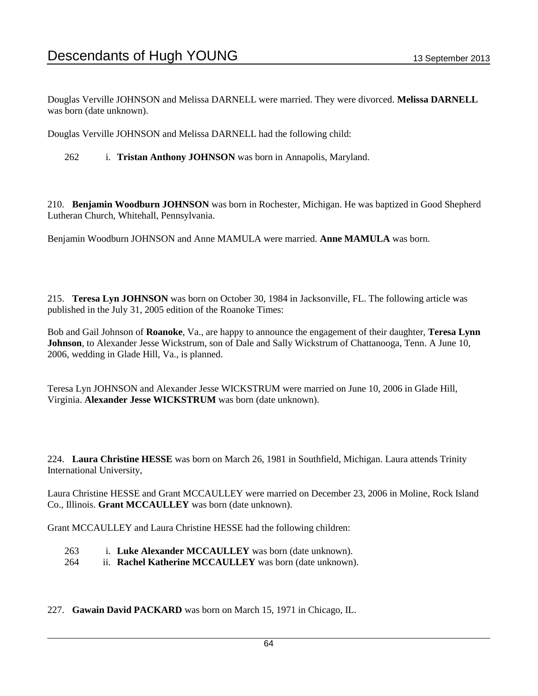Douglas Verville JOHNSON and Melissa DARNELL were married. They were divorced. **Melissa DARNELL** was born (date unknown).

Douglas Verville JOHNSON and Melissa DARNELL had the following child:

262 i. **Tristan Anthony JOHNSON** was born in Annapolis, Maryland.

210. **Benjamin Woodburn JOHNSON** was born in Rochester, Michigan. He was baptized in Good Shepherd Lutheran Church, Whitehall, Pennsylvania.

Benjamin Woodburn JOHNSON and Anne MAMULA were married. **Anne MAMULA** was born.

215. **Teresa Lyn JOHNSON** was born on October 30, 1984 in Jacksonville, FL. The following article was published in the July 31, 2005 edition of the Roanoke Times:

Bob and Gail Johnson of **Roanoke**, Va., are happy to announce the engagement of their daughter, **Teresa Lynn Johnson**, to Alexander Jesse Wickstrum, son of Dale and Sally Wickstrum of Chattanooga, Tenn. A June 10, 2006, wedding in Glade Hill, Va., is planned.

Teresa Lyn JOHNSON and Alexander Jesse WICKSTRUM were married on June 10, 2006 in Glade Hill, Virginia. **Alexander Jesse WICKSTRUM** was born (date unknown).

224. **Laura Christine HESSE** was born on March 26, 1981 in Southfield, Michigan. Laura attends Trinity International University,

Laura Christine HESSE and Grant MCCAULLEY were married on December 23, 2006 in Moline, Rock Island Co., Illinois. **Grant MCCAULLEY** was born (date unknown).

Grant MCCAULLEY and Laura Christine HESSE had the following children:

- 263 i. **Luke Alexander MCCAULLEY** was born (date unknown).
- 264 ii. **Rachel Katherine MCCAULLEY** was born (date unknown).

227. **Gawain David PACKARD** was born on March 15, 1971 in Chicago, IL.